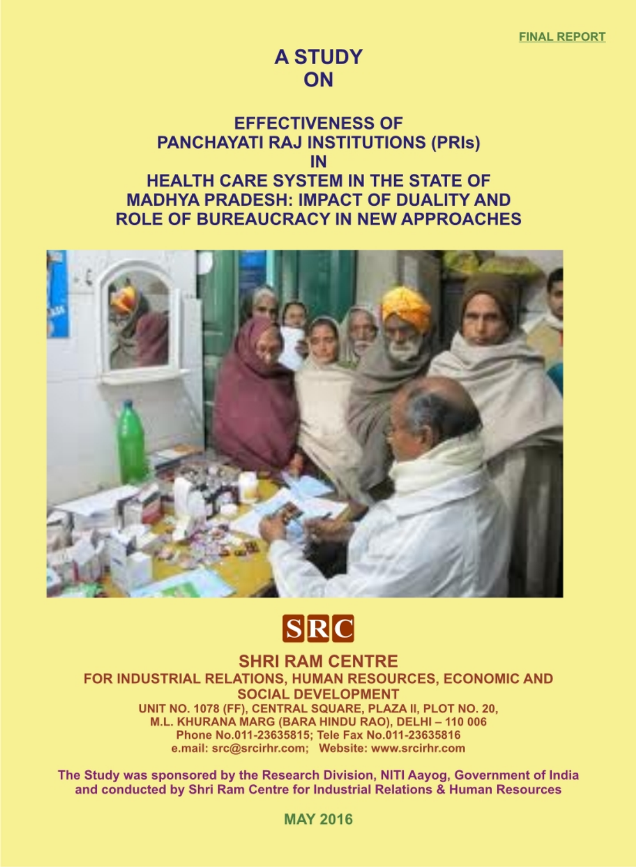## **A STUDY ON**

## **EFFECTIVENESS OF PANCHAYATI RAJ INSTITUTIONS (PRIS)** IN **HEALTH CARE SYSTEM IN THE STATE OF MADHYA PRADESH: IMPACT OF DUALITY AND ROLE OF BUREAUCRACY IN NEW APPROACHES**



# **SRC**

**SHRI RAM CENTRE** FOR INDUSTRIAL RELATIONS, HUMAN RESOURCES, ECONOMIC AND **SOCIAL DEVELOPMENT** UNIT NO. 1078 (FF), CENTRAL SQUARE, PLAZA II, PLOT NO. 20, M.L. KHURANA MARG (BARA HINDU RAO), DELHI - 110 006 Phone No.011-23635815; Tele Fax No.011-23635816 e.mail: src@srcirhr.com; Website: www.srcirhr.com

The Study was sponsored by the Research Division, NITI Aayog, Government of India and conducted by Shri Ram Centre for Industrial Relations & Human Resources

**MAY 2016**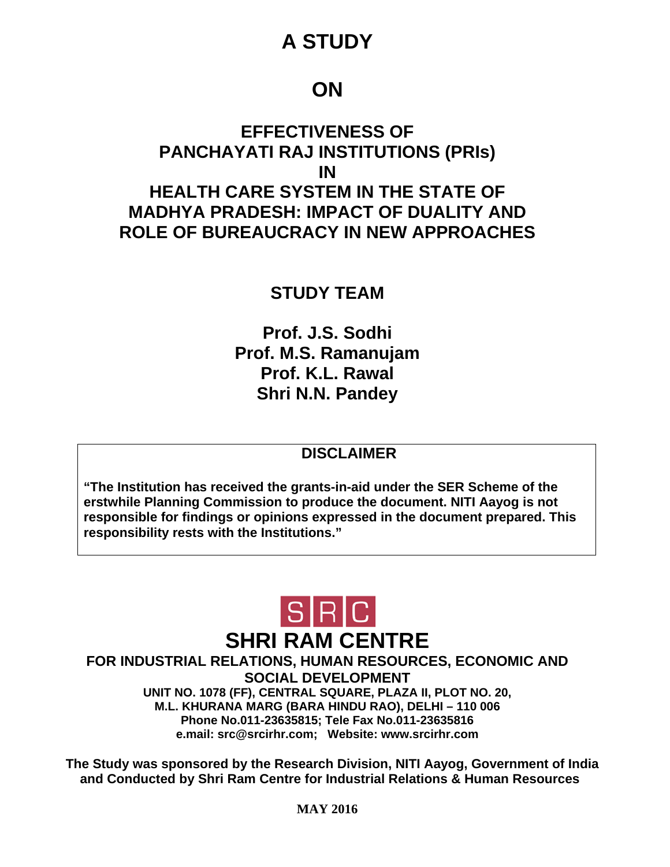## **A STUDY**

## **ON**

## **EFFECTIVENESS OF PANCHAYATI RAJ INSTITUTIONS (PRIs) IN HEALTH CARE SYSTEM IN THE STATE OF MADHYA PRADESH: IMPACT OF DUALITY AND ROLE OF BUREAUCRACY IN NEW APPROACHES**

## **STUDY TEAM**

**Prof. J.S. Sodhi Prof. M.S. Ramanujam Prof. K.L. Rawal Shri N.N. Pandey** 

### **DISCLAIMER**

**"The Institution has received the grants-in-aid under the SER Scheme of the erstwhile Planning Commission to produce the document. NITI Aayog is not responsible for findings or opinions expressed in the document prepared. This responsibility rests with the Institutions."** 



**FOR INDUSTRIAL RELATIONS, HUMAN RESOURCES, ECONOMIC AND SOCIAL DEVELOPMENT UNIT NO. 1078 (FF), CENTRAL SQUARE, PLAZA II, PLOT NO. 20, M.L. KHURANA MARG (BARA HINDU RAO), DELHI – 110 006 Phone No.011-23635815; Tele Fax No.011-23635816 e.mail: src@srcirhr.com; Website: www.srcirhr.com** 

**The Study was sponsored by the Research Division, NITI Aayog, Government of India and Conducted by Shri Ram Centre for Industrial Relations & Human Resources**

**MAY 2016**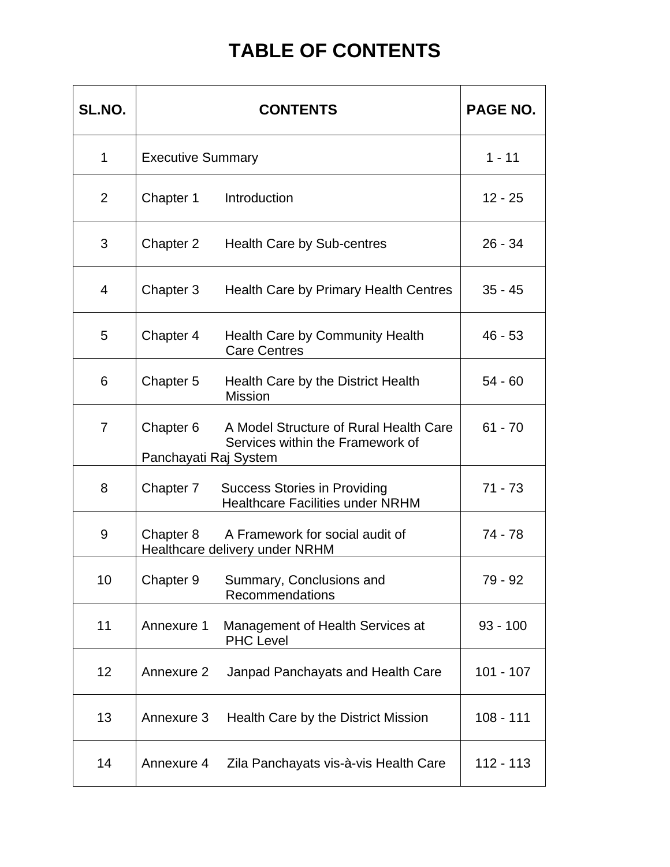## **TABLE OF CONTENTS**

| SL.NO.         |                                    | <b>PAGE NO.</b>                                                                |             |
|----------------|------------------------------------|--------------------------------------------------------------------------------|-------------|
| $\mathbf{1}$   | <b>Executive Summary</b>           | $1 - 11$                                                                       |             |
| $\overline{2}$ | Chapter 1                          | Introduction                                                                   | $12 - 25$   |
| 3              | Chapter 2                          | <b>Health Care by Sub-centres</b>                                              | $26 - 34$   |
| $\overline{4}$ | Chapter 3                          | Health Care by Primary Health Centres                                          | $35 - 45$   |
| 5              | Chapter 4                          | <b>Health Care by Community Health</b><br><b>Care Centres</b>                  | $46 - 53$   |
| 6              | Chapter 5                          | Health Care by the District Health<br><b>Mission</b>                           | $54 - 60$   |
| $\overline{7}$ | Chapter 6<br>Panchayati Raj System | A Model Structure of Rural Health Care<br>Services within the Framework of     | $61 - 70$   |
| 8              | Chapter 7                          | <b>Success Stories in Providing</b><br><b>Healthcare Facilities under NRHM</b> | $71 - 73$   |
| 9              | Chapter 8                          | A Framework for social audit of<br>Healthcare delivery under NRHM              | 74 - 78     |
| 10             |                                    | Chapter 9 Summary, Conclusions and<br>Recommendations                          | 79 - 92     |
| 11             | Annexure 1                         | Management of Health Services at<br><b>PHC Level</b>                           | $93 - 100$  |
| 12             | Annexure 2                         | Janpad Panchayats and Health Care                                              | 101 - 107   |
| 13             | Annexure 3                         | Health Care by the District Mission                                            | $108 - 111$ |
| 14             | Annexure 4                         | Zila Panchayats vis-à-vis Health Care                                          | 112 - 113   |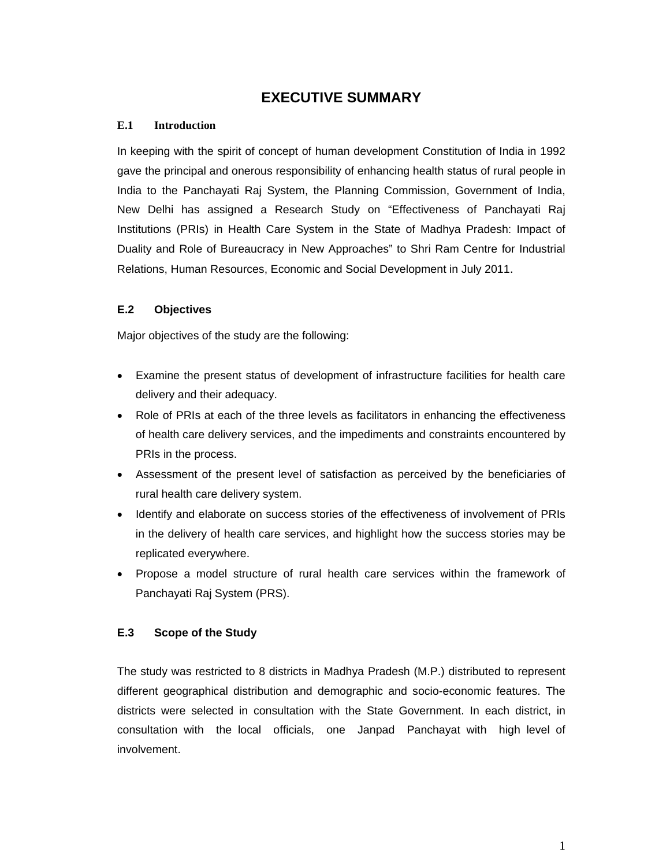#### **EXECUTIVE SUMMARY**

#### **E.1 Introduction**

In keeping with the spirit of concept of human development Constitution of India in 1992 gave the principal and onerous responsibility of enhancing health status of rural people in India to the Panchayati Raj System, the Planning Commission, Government of India, New Delhi has assigned a Research Study on "Effectiveness of Panchayati Raj Institutions (PRIs) in Health Care System in the State of Madhya Pradesh: Impact of Duality and Role of Bureaucracy in New Approaches" to Shri Ram Centre for Industrial Relations, Human Resources, Economic and Social Development in July 2011.

#### **E.2 Objectives**

Major objectives of the study are the following:

- Examine the present status of development of infrastructure facilities for health care delivery and their adequacy.
- Role of PRIs at each of the three levels as facilitators in enhancing the effectiveness of health care delivery services, and the impediments and constraints encountered by PRIs in the process.
- Assessment of the present level of satisfaction as perceived by the beneficiaries of rural health care delivery system.
- Identify and elaborate on success stories of the effectiveness of involvement of PRIs in the delivery of health care services, and highlight how the success stories may be replicated everywhere.
- Propose a model structure of rural health care services within the framework of Panchayati Raj System (PRS).

#### **E.3 Scope of the Study**

The study was restricted to 8 districts in Madhya Pradesh (M.P.) distributed to represent different geographical distribution and demographic and socio-economic features. The districts were selected in consultation with the State Government. In each district, in consultation with the local officials, one Janpad Panchayat with high level of involvement.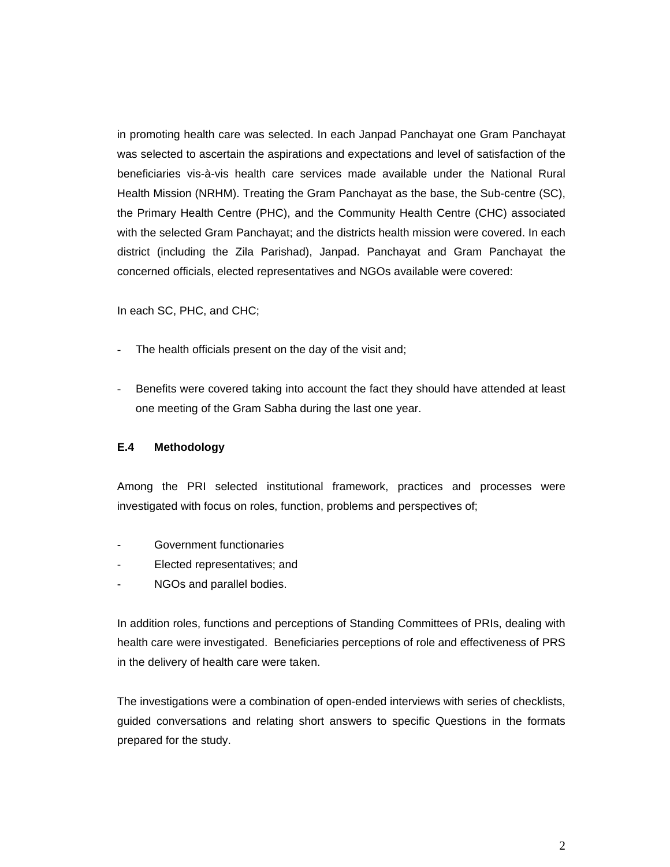in promoting health care was selected. In each Janpad Panchayat one Gram Panchayat was selected to ascertain the aspirations and expectations and level of satisfaction of the beneficiaries vis-à-vis health care services made available under the National Rural Health Mission (NRHM). Treating the Gram Panchayat as the base, the Sub-centre (SC), the Primary Health Centre (PHC), and the Community Health Centre (CHC) associated with the selected Gram Panchayat; and the districts health mission were covered. In each district (including the Zila Parishad), Janpad. Panchayat and Gram Panchayat the concerned officials, elected representatives and NGOs available were covered:

In each SC, PHC, and CHC;

- The health officials present on the day of the visit and;
- Benefits were covered taking into account the fact they should have attended at least one meeting of the Gram Sabha during the last one year.

#### **E.4 Methodology**

Among the PRI selected institutional framework, practices and processes were investigated with focus on roles, function, problems and perspectives of;

- Government functionaries
- Elected representatives; and
- NGOs and parallel bodies.

In addition roles, functions and perceptions of Standing Committees of PRIs, dealing with health care were investigated. Beneficiaries perceptions of role and effectiveness of PRS in the delivery of health care were taken.

The investigations were a combination of open-ended interviews with series of checklists, guided conversations and relating short answers to specific Questions in the formats prepared for the study.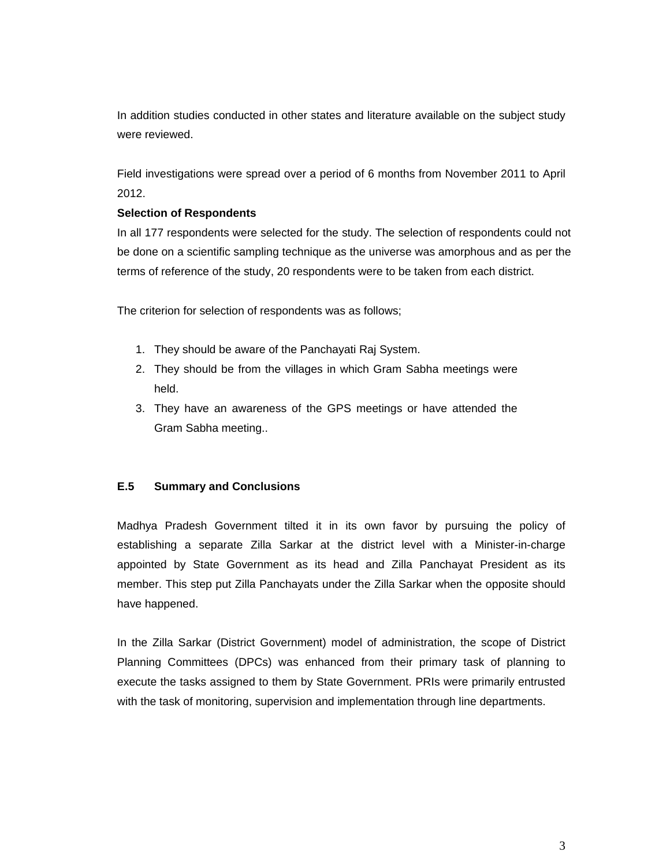In addition studies conducted in other states and literature available on the subject study were reviewed.

Field investigations were spread over a period of 6 months from November 2011 to April 2012.

#### **Selection of Respondents**

In all 177 respondents were selected for the study. The selection of respondents could not be done on a scientific sampling technique as the universe was amorphous and as per the terms of reference of the study, 20 respondents were to be taken from each district.

The criterion for selection of respondents was as follows;

- 1. They should be aware of the Panchayati Raj System.
- 2. They should be from the villages in which Gram Sabha meetings were held.
- 3. They have an awareness of the GPS meetings or have attended the Gram Sabha meeting..

#### **E.5 Summary and Conclusions**

Madhya Pradesh Government tilted it in its own favor by pursuing the policy of establishing a separate Zilla Sarkar at the district level with a Minister-in-charge appointed by State Government as its head and Zilla Panchayat President as its member. This step put Zilla Panchayats under the Zilla Sarkar when the opposite should have happened.

In the Zilla Sarkar (District Government) model of administration, the scope of District Planning Committees (DPCs) was enhanced from their primary task of planning to execute the tasks assigned to them by State Government. PRIs were primarily entrusted with the task of monitoring, supervision and implementation through line departments.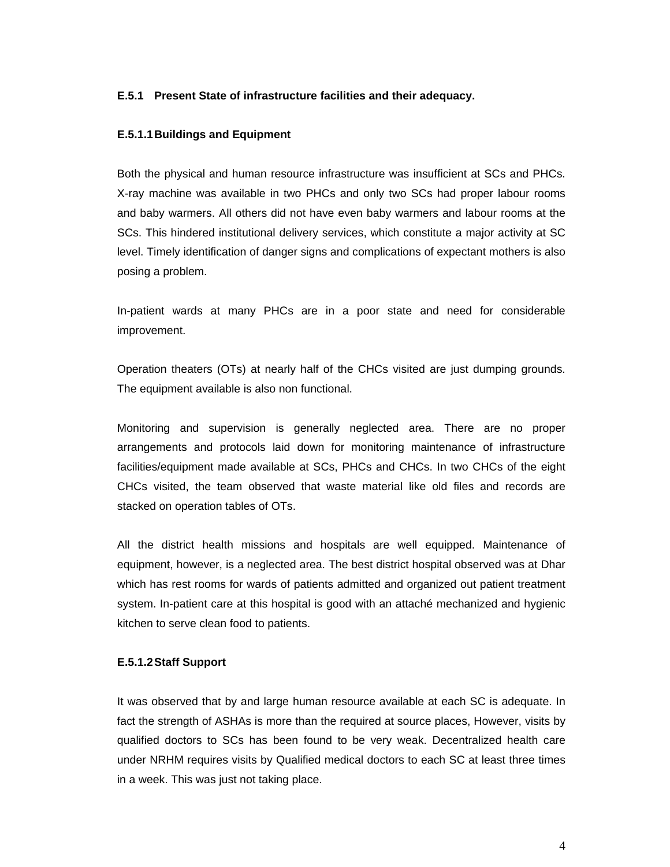#### **E.5.1 Present State of infrastructure facilities and their adequacy.**

#### **E.5.1.1 Buildings and Equipment**

Both the physical and human resource infrastructure was insufficient at SCs and PHCs. X-ray machine was available in two PHCs and only two SCs had proper labour rooms and baby warmers. All others did not have even baby warmers and labour rooms at the SCs. This hindered institutional delivery services, which constitute a major activity at SC level. Timely identification of danger signs and complications of expectant mothers is also posing a problem.

In-patient wards at many PHCs are in a poor state and need for considerable improvement.

Operation theaters (OTs) at nearly half of the CHCs visited are just dumping grounds. The equipment available is also non functional.

Monitoring and supervision is generally neglected area. There are no proper arrangements and protocols laid down for monitoring maintenance of infrastructure facilities/equipment made available at SCs, PHCs and CHCs. In two CHCs of the eight CHCs visited, the team observed that waste material like old files and records are stacked on operation tables of OTs.

All the district health missions and hospitals are well equipped. Maintenance of equipment, however, is a neglected area. The best district hospital observed was at Dhar which has rest rooms for wards of patients admitted and organized out patient treatment system. In-patient care at this hospital is good with an attaché mechanized and hygienic kitchen to serve clean food to patients.

#### **E.5.1.2Staff Support**

It was observed that by and large human resource available at each SC is adequate. In fact the strength of ASHAs is more than the required at source places, However, visits by qualified doctors to SCs has been found to be very weak. Decentralized health care under NRHM requires visits by Qualified medical doctors to each SC at least three times in a week. This was just not taking place.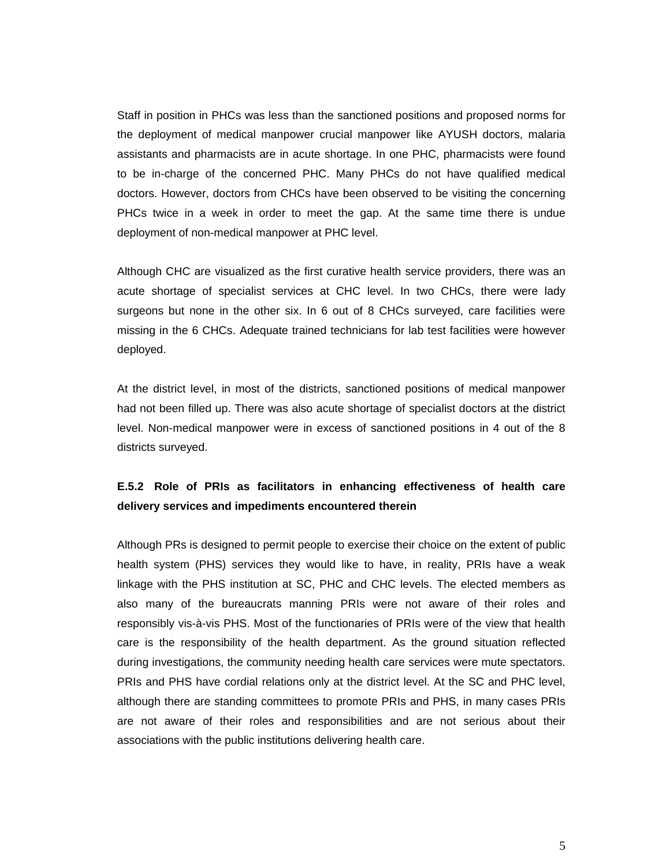Staff in position in PHCs was less than the sanctioned positions and proposed norms for the deployment of medical manpower crucial manpower like AYUSH doctors, malaria assistants and pharmacists are in acute shortage. In one PHC, pharmacists were found to be in-charge of the concerned PHC. Many PHCs do not have qualified medical doctors. However, doctors from CHCs have been observed to be visiting the concerning PHCs twice in a week in order to meet the gap. At the same time there is undue deployment of non-medical manpower at PHC level.

Although CHC are visualized as the first curative health service providers, there was an acute shortage of specialist services at CHC level. In two CHCs, there were lady surgeons but none in the other six. In 6 out of 8 CHCs surveyed, care facilities were missing in the 6 CHCs. Adequate trained technicians for lab test facilities were however deployed.

At the district level, in most of the districts, sanctioned positions of medical manpower had not been filled up. There was also acute shortage of specialist doctors at the district level. Non-medical manpower were in excess of sanctioned positions in 4 out of the 8 districts surveyed.

#### **E.5.2 Role of PRIs as facilitators in enhancing effectiveness of health care delivery services and impediments encountered therein**

Although PRs is designed to permit people to exercise their choice on the extent of public health system (PHS) services they would like to have, in reality, PRIs have a weak linkage with the PHS institution at SC, PHC and CHC levels. The elected members as also many of the bureaucrats manning PRIs were not aware of their roles and responsibly vis-à-vis PHS. Most of the functionaries of PRIs were of the view that health care is the responsibility of the health department. As the ground situation reflected during investigations, the community needing health care services were mute spectators. PRIs and PHS have cordial relations only at the district level. At the SC and PHC level, although there are standing committees to promote PRIs and PHS, in many cases PRIs are not aware of their roles and responsibilities and are not serious about their associations with the public institutions delivering health care.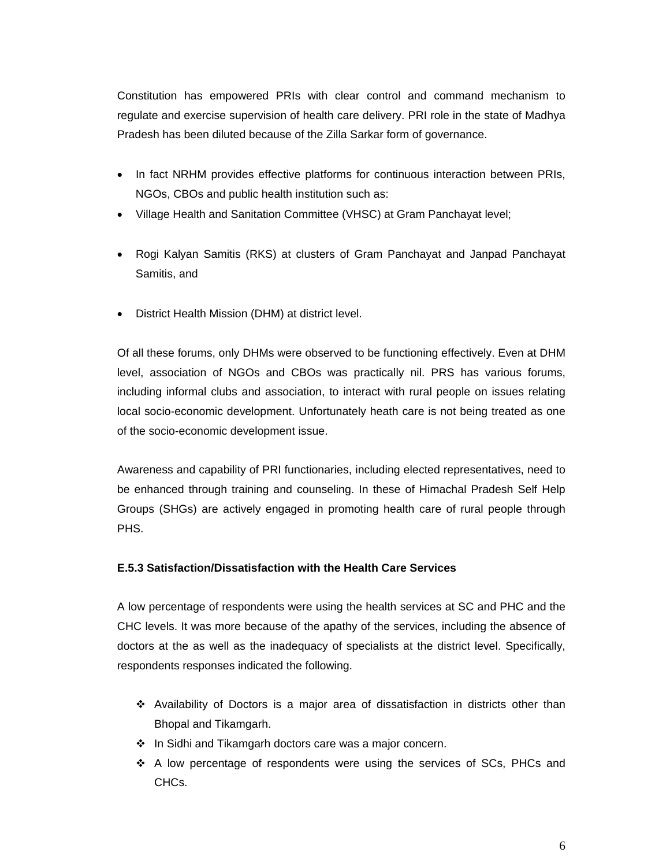Constitution has empowered PRIs with clear control and command mechanism to regulate and exercise supervision of health care delivery. PRI role in the state of Madhya Pradesh has been diluted because of the Zilla Sarkar form of governance.

- In fact NRHM provides effective platforms for continuous interaction between PRIs, NGOs, CBOs and public health institution such as:
- Village Health and Sanitation Committee (VHSC) at Gram Panchayat level;
- Rogi Kalyan Samitis (RKS) at clusters of Gram Panchayat and Janpad Panchayat Samitis, and
- District Health Mission (DHM) at district level.

Of all these forums, only DHMs were observed to be functioning effectively. Even at DHM level, association of NGOs and CBOs was practically nil. PRS has various forums, including informal clubs and association, to interact with rural people on issues relating local socio-economic development. Unfortunately heath care is not being treated as one of the socio-economic development issue.

Awareness and capability of PRI functionaries, including elected representatives, need to be enhanced through training and counseling. In these of Himachal Pradesh Self Help Groups (SHGs) are actively engaged in promoting health care of rural people through PHS.

#### **E.5.3 Satisfaction/Dissatisfaction with the Health Care Services**

A low percentage of respondents were using the health services at SC and PHC and the CHC levels. It was more because of the apathy of the services, including the absence of doctors at the as well as the inadequacy of specialists at the district level. Specifically, respondents responses indicated the following.

- $\div$  Availability of Doctors is a major area of dissatisfaction in districts other than Bhopal and Tikamgarh.
- ❖ In Sidhi and Tikamgarh doctors care was a major concern.
- $\div$  A low percentage of respondents were using the services of SCs, PHCs and CHCs.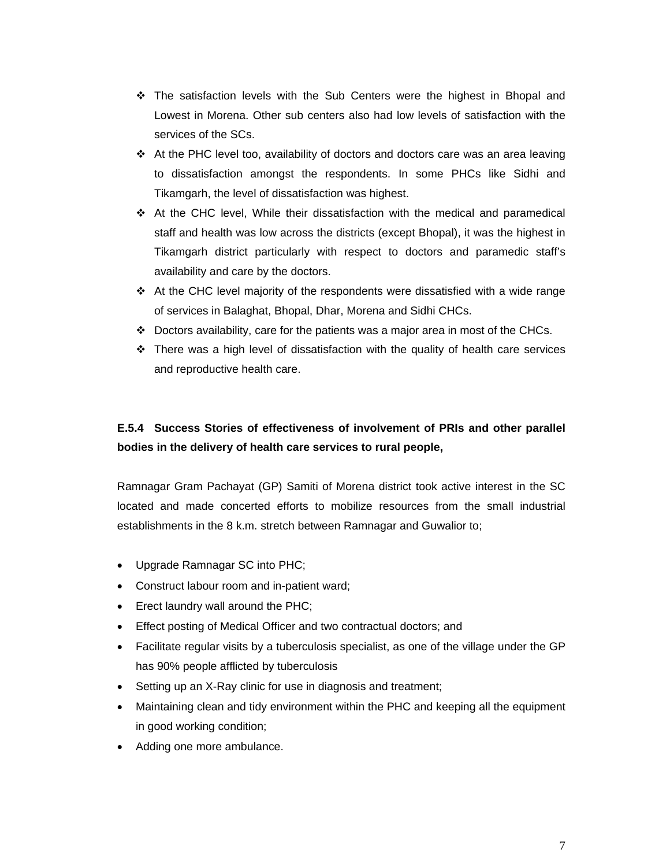- $\div$  The satisfaction levels with the Sub Centers were the highest in Bhopal and Lowest in Morena. Other sub centers also had low levels of satisfaction with the services of the SCs.
- $\div$  At the PHC level too, availability of doctors and doctors care was an area leaving to dissatisfaction amongst the respondents. In some PHCs like Sidhi and Tikamgarh, the level of dissatisfaction was highest.
- $\div$  At the CHC level, While their dissatisfaction with the medical and paramedical staff and health was low across the districts (except Bhopal), it was the highest in Tikamgarh district particularly with respect to doctors and paramedic staff's availability and care by the doctors.
- $\div$  At the CHC level majority of the respondents were dissatisfied with a wide range of services in Balaghat, Bhopal, Dhar, Morena and Sidhi CHCs.
- $\div$  Doctors availability, care for the patients was a major area in most of the CHCs.
- $\div$  There was a high level of dissatisfaction with the quality of health care services and reproductive health care.

#### **E.5.4 Success Stories of effectiveness of involvement of PRIs and other parallel bodies in the delivery of health care services to rural people,**

Ramnagar Gram Pachayat (GP) Samiti of Morena district took active interest in the SC located and made concerted efforts to mobilize resources from the small industrial establishments in the 8 k.m. stretch between Ramnagar and Guwalior to;

- Upgrade Ramnagar SC into PHC;
- Construct labour room and in-patient ward;
- Erect laundry wall around the PHC;
- Effect posting of Medical Officer and two contractual doctors; and
- Facilitate regular visits by a tuberculosis specialist, as one of the village under the GP has 90% people afflicted by tuberculosis
- Setting up an X-Ray clinic for use in diagnosis and treatment;
- Maintaining clean and tidy environment within the PHC and keeping all the equipment in good working condition;
- Adding one more ambulance.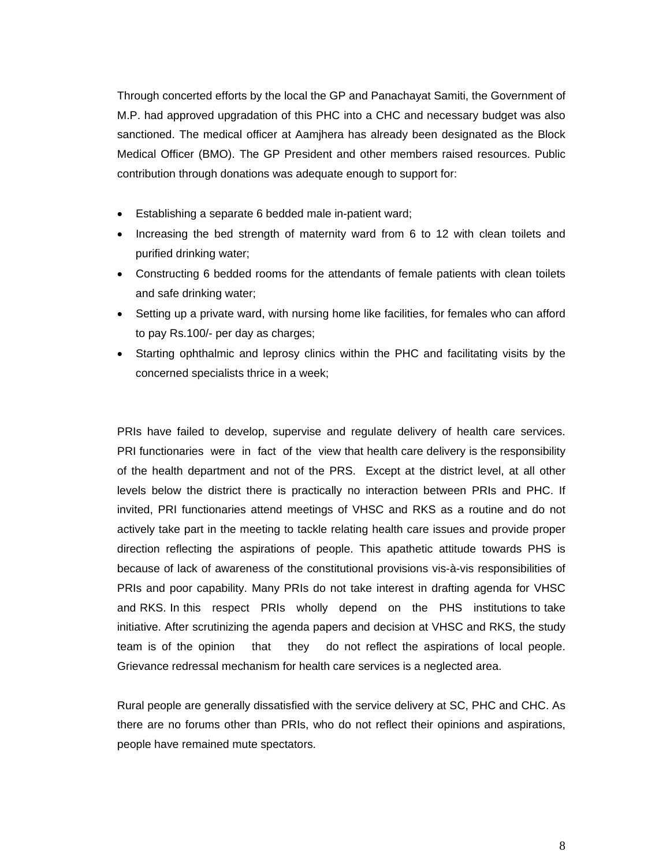Through concerted efforts by the local the GP and Panachayat Samiti, the Government of M.P. had approved upgradation of this PHC into a CHC and necessary budget was also sanctioned. The medical officer at Aamjhera has already been designated as the Block Medical Officer (BMO). The GP President and other members raised resources. Public contribution through donations was adequate enough to support for:

- Establishing a separate 6 bedded male in-patient ward;
- Increasing the bed strength of maternity ward from 6 to 12 with clean toilets and purified drinking water;
- Constructing 6 bedded rooms for the attendants of female patients with clean toilets and safe drinking water;
- Setting up a private ward, with nursing home like facilities, for females who can afford to pay Rs.100/- per day as charges;
- Starting ophthalmic and leprosy clinics within the PHC and facilitating visits by the concerned specialists thrice in a week;

PRIs have failed to develop, supervise and regulate delivery of health care services. PRI functionaries were in fact of the view that health care delivery is the responsibility of the health department and not of the PRS. Except at the district level, at all other levels below the district there is practically no interaction between PRIs and PHC. If invited, PRI functionaries attend meetings of VHSC and RKS as a routine and do not actively take part in the meeting to tackle relating health care issues and provide proper direction reflecting the aspirations of people. This apathetic attitude towards PHS is because of lack of awareness of the constitutional provisions vis-à-vis responsibilities of PRIs and poor capability. Many PRIs do not take interest in drafting agenda for VHSC and RKS. In this respect PRIs wholly depend on the PHS institutions to take initiative. After scrutinizing the agenda papers and decision at VHSC and RKS, the study team is of the opinion that they do not reflect the aspirations of local people. Grievance redressal mechanism for health care services is a neglected area.

Rural people are generally dissatisfied with the service delivery at SC, PHC and CHC. As there are no forums other than PRIs, who do not reflect their opinions and aspirations, people have remained mute spectators.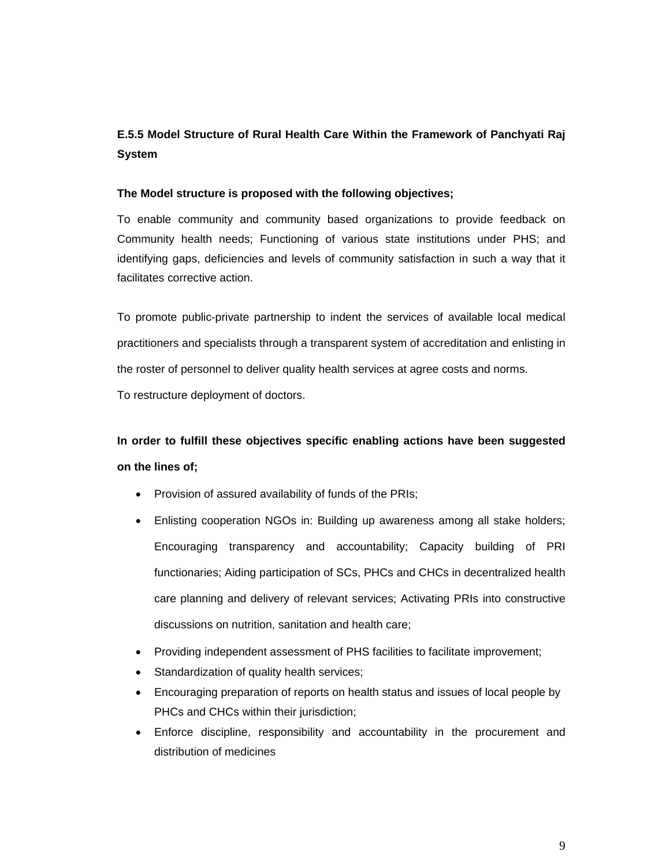#### **E.5.5 Model Structure of Rural Health Care Within the Framework of Panchyati Raj System**

#### **The Model structure is proposed with the following objectives;**

To enable community and community based organizations to provide feedback on Community health needs; Functioning of various state institutions under PHS; and identifying gaps, deficiencies and levels of community satisfaction in such a way that it facilitates corrective action.

To promote public-private partnership to indent the services of available local medical practitioners and specialists through a transparent system of accreditation and enlisting in the roster of personnel to deliver quality health services at agree costs and norms.

To restructure deployment of doctors.

### **In order to fulfill these objectives specific enabling actions have been suggested on the lines of;**

- Provision of assured availability of funds of the PRIs;
- Enlisting cooperation NGOs in: Building up awareness among all stake holders; Encouraging transparency and accountability; Capacity building of PRI functionaries; Aiding participation of SCs, PHCs and CHCs in decentralized health care planning and delivery of relevant services; Activating PRIs into constructive discussions on nutrition, sanitation and health care;
- Providing independent assessment of PHS facilities to facilitate improvement;
- Standardization of quality health services;
- Encouraging preparation of reports on health status and issues of local people by PHCs and CHCs within their jurisdiction;
- Enforce discipline, responsibility and accountability in the procurement and distribution of medicines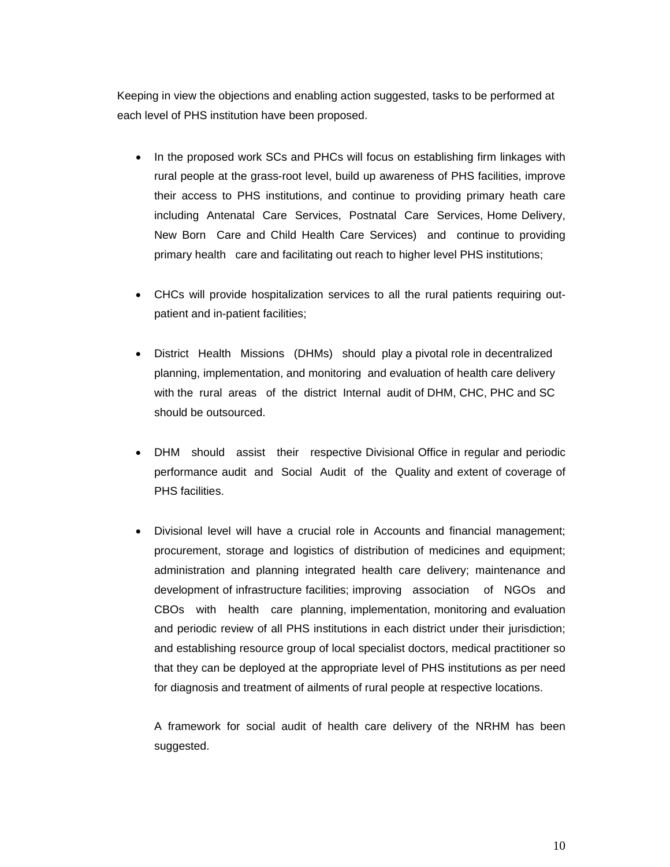Keeping in view the objections and enabling action suggested, tasks to be performed at each level of PHS institution have been proposed.

- In the proposed work SCs and PHCs will focus on establishing firm linkages with rural people at the grass-root level, build up awareness of PHS facilities, improve their access to PHS institutions, and continue to providing primary heath care including Antenatal Care Services, Postnatal Care Services, Home Delivery, New Born Care and Child Health Care Services) and continue to providing primary health care and facilitating out reach to higher level PHS institutions;
- CHCs will provide hospitalization services to all the rural patients requiring outpatient and in-patient facilities;
- District Health Missions (DHMs) should play a pivotal role in decentralized planning, implementation, and monitoring and evaluation of health care delivery with the rural areas of the district Internal audit of DHM, CHC, PHC and SC should be outsourced.
- DHM should assist their respective Divisional Office in regular and periodic performance audit and Social Audit of the Quality and extent of coverage of PHS facilities.
- Divisional level will have a crucial role in Accounts and financial management; procurement, storage and logistics of distribution of medicines and equipment; administration and planning integrated health care delivery; maintenance and development of infrastructure facilities; improving association of NGOs and CBOs with health care planning, implementation, monitoring and evaluation and periodic review of all PHS institutions in each district under their jurisdiction; and establishing resource group of local specialist doctors, medical practitioner so that they can be deployed at the appropriate level of PHS institutions as per need for diagnosis and treatment of ailments of rural people at respective locations.

A framework for social audit of health care delivery of the NRHM has been suggested.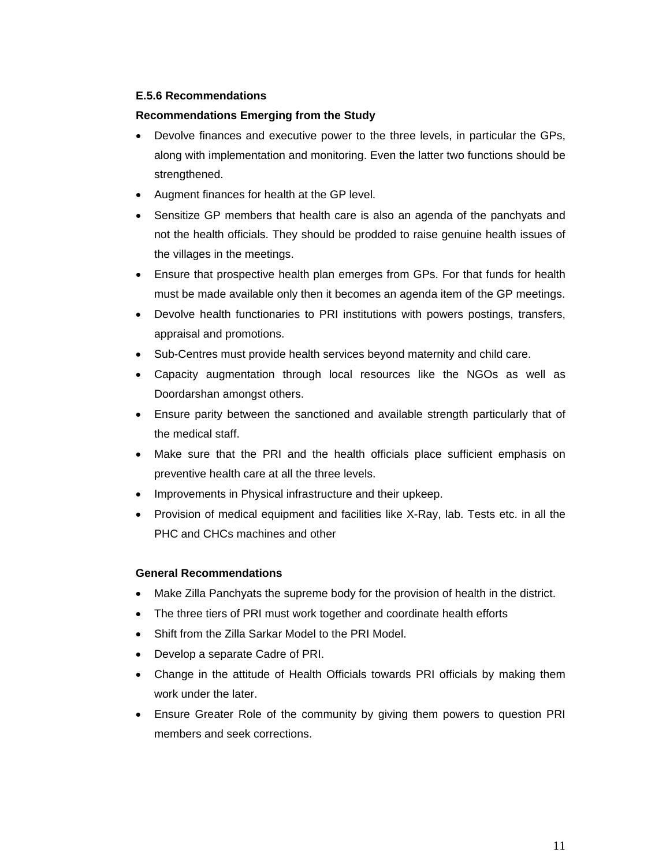#### **E.5.6 Recommendations**

#### **Recommendations Emerging from the Study**

- Devolve finances and executive power to the three levels, in particular the GPs, along with implementation and monitoring. Even the latter two functions should be strengthened.
- Augment finances for health at the GP level.
- Sensitize GP members that health care is also an agenda of the panchyats and not the health officials. They should be prodded to raise genuine health issues of the villages in the meetings.
- Ensure that prospective health plan emerges from GPs. For that funds for health must be made available only then it becomes an agenda item of the GP meetings.
- Devolve health functionaries to PRI institutions with powers postings, transfers, appraisal and promotions.
- Sub-Centres must provide health services beyond maternity and child care.
- Capacity augmentation through local resources like the NGOs as well as Doordarshan amongst others.
- Ensure parity between the sanctioned and available strength particularly that of the medical staff.
- Make sure that the PRI and the health officials place sufficient emphasis on preventive health care at all the three levels.
- Improvements in Physical infrastructure and their upkeep.
- Provision of medical equipment and facilities like X-Ray, lab. Tests etc. in all the PHC and CHCs machines and other

#### **General Recommendations**

- Make Zilla Panchyats the supreme body for the provision of health in the district.
- The three tiers of PRI must work together and coordinate health efforts
- Shift from the Zilla Sarkar Model to the PRI Model.
- Develop a separate Cadre of PRI.
- Change in the attitude of Health Officials towards PRI officials by making them work under the later.
- Ensure Greater Role of the community by giving them powers to question PRI members and seek corrections.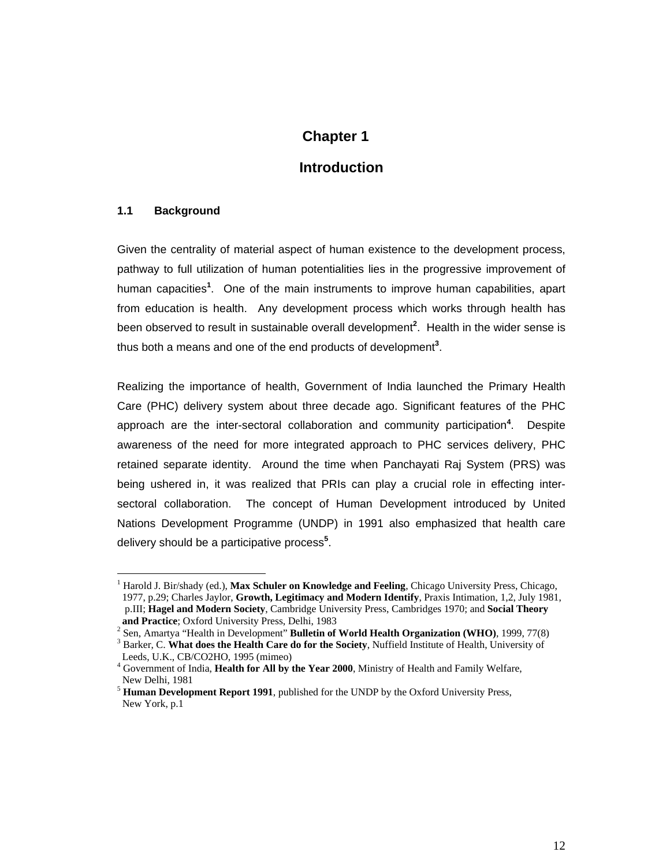#### **Chapter 1**

#### **Introduction**

#### **1.1 Background**

 $\overline{a}$ 

Given the centrality of material aspect of human existence to the development process, pathway to full utilization of human potentialities lies in the progressive improvement of human capacities**<sup>1</sup>** . One of the main instruments to improve human capabilities, apart from education is health. Any development process which works through health has been observed to result in sustainable overall development**<sup>2</sup>** . Health in the wider sense is thus both a means and one of the end products of development**<sup>3</sup>** .

Realizing the importance of health, Government of India launched the Primary Health Care (PHC) delivery system about three decade ago. Significant features of the PHC approach are the inter-sectoral collaboration and community participation**<sup>4</sup>** . Despite awareness of the need for more integrated approach to PHC services delivery, PHC retained separate identity. Around the time when Panchayati Raj System (PRS) was being ushered in, it was realized that PRIs can play a crucial role in effecting intersectoral collaboration. The concept of Human Development introduced by United Nations Development Programme (UNDP) in 1991 also emphasized that health care delivery should be a participative process**<sup>5</sup>** .

<sup>&</sup>lt;sup>1</sup> Harold J. Bir/shady (ed.), Max Schuler on Knowledge and Feeling, Chicago University Press, Chicago, 1977, p.29; Charles Jaylor, **Growth, Legitimacy and Modern Identify**, Praxis Intimation, 1,2, July 1981, p.III; **Hagel and Modern Society**, Cambridge University Press, Cambridges 1970; and **Social Theory**  and Practice; Oxford University Press, Delhi, 1983

<sup>&</sup>lt;sup>2</sup> Sen, Amartya "Health in Development" **Bulletin of World Health Organization (WHO)**, 1999, 77(8)

<sup>&</sup>lt;sup>3</sup> Barker, C. What does the Health Care do for the Society, Nuffield Institute of Health, University of Leeds, U.K., CB/CO2HO, 1995 (mimeo)

<sup>4</sup> Government of India, **Health for All by the Year 2000**, Ministry of Health and Family Welfare, New Delhi, 1981

<sup>5</sup> **Human Development Report 1991**, published for the UNDP by the Oxford University Press, New York, p.1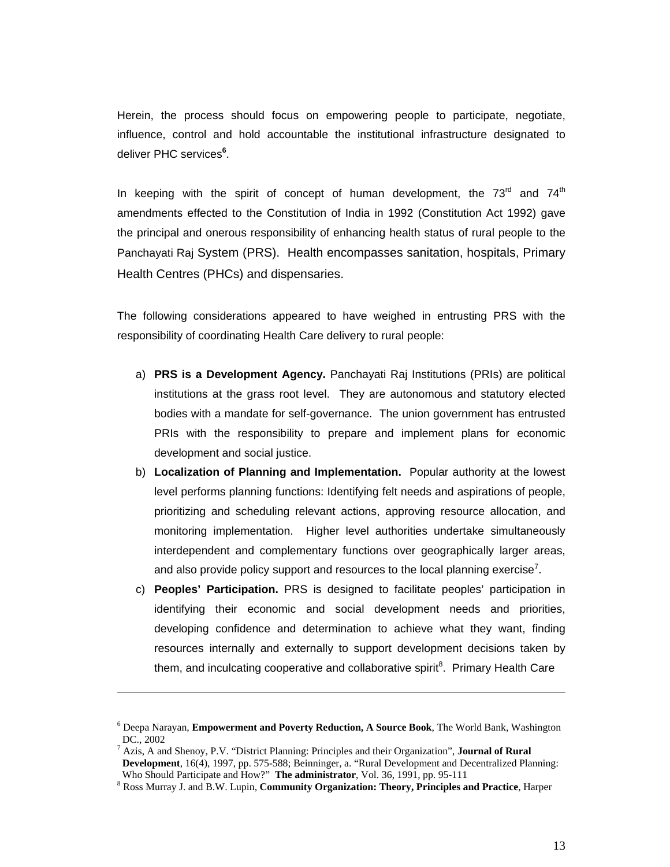Herein, the process should focus on empowering people to participate, negotiate, influence, control and hold accountable the institutional infrastructure designated to deliver PHC services**<sup>6</sup>** .

In keeping with the spirit of concept of human development, the  $73<sup>rd</sup>$  and  $74<sup>th</sup>$ amendments effected to the Constitution of India in 1992 (Constitution Act 1992) gave the principal and onerous responsibility of enhancing health status of rural people to the Panchayati Raj System (PRS). Health encompasses sanitation, hospitals, Primary Health Centres (PHCs) and dispensaries.

The following considerations appeared to have weighed in entrusting PRS with the responsibility of coordinating Health Care delivery to rural people:

- a) **PRS is a Development Agency.** Panchayati Raj Institutions (PRIs) are political institutions at the grass root level. They are autonomous and statutory elected bodies with a mandate for self-governance. The union government has entrusted PRIs with the responsibility to prepare and implement plans for economic development and social justice.
- b) **Localization of Planning and Implementation.** Popular authority at the lowest level performs planning functions: Identifying felt needs and aspirations of people, prioritizing and scheduling relevant actions, approving resource allocation, and monitoring implementation. Higher level authorities undertake simultaneously interdependent and complementary functions over geographically larger areas, and also provide policy support and resources to the local planning exercise<sup>7</sup>.
- c) **Peoples' Participation.** PRS is designed to facilitate peoples' participation in identifying their economic and social development needs and priorities, developing confidence and determination to achieve what they want, finding resources internally and externally to support development decisions taken by them, and inculcating cooperative and collaborative spirit<sup>8</sup>. Primary Health Care

-

<sup>6</sup> Deepa Narayan, **Empowerment and Poverty Reduction, A Source Book**, The World Bank, Washington DC., 2002

<sup>7</sup> Azis, A and Shenoy, P.V. "District Planning: Principles and their Organization", **Journal of Rural Development**, 16(4), 1997, pp. 575-588; Beinninger, a. "Rural Development and Decentralized Planning: Who Should Participate and How?" **The administrator**, Vol. 36, 1991, pp. 95-111 8

Ross Murray J. and B.W. Lupin, **Community Organization: Theory, Principles and Practice**, Harper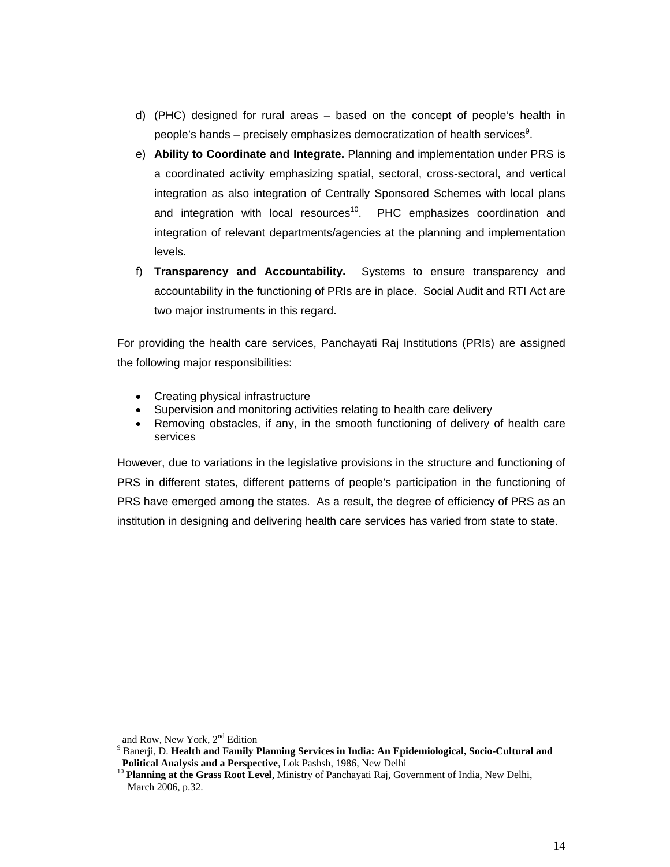- d) (PHC) designed for rural areas based on the concept of people's health in people's hands – precisely emphasizes democratization of health services $^9$ .
- e) **Ability to Coordinate and Integrate.** Planning and implementation under PRS is a coordinated activity emphasizing spatial, sectoral, cross-sectoral, and vertical integration as also integration of Centrally Sponsored Schemes with local plans and integration with local resources<sup>10</sup>. PHC emphasizes coordination and integration of relevant departments/agencies at the planning and implementation levels.
- f) **Transparency and Accountability.** Systems to ensure transparency and accountability in the functioning of PRIs are in place. Social Audit and RTI Act are two major instruments in this regard.

For providing the health care services, Panchayati Raj Institutions (PRIs) are assigned the following major responsibilities:

- Creating physical infrastructure
- Supervision and monitoring activities relating to health care delivery
- Removing obstacles, if any, in the smooth functioning of delivery of health care services

However, due to variations in the legislative provisions in the structure and functioning of PRS in different states, different patterns of people's participation in the functioning of PRS have emerged among the states. As a result, the degree of efficiency of PRS as an institution in designing and delivering health care services has varied from state to state.

and Row, New York, 2<sup>nd</sup> Edition

<sup>&</sup>lt;sup>9</sup> Banerji, D. Health and Family Planning Services in India: An Epidemiological, Socio-Cultural and

**Political Analysis and a Perspective**, Lok Pashsh, 1986, New Delhi<br><sup>10</sup> **Planning at the Grass Root Level**, Ministry of Panchayati Raj, Government of India, New Delhi, March 2006, p.32.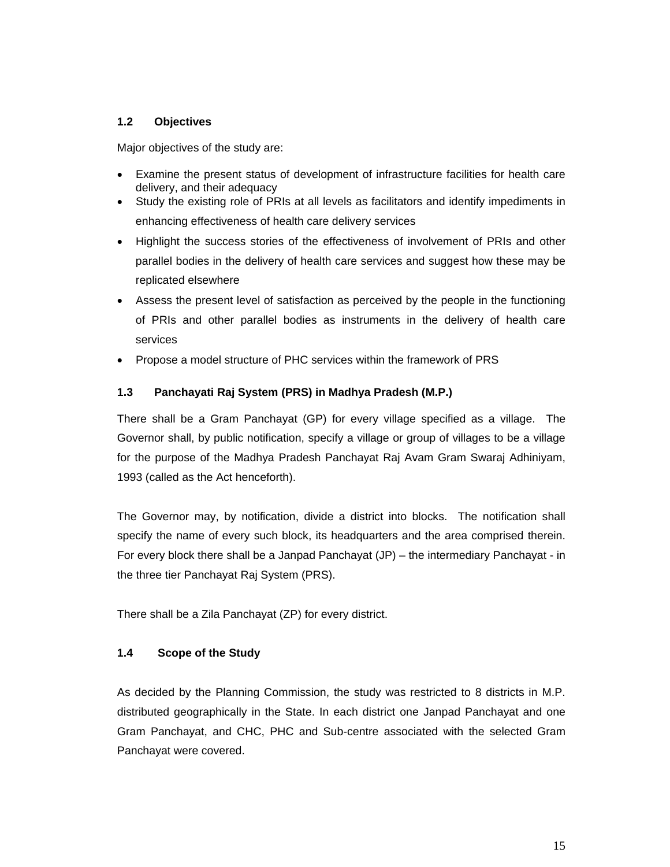#### **1.2 Objectives**

Major objectives of the study are:

- Examine the present status of development of infrastructure facilities for health care delivery, and their adequacy
- Study the existing role of PRIs at all levels as facilitators and identify impediments in enhancing effectiveness of health care delivery services
- Highlight the success stories of the effectiveness of involvement of PRIs and other parallel bodies in the delivery of health care services and suggest how these may be replicated elsewhere
- Assess the present level of satisfaction as perceived by the people in the functioning of PRIs and other parallel bodies as instruments in the delivery of health care services
- Propose a model structure of PHC services within the framework of PRS

#### **1.3 Panchayati Raj System (PRS) in Madhya Pradesh (M.P.)**

There shall be a Gram Panchayat (GP) for every village specified as a village. The Governor shall, by public notification, specify a village or group of villages to be a village for the purpose of the Madhya Pradesh Panchayat Raj Avam Gram Swaraj Adhiniyam, 1993 (called as the Act henceforth).

The Governor may, by notification, divide a district into blocks. The notification shall specify the name of every such block, its headquarters and the area comprised therein. For every block there shall be a Janpad Panchayat (JP) – the intermediary Panchayat - in the three tier Panchayat Raj System (PRS).

There shall be a Zila Panchayat (ZP) for every district.

#### **1.4 Scope of the Study**

As decided by the Planning Commission, the study was restricted to 8 districts in M.P. distributed geographically in the State. In each district one Janpad Panchayat and one Gram Panchayat, and CHC, PHC and Sub-centre associated with the selected Gram Panchayat were covered.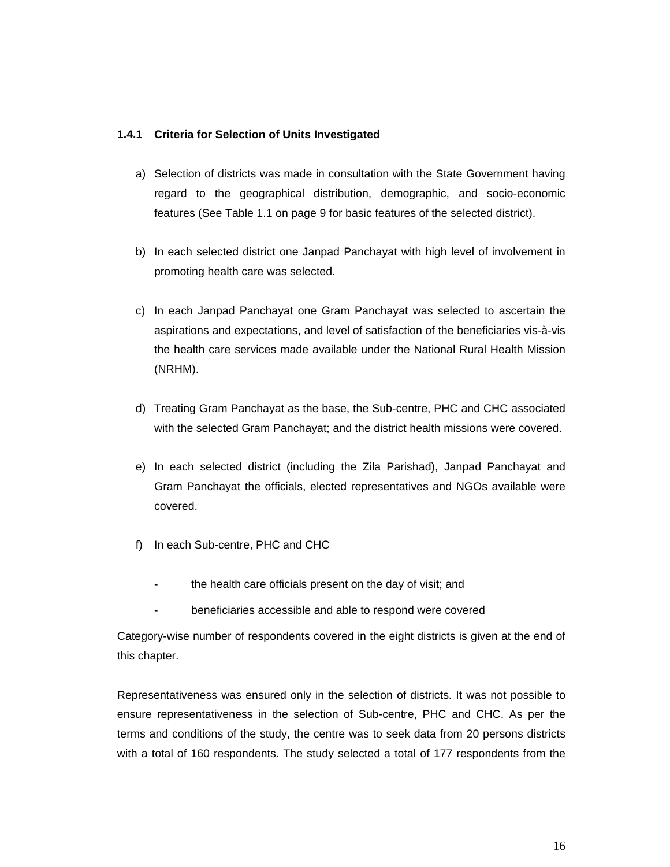#### **1.4.1 Criteria for Selection of Units Investigated**

- a) Selection of districts was made in consultation with the State Government having regard to the geographical distribution, demographic, and socio-economic features (See Table 1.1 on page 9 for basic features of the selected district).
- b) In each selected district one Janpad Panchayat with high level of involvement in promoting health care was selected.
- c) In each Janpad Panchayat one Gram Panchayat was selected to ascertain the aspirations and expectations, and level of satisfaction of the beneficiaries vis-à-vis the health care services made available under the National Rural Health Mission (NRHM).
- d) Treating Gram Panchayat as the base, the Sub-centre, PHC and CHC associated with the selected Gram Panchayat; and the district health missions were covered.
- e) In each selected district (including the Zila Parishad), Janpad Panchayat and Gram Panchayat the officials, elected representatives and NGOs available were covered.
- f) In each Sub-centre, PHC and CHC
	- the health care officials present on the day of visit; and
	- beneficiaries accessible and able to respond were covered

Category-wise number of respondents covered in the eight districts is given at the end of this chapter.

Representativeness was ensured only in the selection of districts. It was not possible to ensure representativeness in the selection of Sub-centre, PHC and CHC. As per the terms and conditions of the study, the centre was to seek data from 20 persons districts with a total of 160 respondents. The study selected a total of 177 respondents from the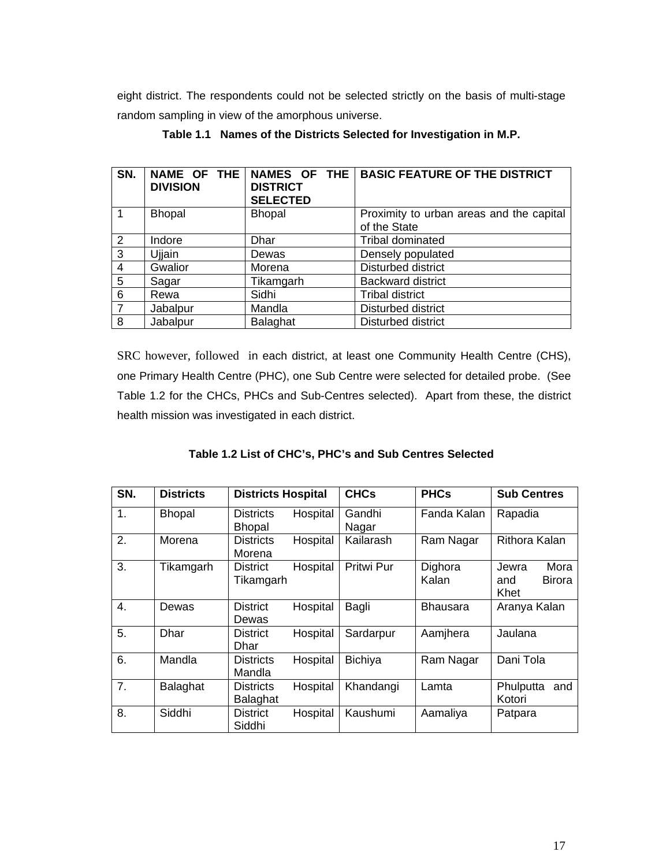eight district. The respondents could not be selected strictly on the basis of multi-stage random sampling in view of the amorphous universe.

| SN.             | NAME OF THE<br><b>DIVISION</b> | NAMES OF THE<br><b>DISTRICT</b><br><b>SELECTED</b> | <b>BASIC FEATURE OF THE DISTRICT</b>                     |
|-----------------|--------------------------------|----------------------------------------------------|----------------------------------------------------------|
| $\overline{1}$  | <b>Bhopal</b>                  | <b>Bhopal</b>                                      | Proximity to urban areas and the capital<br>of the State |
| 2               | Indore                         | Dhar                                               | Tribal dominated                                         |
| $\overline{3}$  | Ujjain                         | Dewas                                              | Densely populated                                        |
| $\overline{4}$  | Gwalior                        | Morena                                             | Disturbed district                                       |
| $5\phantom{.0}$ | Sagar                          | Tikamgarh                                          | <b>Backward district</b>                                 |
| 6               | Rewa                           | Sidhi                                              | <b>Tribal district</b>                                   |
| $\overline{7}$  | Jabalpur                       | Mandla                                             | Disturbed district                                       |
| 8               | Jabalpur                       | Balaghat                                           | Disturbed district                                       |

**Table 1.1 Names of the Districts Selected for Investigation in M.P.** 

SRC however, followed in each district, at least one Community Health Centre (CHS), one Primary Health Centre (PHC), one Sub Centre were selected for detailed probe. (See Table 1.2 for the CHCs, PHCs and Sub-Centres selected). Apart from these, the district health mission was investigated in each district.

**Table 1.2 List of CHC's, PHC's and Sub Centres Selected** 

| SN.            | <b>Districts</b> | <b>Districts Hospital</b>         |          | <b>CHCs</b>     | <b>PHCs</b>      | <b>Sub Centres</b>                            |
|----------------|------------------|-----------------------------------|----------|-----------------|------------------|-----------------------------------------------|
| $\mathbf{1}$ . | <b>Bhopal</b>    | <b>Districts</b><br><b>Bhopal</b> | Hospital | Gandhi<br>Nagar | Fanda Kalan      | Rapadia                                       |
| 2.             | Morena           | <b>Districts</b><br>Morena        | Hospital | Kailarash       | Ram Nagar        | Rithora Kalan                                 |
| 3.             | Tikamgarh        | <b>District</b><br>Tikamgarh      | Hospital | Pritwi Pur      | Dighora<br>Kalan | Mora<br>Jewra<br><b>Birora</b><br>and<br>Khet |
| 4.             | Dewas            | <b>District</b><br>Dewas          | Hospital | Bagli           | <b>Bhausara</b>  | Aranya Kalan                                  |
| 5.             | Dhar             | <b>District</b><br>Dhar           | Hospital | Sardarpur       | Aamjhera         | Jaulana                                       |
| 6.             | Mandla           | <b>Districts</b><br>Mandla        | Hospital | <b>Bichiya</b>  | Ram Nagar        | Dani Tola                                     |
| 7.             | Balaghat         | <b>Districts</b><br>Balaghat      | Hospital | Khandangi       | Lamta            | Phulputta<br>and<br>Kotori                    |
| 8.             | Siddhi           | <b>District</b><br>Siddhi         | Hospital | Kaushumi        | Aamaliya         | Patpara                                       |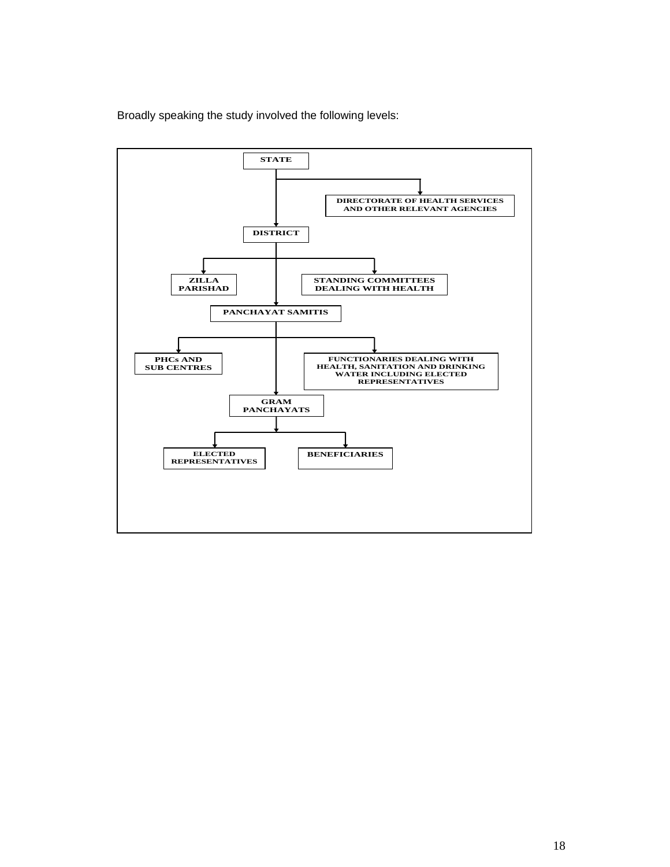Broadly speaking the study involved the following levels:

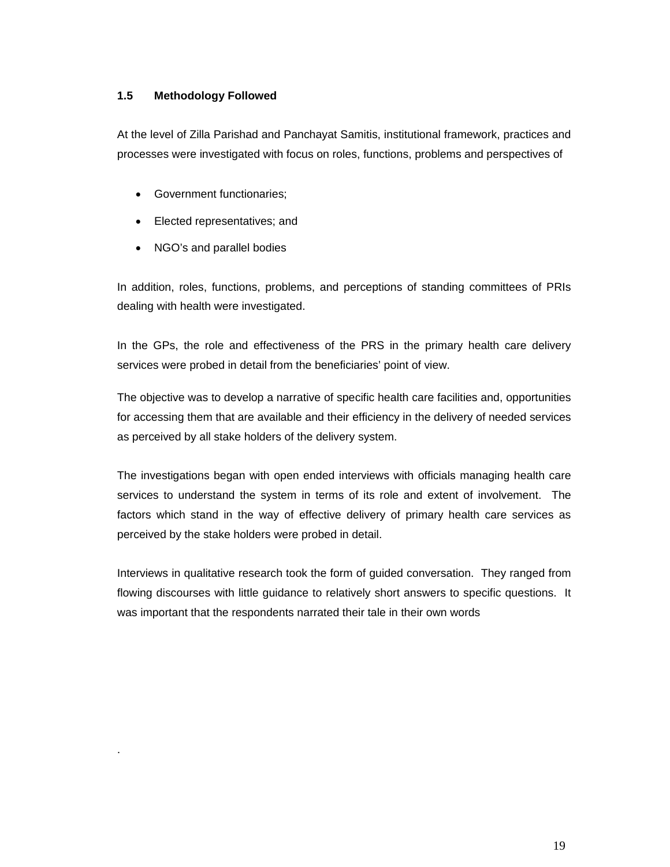#### **1.5 Methodology Followed**

At the level of Zilla Parishad and Panchayat Samitis, institutional framework, practices and processes were investigated with focus on roles, functions, problems and perspectives of

- Government functionaries;
- Elected representatives; and
- NGO's and parallel bodies

.

In addition, roles, functions, problems, and perceptions of standing committees of PRIs dealing with health were investigated.

In the GPs, the role and effectiveness of the PRS in the primary health care delivery services were probed in detail from the beneficiaries' point of view.

The objective was to develop a narrative of specific health care facilities and, opportunities for accessing them that are available and their efficiency in the delivery of needed services as perceived by all stake holders of the delivery system.

The investigations began with open ended interviews with officials managing health care services to understand the system in terms of its role and extent of involvement. The factors which stand in the way of effective delivery of primary health care services as perceived by the stake holders were probed in detail.

Interviews in qualitative research took the form of guided conversation. They ranged from flowing discourses with little guidance to relatively short answers to specific questions. It was important that the respondents narrated their tale in their own words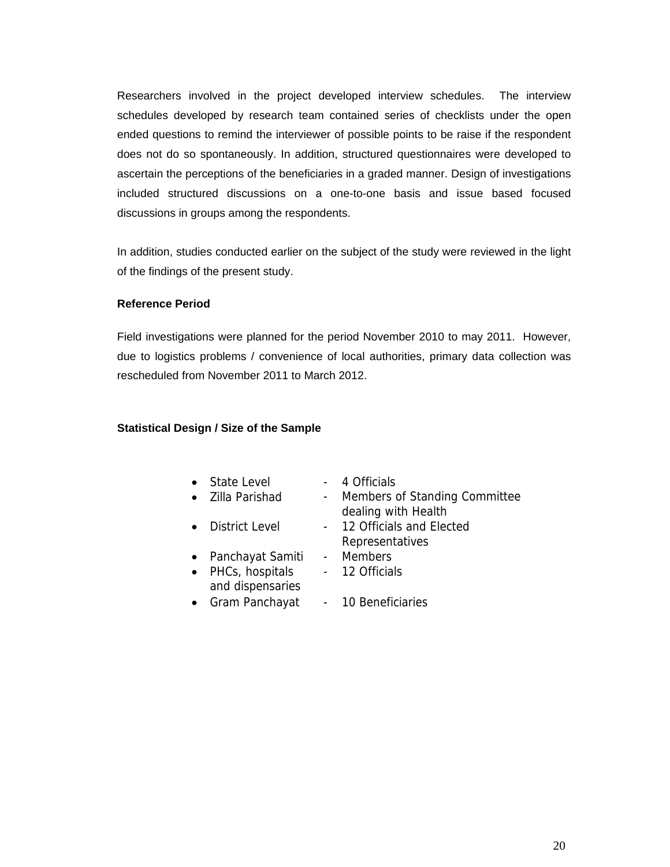Researchers involved in the project developed interview schedules. The interview schedules developed by research team contained series of checklists under the open ended questions to remind the interviewer of possible points to be raise if the respondent does not do so spontaneously. In addition, structured questionnaires were developed to ascertain the perceptions of the beneficiaries in a graded manner. Design of investigations included structured discussions on a one-to-one basis and issue based focused discussions in groups among the respondents.

In addition, studies conducted earlier on the subject of the study were reviewed in the light of the findings of the present study.

#### **Reference Period**

Field investigations were planned for the period November 2010 to may 2011. However, due to logistics problems / convenience of local authorities, primary data collection was rescheduled from November 2011 to March 2012.

#### **Statistical Design / Size of the Sample**

| • State Level    | - 4 Officials                   |
|------------------|---------------------------------|
| • Zilla Parishad | - Members of Standing Committee |
|                  | dealing with Health             |
| • District Level | - 12 Officials and Elected      |

- Representatives • Panchayat Samiti - Members
- PHCs, hospitals and dispensaries
	- 12 Officials
- Gram Panchayat 10 Beneficiaries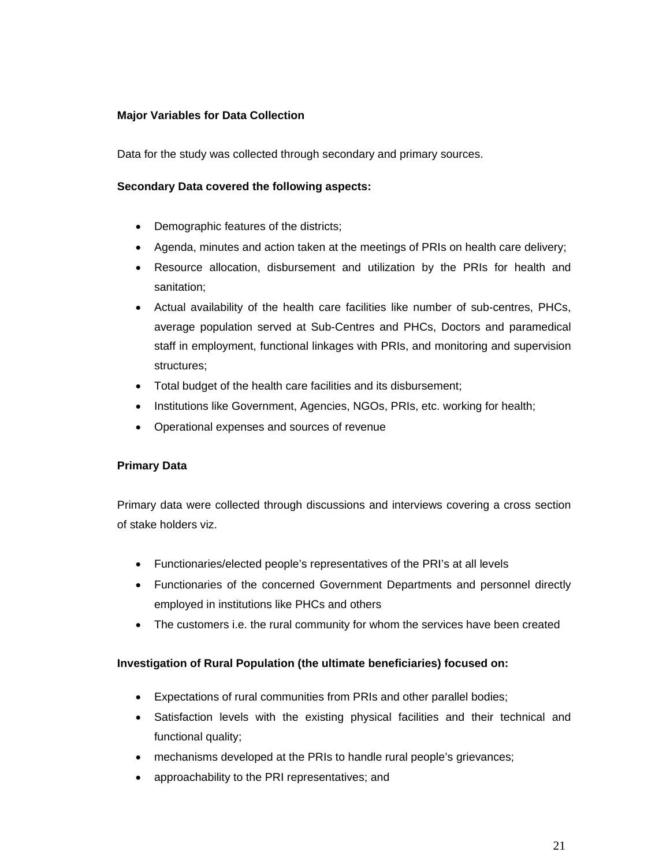#### **Major Variables for Data Collection**

Data for the study was collected through secondary and primary sources.

#### **Secondary Data covered the following aspects:**

- Demographic features of the districts;
- Agenda, minutes and action taken at the meetings of PRIs on health care delivery;
- Resource allocation, disbursement and utilization by the PRIs for health and sanitation;
- Actual availability of the health care facilities like number of sub-centres, PHCs, average population served at Sub-Centres and PHCs, Doctors and paramedical staff in employment, functional linkages with PRIs, and monitoring and supervision structures;
- Total budget of the health care facilities and its disbursement;
- Institutions like Government, Agencies, NGOs, PRIs, etc. working for health;
- Operational expenses and sources of revenue

#### **Primary Data**

Primary data were collected through discussions and interviews covering a cross section of stake holders viz.

- Functionaries/elected people's representatives of the PRI's at all levels
- Functionaries of the concerned Government Departments and personnel directly employed in institutions like PHCs and others
- The customers i.e. the rural community for whom the services have been created

#### **Investigation of Rural Population (the ultimate beneficiaries) focused on:**

- Expectations of rural communities from PRIs and other parallel bodies;
- Satisfaction levels with the existing physical facilities and their technical and functional quality;
- mechanisms developed at the PRIs to handle rural people's grievances;
- approachability to the PRI representatives; and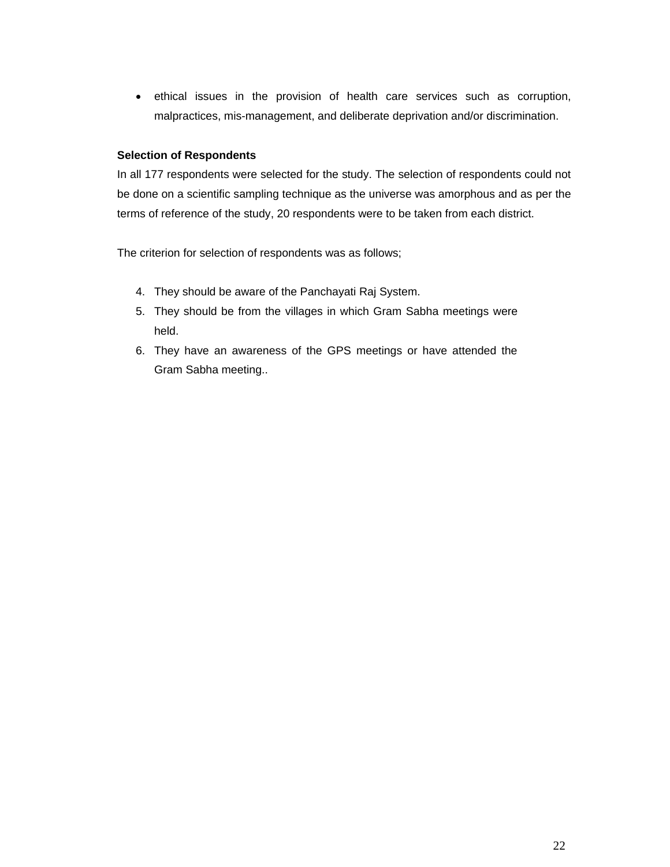• ethical issues in the provision of health care services such as corruption, malpractices, mis-management, and deliberate deprivation and/or discrimination.

#### **Selection of Respondents**

In all 177 respondents were selected for the study. The selection of respondents could not be done on a scientific sampling technique as the universe was amorphous and as per the terms of reference of the study, 20 respondents were to be taken from each district.

The criterion for selection of respondents was as follows;

- 4. They should be aware of the Panchayati Raj System.
- 5. They should be from the villages in which Gram Sabha meetings were held.
- 6. They have an awareness of the GPS meetings or have attended the Gram Sabha meeting..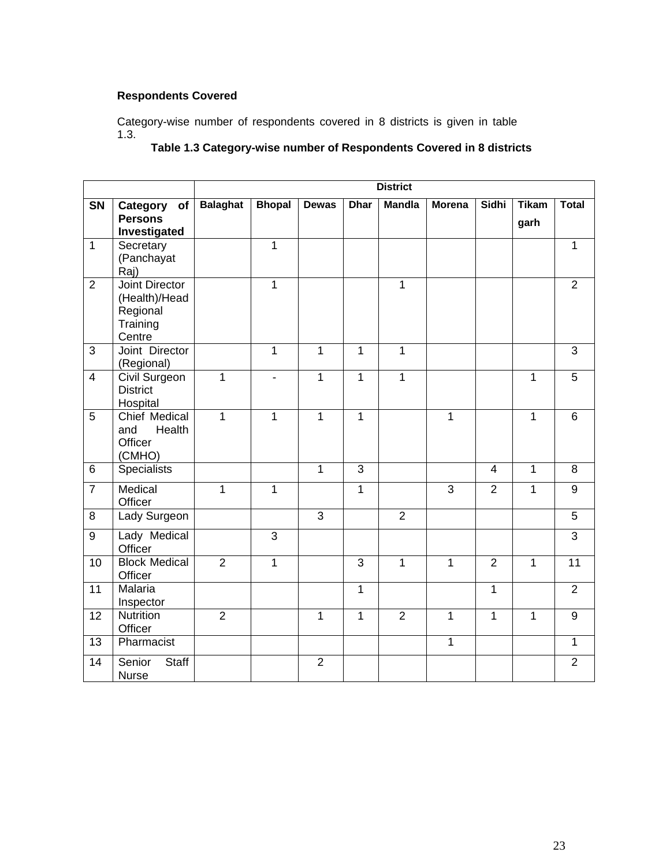#### **Respondents Covered**

Category-wise number of respondents covered in 8 districts is given in table 1.3.

#### **Table 1.3 Category-wise number of Respondents Covered in 8 districts**

|                 |                                                                          | <b>District</b> |                |                |              |                |               |                |              |                |
|-----------------|--------------------------------------------------------------------------|-----------------|----------------|----------------|--------------|----------------|---------------|----------------|--------------|----------------|
| SN              | Category<br>of                                                           | <b>Balaghat</b> | <b>Bhopal</b>  | <b>Dewas</b>   | <b>Dhar</b>  | <b>Mandla</b>  | <b>Morena</b> | <b>Sidhi</b>   | <b>Tikam</b> | <b>Total</b>   |
|                 | <b>Persons</b><br>Investigated                                           |                 |                |                |              |                |               |                | garh         |                |
| $\mathbf{1}$    | Secretary<br>(Panchayat<br>Raj)                                          |                 | 1              |                |              |                |               |                |              | $\mathbf{1}$   |
| $\overline{2}$  | <b>Joint Director</b><br>(Health)/Head<br>Regional<br>Training<br>Centre |                 | 1              |                |              | $\mathbf{1}$   |               |                |              | $\overline{2}$ |
| 3               | Joint Director<br>(Regional)                                             |                 | $\mathbf{1}$   | 1              | $\mathbf{1}$ | $\mathbf{1}$   |               |                |              | 3              |
| $\overline{4}$  | Civil Surgeon<br><b>District</b><br>Hospital                             | 1               | ÷              | 1              | $\mathbf{1}$ | $\mathbf{1}$   |               |                | $\mathbf{1}$ | $\overline{5}$ |
| 5               | Chief Medical<br>Health<br>and<br>Officer<br>(CMHO)                      | $\overline{1}$  | 1              | $\mathbf{1}$   | $\mathbf{1}$ |                | 1             |                | $\mathbf{1}$ | 6              |
| 6               | <b>Specialists</b>                                                       |                 |                | $\overline{1}$ | 3            |                |               | $\overline{4}$ | $\mathbf{1}$ | 8              |
| $\overline{7}$  | Medical<br>Officer                                                       | $\mathbf 1$     | 1              |                | $\mathbf{1}$ |                | 3             | $\overline{2}$ | 1            | 9              |
| 8               | Lady Surgeon                                                             |                 |                | $\overline{3}$ |              | $\overline{2}$ |               |                |              | $\overline{5}$ |
| $9\,$           | Lady Medical<br>Officer                                                  |                 | $\overline{3}$ |                |              |                |               |                |              | $\overline{3}$ |
| 10              | <b>Block Medical</b><br>Officer                                          | $\overline{2}$  | 1              |                | 3            | $\mathbf{1}$   | 1             | $\overline{2}$ | $\mathbf{1}$ | 11             |
| 11              | Malaria<br>Inspector                                                     |                 |                |                | $\mathbf{1}$ |                |               | $\mathbf{1}$   |              | $\overline{2}$ |
| 12              | Nutrition<br>Officer                                                     | $\overline{2}$  |                | 1              | $\mathbf{1}$ | $\overline{2}$ | $\mathbf{1}$  | $\mathbf{1}$   | $\mathbf{1}$ | $\overline{9}$ |
| $\overline{13}$ | Pharmacist                                                               |                 |                |                |              |                | $\mathbf{1}$  |                |              | $\overline{1}$ |
| 14              | Senior<br>Staff<br><b>Nurse</b>                                          |                 |                | $\overline{2}$ |              |                |               |                |              | $\overline{2}$ |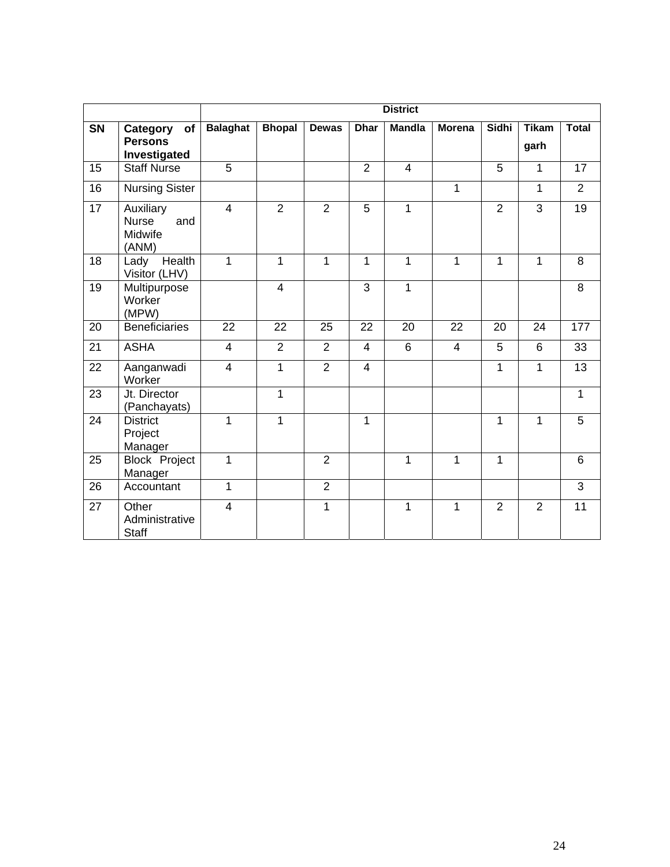|                 |                                                      | <b>District</b>         |                |                |                |                |                |                |                      |                 |
|-----------------|------------------------------------------------------|-------------------------|----------------|----------------|----------------|----------------|----------------|----------------|----------------------|-----------------|
| SN              | Category<br>of<br><b>Persons</b><br>Investigated     | <b>Balaghat</b>         | <b>Bhopal</b>  | <b>Dewas</b>   | <b>Dhar</b>    | <b>Mandla</b>  | <b>Morena</b>  | <b>Sidhi</b>   | <b>Tikam</b><br>garh | <b>Total</b>    |
| 15              | <b>Staff Nurse</b>                                   | 5                       |                |                | $\overline{2}$ | $\overline{4}$ |                | 5              | $\mathbf{1}$         | 17              |
| 16              | <b>Nursing Sister</b>                                |                         |                |                |                |                | $\mathbf{1}$   |                | $\mathbf{1}$         | $\overline{2}$  |
| 17              | Auxiliary<br><b>Nurse</b><br>and<br>Midwife<br>(ANM) | $\overline{4}$          | $\overline{2}$ | $\overline{2}$ | 5              | 1              |                | $\overline{2}$ | 3                    | 19              |
| 18              | Health<br>Lady<br>Visitor (LHV)                      | $\mathbf{1}$            | 1              | 1              | 1              | $\mathbf{1}$   | $\mathbf{1}$   | $\mathbf{1}$   | $\mathbf{1}$         | 8               |
| 19              | Multipurpose<br>Worker<br>(MPW)                      |                         | $\overline{4}$ |                | $\overline{3}$ | 1              |                |                |                      | $\overline{8}$  |
| 20              | <b>Beneficiaries</b>                                 | 22                      | 22             | 25             | 22             | 20             | 22             | 20             | 24                   | 177             |
| 21              | <b>ASHA</b>                                          | $\overline{4}$          | $\overline{2}$ | $\overline{2}$ | $\overline{4}$ | 6              | $\overline{4}$ | 5              | $6\phantom{1}$       | 33              |
| $\overline{22}$ | Aanganwadi<br>Worker                                 | $\overline{\mathbf{4}}$ | 1              | $\overline{2}$ | $\overline{4}$ |                |                | 1              | 1                    | $\overline{13}$ |
| 23              | Jt. Director<br>(Panchayats)                         |                         | $\mathbf{1}$   |                |                |                |                |                |                      | $\mathbf{1}$    |
| 24              | <b>District</b><br>Project<br>Manager                | $\mathbf{1}$            | 1              |                | 1              |                |                | 1              | $\mathbf{1}$         | 5               |
| 25              | <b>Block Project</b><br>Manager                      | $\mathbf{1}$            |                | $\overline{2}$ |                | $\mathbf{1}$   | $\mathbf{1}$   | $\mathbf{1}$   |                      | 6               |
| 26              | Accountant                                           | $\mathbf{1}$            |                | $\overline{2}$ |                |                |                |                |                      | $\overline{3}$  |
| 27              | Other<br>Administrative<br><b>Staff</b>              | $\overline{4}$          |                | 1              |                | 1              | 1              | $\overline{2}$ | $\overline{2}$       | 11              |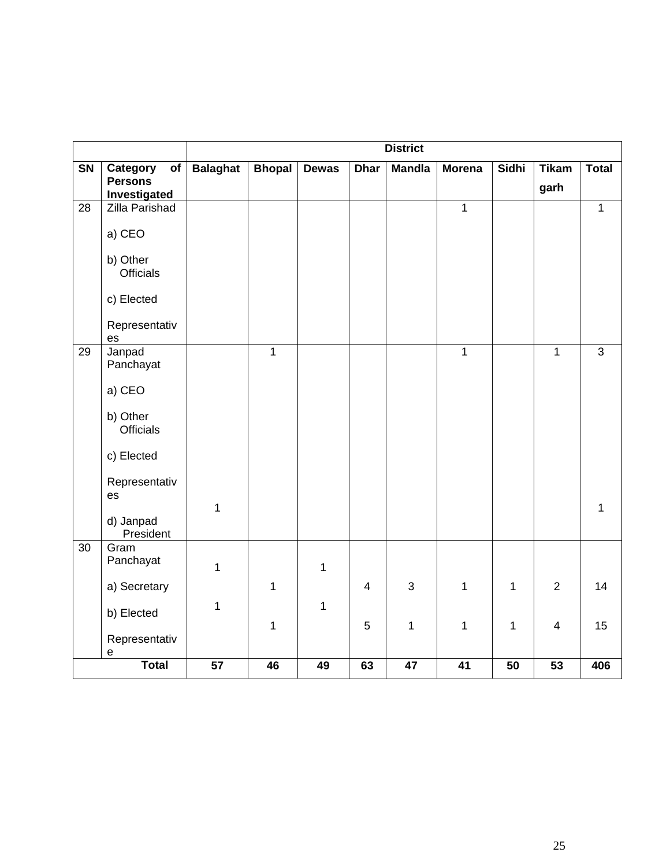|                 |                                                              | <b>District</b> |                |              |                |                 |                 |                 |                      |                |
|-----------------|--------------------------------------------------------------|-----------------|----------------|--------------|----------------|-----------------|-----------------|-----------------|----------------------|----------------|
| SN              | Category<br>o <sub>f</sub><br><b>Persons</b><br>Investigated | <b>Balaghat</b> | <b>Bhopal</b>  | <b>Dewas</b> | <b>Dhar</b>    | <b>Mandla</b>   | <b>Morena</b>   | Sidhi           | <b>Tikam</b><br>garh | <b>Total</b>   |
| $\overline{28}$ | <b>Zilla Parishad</b>                                        |                 |                |              |                |                 | $\overline{1}$  |                 |                      | $\mathbf{1}$   |
|                 | a) CEO                                                       |                 |                |              |                |                 |                 |                 |                      |                |
|                 | b) Other<br><b>Officials</b>                                 |                 |                |              |                |                 |                 |                 |                      |                |
|                 | c) Elected                                                   |                 |                |              |                |                 |                 |                 |                      |                |
|                 | Representativ<br>$\mathop{\mathsf{es}}$                      |                 |                |              |                |                 |                 |                 |                      |                |
| 29              | Janpad<br>Panchayat                                          |                 | $\overline{1}$ |              |                |                 | $\mathbf{1}$    |                 | $\mathbf{1}$         | $\overline{3}$ |
|                 | a) CEO                                                       |                 |                |              |                |                 |                 |                 |                      |                |
|                 | b) Other<br><b>Officials</b>                                 |                 |                |              |                |                 |                 |                 |                      |                |
|                 | c) Elected                                                   |                 |                |              |                |                 |                 |                 |                      |                |
|                 | Representativ<br>es                                          |                 |                |              |                |                 |                 |                 |                      |                |
|                 | d) Janpad<br>President                                       | $\mathbf{1}$    |                |              |                |                 |                 |                 |                      | $\mathbf{1}$   |
| $\overline{30}$ | Gram<br>Panchayat                                            | $\mathbf{1}$    |                | 1            |                |                 |                 |                 |                      |                |
|                 | a) Secretary                                                 |                 | $\mathbf{1}$   |              | $\overline{4}$ | $\sqrt{3}$      | $\mathbf 1$     | 1               | $\overline{2}$       | 14             |
|                 | b) Elected                                                   | $\mathbf{1}$    | $\mathbf{1}$   | 1            | 5              | $\mathbf 1$     | $\mathbf{1}$    | 1               | 4                    | 15             |
|                 | Representativ<br>e                                           |                 |                |              |                |                 |                 |                 |                      |                |
|                 | <b>Total</b>                                                 | $\overline{57}$ | 46             | 49           | 63             | $\overline{47}$ | $\overline{41}$ | $\overline{50}$ | $\overline{53}$      | 406            |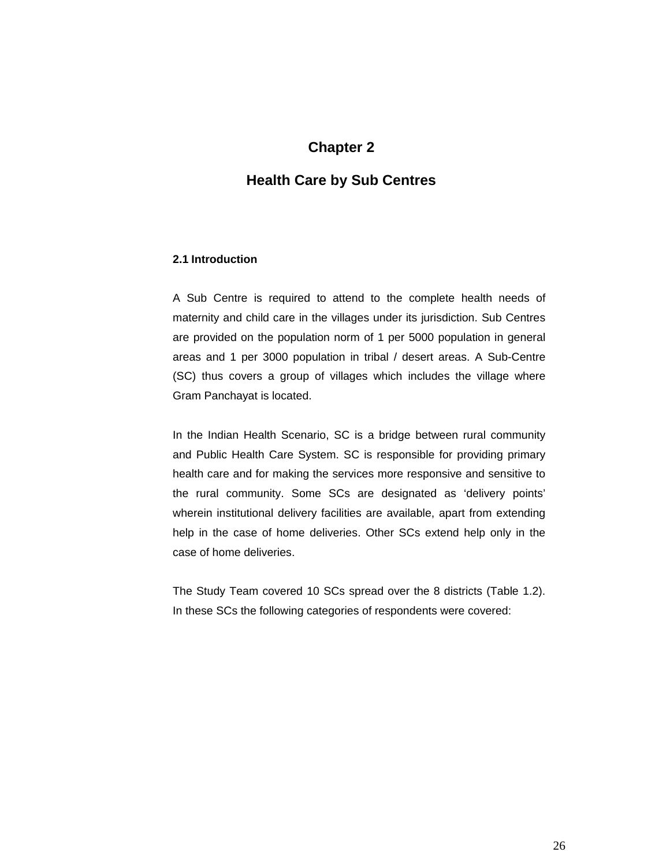#### **Chapter 2**

#### **Health Care by Sub Centres**

#### **2.1 Introduction**

A Sub Centre is required to attend to the complete health needs of maternity and child care in the villages under its jurisdiction. Sub Centres are provided on the population norm of 1 per 5000 population in general areas and 1 per 3000 population in tribal / desert areas. A Sub-Centre (SC) thus covers a group of villages which includes the village where Gram Panchayat is located.

In the Indian Health Scenario, SC is a bridge between rural community and Public Health Care System. SC is responsible for providing primary health care and for making the services more responsive and sensitive to the rural community. Some SCs are designated as 'delivery points' wherein institutional delivery facilities are available, apart from extending help in the case of home deliveries. Other SCs extend help only in the case of home deliveries.

The Study Team covered 10 SCs spread over the 8 districts (Table 1.2). In these SCs the following categories of respondents were covered: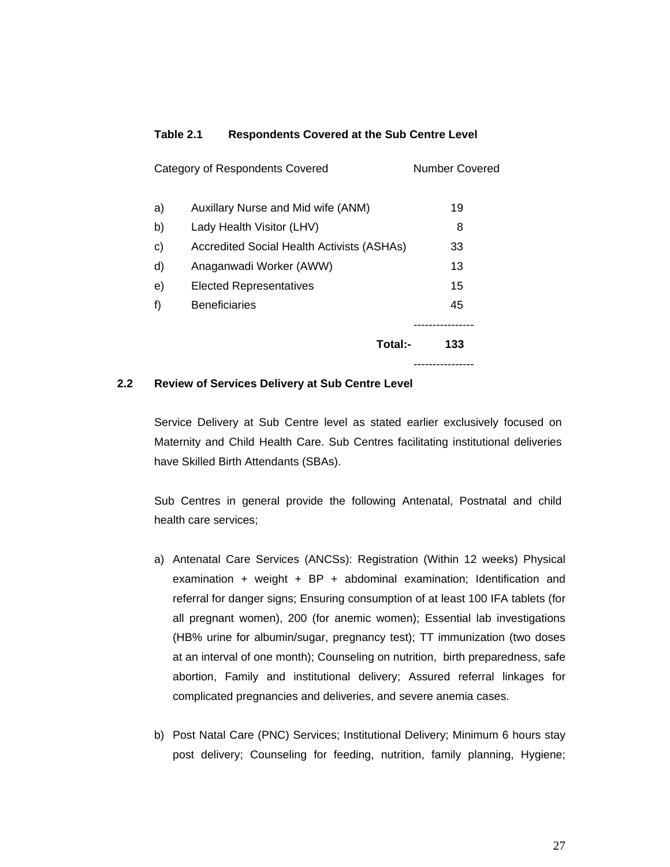#### **Table 2.1 Respondents Covered at the Sub Centre Level**

|    | Total:-                                           | 133            |
|----|---------------------------------------------------|----------------|
| f) | <b>Beneficiaries</b>                              | 45             |
| e) | <b>Elected Representatives</b>                    | 15             |
| d) | Anaganwadi Worker (AWW)                           | 13             |
| c) | <b>Accredited Social Health Activists (ASHAs)</b> | 33             |
| b) | Lady Health Visitor (LHV)                         | 8              |
| a) | Auxillary Nurse and Mid wife (ANM)                | 19             |
|    | Category of Respondents Covered                   | Number Covered |
|    |                                                   |                |

#### **2.2 Review of Services Delivery at Sub Centre Level**

Service Delivery at Sub Centre level as stated earlier exclusively focused on Maternity and Child Health Care. Sub Centres facilitating institutional deliveries have Skilled Birth Attendants (SBAs).

Sub Centres in general provide the following Antenatal, Postnatal and child health care services;

- a) Antenatal Care Services (ANCSs): Registration (Within 12 weeks) Physical examination + weight +  $BP$  + abdominal examination; Identification and referral for danger signs; Ensuring consumption of at least 100 IFA tablets (for all pregnant women), 200 (for anemic women); Essential lab investigations (HB% urine for albumin/sugar, pregnancy test); TT immunization (two doses at an interval of one month); Counseling on nutrition, birth preparedness, safe abortion, Family and institutional delivery; Assured referral linkages for complicated pregnancies and deliveries, and severe anemia cases.
- b) Post Natal Care (PNC) Services; Institutional Delivery; Minimum 6 hours stay post delivery; Counseling for feeding, nutrition, family planning, Hygiene;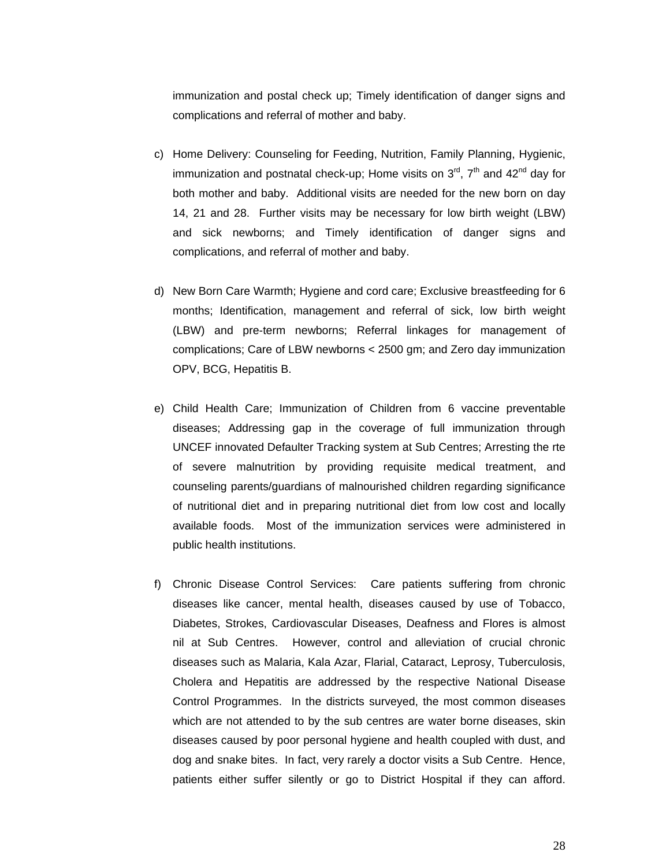immunization and postal check up; Timely identification of danger signs and complications and referral of mother and baby.

- c) Home Delivery: Counseling for Feeding, Nutrition, Family Planning, Hygienic, immunization and postnatal check-up; Home visits on  $3<sup>rd</sup>$ ,  $7<sup>th</sup>$  and  $42<sup>nd</sup>$  day for both mother and baby. Additional visits are needed for the new born on day 14, 21 and 28. Further visits may be necessary for low birth weight (LBW) and sick newborns; and Timely identification of danger signs and complications, and referral of mother and baby.
- d) New Born Care Warmth; Hygiene and cord care; Exclusive breastfeeding for 6 months; Identification, management and referral of sick, low birth weight (LBW) and pre-term newborns; Referral linkages for management of complications; Care of LBW newborns < 2500 gm; and Zero day immunization OPV, BCG, Hepatitis B.
- e) Child Health Care; Immunization of Children from 6 vaccine preventable diseases; Addressing gap in the coverage of full immunization through UNCEF innovated Defaulter Tracking system at Sub Centres; Arresting the rte of severe malnutrition by providing requisite medical treatment, and counseling parents/guardians of malnourished children regarding significance of nutritional diet and in preparing nutritional diet from low cost and locally available foods. Most of the immunization services were administered in public health institutions.
- f) Chronic Disease Control Services: Care patients suffering from chronic diseases like cancer, mental health, diseases caused by use of Tobacco, Diabetes, Strokes, Cardiovascular Diseases, Deafness and Flores is almost nil at Sub Centres. However, control and alleviation of crucial chronic diseases such as Malaria, Kala Azar, Flarial, Cataract, Leprosy, Tuberculosis, Cholera and Hepatitis are addressed by the respective National Disease Control Programmes. In the districts surveyed, the most common diseases which are not attended to by the sub centres are water borne diseases, skin diseases caused by poor personal hygiene and health coupled with dust, and dog and snake bites. In fact, very rarely a doctor visits a Sub Centre. Hence, patients either suffer silently or go to District Hospital if they can afford.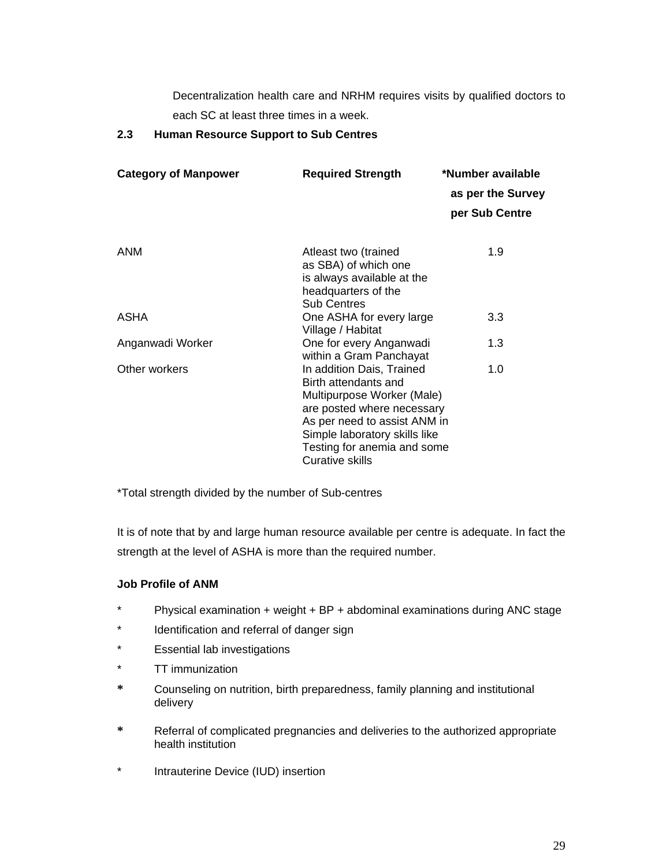Decentralization health care and NRHM requires visits by qualified doctors to each SC at least three times in a week.

#### **2.3 Human Resource Support to Sub Centres**

| <b>Category of Manpower</b> | <b>Required Strength</b>                           | *Number available<br>as per the Survey<br>per Sub Centre |
|-----------------------------|----------------------------------------------------|----------------------------------------------------------|
| <b>ANM</b>                  | Atleast two (trained                               | 1.9                                                      |
|                             | as SBA) of which one                               |                                                          |
|                             | is always available at the                         |                                                          |
|                             | headquarters of the<br><b>Sub Centres</b>          |                                                          |
| ASHA                        | One ASHA for every large                           | 3.3                                                      |
|                             | Village / Habitat                                  |                                                          |
| Anganwadi Worker            | One for every Anganwadi<br>within a Gram Panchayat | 1.3                                                      |
| Other workers               | In addition Dais, Trained                          | 1.0                                                      |
|                             | Birth attendants and                               |                                                          |
|                             | Multipurpose Worker (Male)                         |                                                          |
|                             | are posted where necessary                         |                                                          |
|                             | As per need to assist ANM in                       |                                                          |
|                             | Simple laboratory skills like                      |                                                          |
|                             | Testing for anemia and some                        |                                                          |
|                             | <b>Curative skills</b>                             |                                                          |

\*Total strength divided by the number of Sub-centres

It is of note that by and large human resource available per centre is adequate. In fact the strength at the level of ASHA is more than the required number.

#### **Job Profile of ANM**

- \* Physical examination + weight + BP + abdominal examinations during ANC stage
- \* Identification and referral of danger sign
- \* Essential lab investigations
- \* TT immunization
- **\*** Counseling on nutrition, birth preparedness, family planning and institutional delivery
- **\*** Referral of complicated pregnancies and deliveries to the authorized appropriate health institution
- Intrauterine Device (IUD) insertion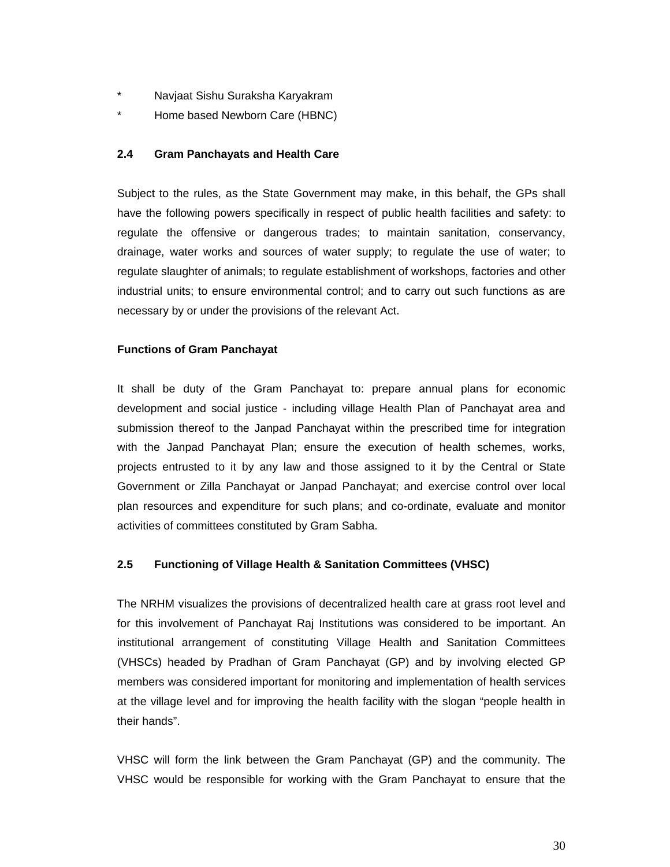- \* Navjaat Sishu Suraksha Karyakram
- \* Home based Newborn Care (HBNC)

#### **2.4 Gram Panchayats and Health Care**

Subject to the rules, as the State Government may make, in this behalf, the GPs shall have the following powers specifically in respect of public health facilities and safety: to regulate the offensive or dangerous trades; to maintain sanitation, conservancy, drainage, water works and sources of water supply; to regulate the use of water; to regulate slaughter of animals; to regulate establishment of workshops, factories and other industrial units; to ensure environmental control; and to carry out such functions as are necessary by or under the provisions of the relevant Act.

#### **Functions of Gram Panchayat**

It shall be duty of the Gram Panchayat to: prepare annual plans for economic development and social justice - including village Health Plan of Panchayat area and submission thereof to the Janpad Panchayat within the prescribed time for integration with the Janpad Panchayat Plan; ensure the execution of health schemes, works, projects entrusted to it by any law and those assigned to it by the Central or State Government or Zilla Panchayat or Janpad Panchayat; and exercise control over local plan resources and expenditure for such plans; and co-ordinate, evaluate and monitor activities of committees constituted by Gram Sabha.

#### **2.5 Functioning of Village Health & Sanitation Committees (VHSC)**

The NRHM visualizes the provisions of decentralized health care at grass root level and for this involvement of Panchayat Raj Institutions was considered to be important. An institutional arrangement of constituting Village Health and Sanitation Committees (VHSCs) headed by Pradhan of Gram Panchayat (GP) and by involving elected GP members was considered important for monitoring and implementation of health services at the village level and for improving the health facility with the slogan "people health in their hands".

VHSC will form the link between the Gram Panchayat (GP) and the community. The VHSC would be responsible for working with the Gram Panchayat to ensure that the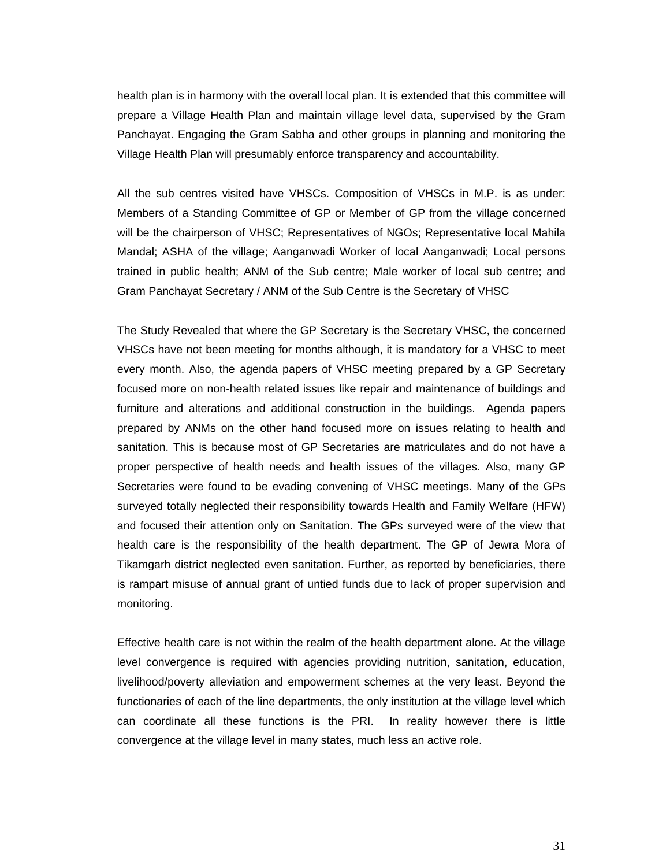health plan is in harmony with the overall local plan. It is extended that this committee will prepare a Village Health Plan and maintain village level data, supervised by the Gram Panchayat. Engaging the Gram Sabha and other groups in planning and monitoring the Village Health Plan will presumably enforce transparency and accountability.

All the sub centres visited have VHSCs. Composition of VHSCs in M.P. is as under: Members of a Standing Committee of GP or Member of GP from the village concerned will be the chairperson of VHSC; Representatives of NGOs; Representative local Mahila Mandal; ASHA of the village; Aanganwadi Worker of local Aanganwadi; Local persons trained in public health; ANM of the Sub centre; Male worker of local sub centre; and Gram Panchayat Secretary / ANM of the Sub Centre is the Secretary of VHSC

The Study Revealed that where the GP Secretary is the Secretary VHSC, the concerned VHSCs have not been meeting for months although, it is mandatory for a VHSC to meet every month. Also, the agenda papers of VHSC meeting prepared by a GP Secretary focused more on non-health related issues like repair and maintenance of buildings and furniture and alterations and additional construction in the buildings. Agenda papers prepared by ANMs on the other hand focused more on issues relating to health and sanitation. This is because most of GP Secretaries are matriculates and do not have a proper perspective of health needs and health issues of the villages. Also, many GP Secretaries were found to be evading convening of VHSC meetings. Many of the GPs surveyed totally neglected their responsibility towards Health and Family Welfare (HFW) and focused their attention only on Sanitation. The GPs surveyed were of the view that health care is the responsibility of the health department. The GP of Jewra Mora of Tikamgarh district neglected even sanitation. Further, as reported by beneficiaries, there is rampart misuse of annual grant of untied funds due to lack of proper supervision and monitoring.

Effective health care is not within the realm of the health department alone. At the village level convergence is required with agencies providing nutrition, sanitation, education, livelihood/poverty alleviation and empowerment schemes at the very least. Beyond the functionaries of each of the line departments, the only institution at the village level which can coordinate all these functions is the PRI. In reality however there is little convergence at the village level in many states, much less an active role.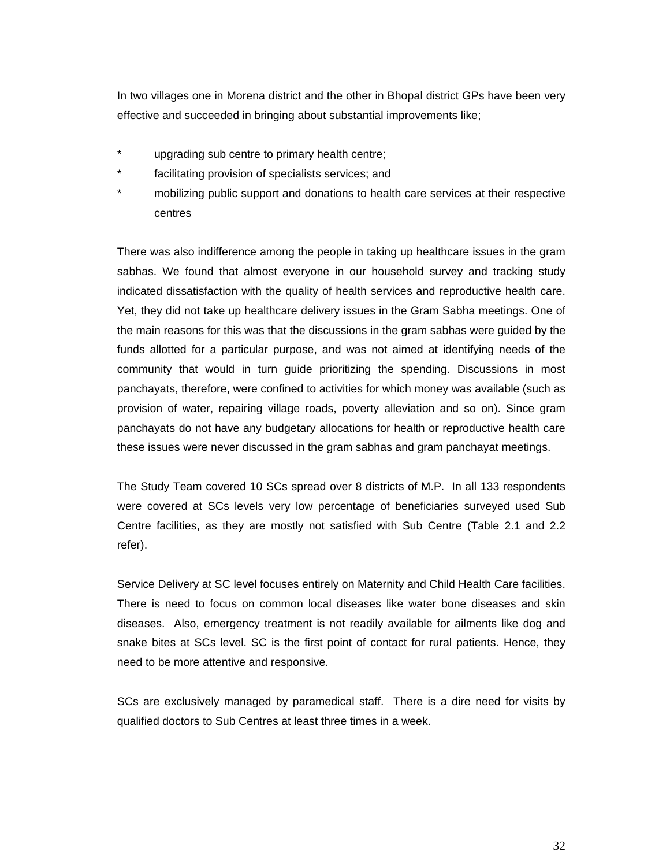In two villages one in Morena district and the other in Bhopal district GPs have been very effective and succeeded in bringing about substantial improvements like;

- upgrading sub centre to primary health centre;
- facilitating provision of specialists services; and
- \* mobilizing public support and donations to health care services at their respective centres

There was also indifference among the people in taking up healthcare issues in the gram sabhas. We found that almost everyone in our household survey and tracking study indicated dissatisfaction with the quality of health services and reproductive health care. Yet, they did not take up healthcare delivery issues in the Gram Sabha meetings. One of the main reasons for this was that the discussions in the gram sabhas were guided by the funds allotted for a particular purpose, and was not aimed at identifying needs of the community that would in turn guide prioritizing the spending. Discussions in most panchayats, therefore, were confined to activities for which money was available (such as provision of water, repairing village roads, poverty alleviation and so on). Since gram panchayats do not have any budgetary allocations for health or reproductive health care these issues were never discussed in the gram sabhas and gram panchayat meetings.

The Study Team covered 10 SCs spread over 8 districts of M.P. In all 133 respondents were covered at SCs levels very low percentage of beneficiaries surveyed used Sub Centre facilities, as they are mostly not satisfied with Sub Centre (Table 2.1 and 2.2 refer).

Service Delivery at SC level focuses entirely on Maternity and Child Health Care facilities. There is need to focus on common local diseases like water bone diseases and skin diseases. Also, emergency treatment is not readily available for ailments like dog and snake bites at SCs level. SC is the first point of contact for rural patients. Hence, they need to be more attentive and responsive.

SCs are exclusively managed by paramedical staff. There is a dire need for visits by qualified doctors to Sub Centres at least three times in a week.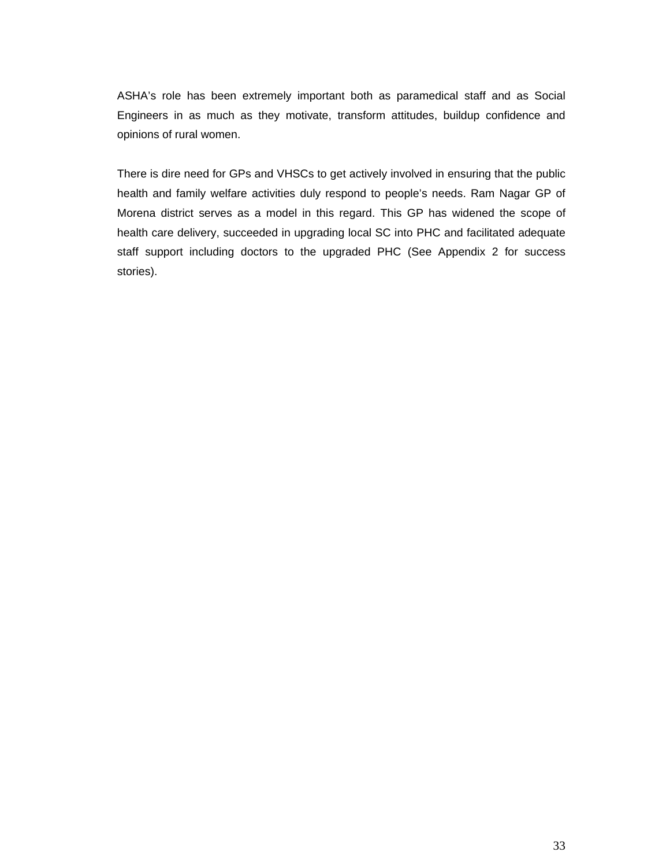ASHA's role has been extremely important both as paramedical staff and as Social Engineers in as much as they motivate, transform attitudes, buildup confidence and opinions of rural women.

There is dire need for GPs and VHSCs to get actively involved in ensuring that the public health and family welfare activities duly respond to people's needs. Ram Nagar GP of Morena district serves as a model in this regard. This GP has widened the scope of health care delivery, succeeded in upgrading local SC into PHC and facilitated adequate staff support including doctors to the upgraded PHC (See Appendix 2 for success stories).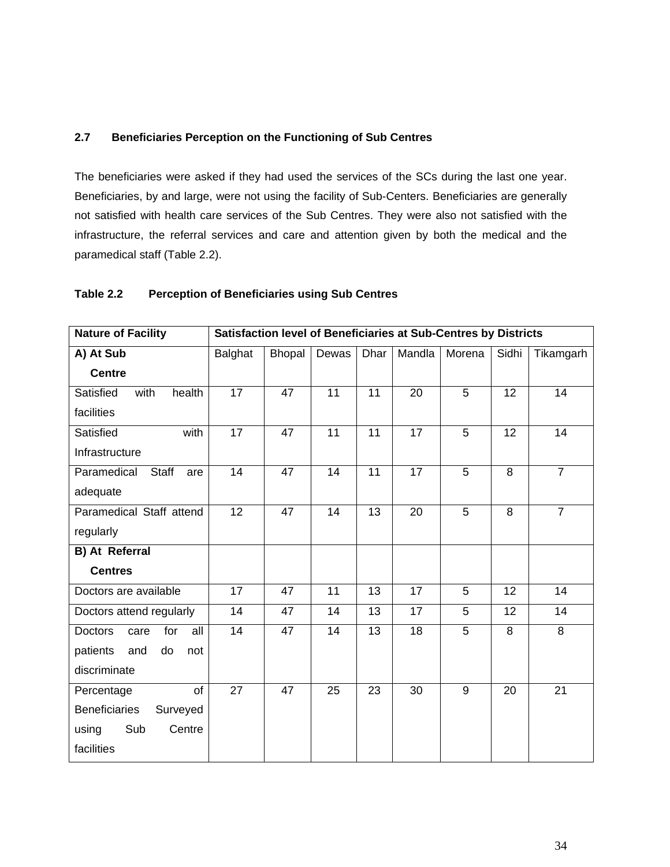#### **2.7 Beneficiaries Perception on the Functioning of Sub Centres**

The beneficiaries were asked if they had used the services of the SCs during the last one year. Beneficiaries, by and large, were not using the facility of Sub-Centers. Beneficiaries are generally not satisfied with health care services of the Sub Centres. They were also not satisfied with the infrastructure, the referral services and care and attention given by both the medical and the paramedical staff (Table 2.2).

#### **Table 2.2 Perception of Beneficiaries using Sub Centres**

| <b>Nature of Facility</b>            | Satisfaction level of Beneficiaries at Sub-Centres by Districts |               |       |             |        |        |                 |                |  |  |
|--------------------------------------|-----------------------------------------------------------------|---------------|-------|-------------|--------|--------|-----------------|----------------|--|--|
| A) At Sub                            | Balghat                                                         | <b>Bhopal</b> | Dewas | <b>Dhar</b> | Mandla | Morena | Sidhi           | Tikamgarh      |  |  |
| <b>Centre</b>                        |                                                                 |               |       |             |        |        |                 |                |  |  |
| Satisfied<br>with<br>health          | $\overline{17}$                                                 | 47            | 11    | 11          | 20     | 5      | $\overline{12}$ | 14             |  |  |
| facilities                           |                                                                 |               |       |             |        |        |                 |                |  |  |
| Satisfied<br>with                    | 17                                                              | 47            | 11    | 11          | 17     | 5      | 12              | 14             |  |  |
| Infrastructure                       |                                                                 |               |       |             |        |        |                 |                |  |  |
| Paramedical<br>Staff<br>are          | 14                                                              | 47            | 14    | 11          | 17     | 5      | 8               | $\overline{7}$ |  |  |
| adequate                             |                                                                 |               |       |             |        |        |                 |                |  |  |
| Paramedical Staff attend             | 12                                                              | 47            | 14    | 13          | 20     | 5      | 8               | $\overline{7}$ |  |  |
| regularly                            |                                                                 |               |       |             |        |        |                 |                |  |  |
| <b>B)</b> At Referral                |                                                                 |               |       |             |        |        |                 |                |  |  |
| <b>Centres</b>                       |                                                                 |               |       |             |        |        |                 |                |  |  |
| Doctors are available                | 17                                                              | 47            | 11    | 13          | 17     | 5      | 12              | 14             |  |  |
| Doctors attend regularly             | 14                                                              | 47            | 14    | 13          | 17     | 5      | 12              | 14             |  |  |
| <b>Doctors</b><br>for<br>all<br>care | 14                                                              | 47            | 14    | 13          | 18     | 5      | 8               | 8              |  |  |
| patients<br>and<br>do<br>not         |                                                                 |               |       |             |        |        |                 |                |  |  |
| discriminate                         |                                                                 |               |       |             |        |        |                 |                |  |  |
| of<br>Percentage                     | 27                                                              | 47            | 25    | 23          | 30     | 9      | 20              | 21             |  |  |
| <b>Beneficiaries</b><br>Surveyed     |                                                                 |               |       |             |        |        |                 |                |  |  |
| Sub<br>Centre<br>using               |                                                                 |               |       |             |        |        |                 |                |  |  |
| facilities                           |                                                                 |               |       |             |        |        |                 |                |  |  |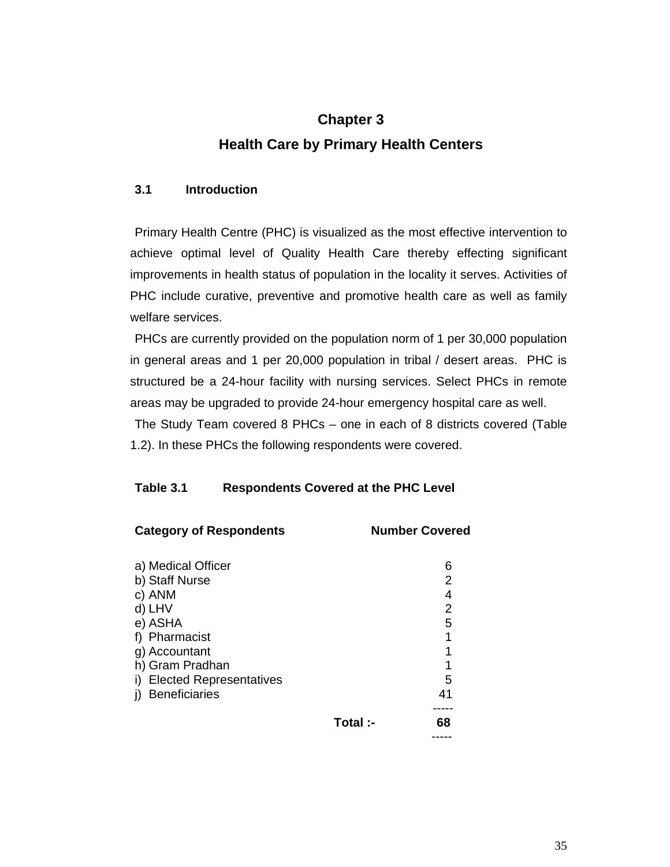# **Chapter 3 Health Care by Primary Health Centers**

## **3.1 Introduction**

Primary Health Centre (PHC) is visualized as the most effective intervention to achieve optimal level of Quality Health Care thereby effecting significant improvements in health status of population in the locality it serves. Activities of PHC include curative, preventive and promotive health care as well as family welfare services.

PHCs are currently provided on the population norm of 1 per 30,000 population in general areas and 1 per 20,000 population in tribal / desert areas. PHC is structured be a 24-hour facility with nursing services. Select PHCs in remote areas may be upgraded to provide 24-hour emergency hospital care as well.

The Study Team covered 8 PHCs – one in each of 8 districts covered (Table 1.2). In these PHCs the following respondents were covered.

## **Table 3.1 Respondents Covered at the PHC Level**

| <b>Category of Respondents</b> |          | <b>Number Covered</b> |
|--------------------------------|----------|-----------------------|
| a) Medical Officer             |          | 6                     |
| b) Staff Nurse                 |          | 2                     |
| c) ANM                         |          | 4                     |
| d) LHV                         |          | $\overline{2}$        |
| e) ASHA                        |          | 5                     |
| f) Pharmacist                  |          | 1                     |
| g) Accountant                  |          | 1                     |
| h) Gram Pradhan                |          | 1                     |
| i) Elected Representatives     |          | 5                     |
| <b>Beneficiaries</b>           |          | 41                    |
|                                | Total :- | 68                    |
|                                |          |                       |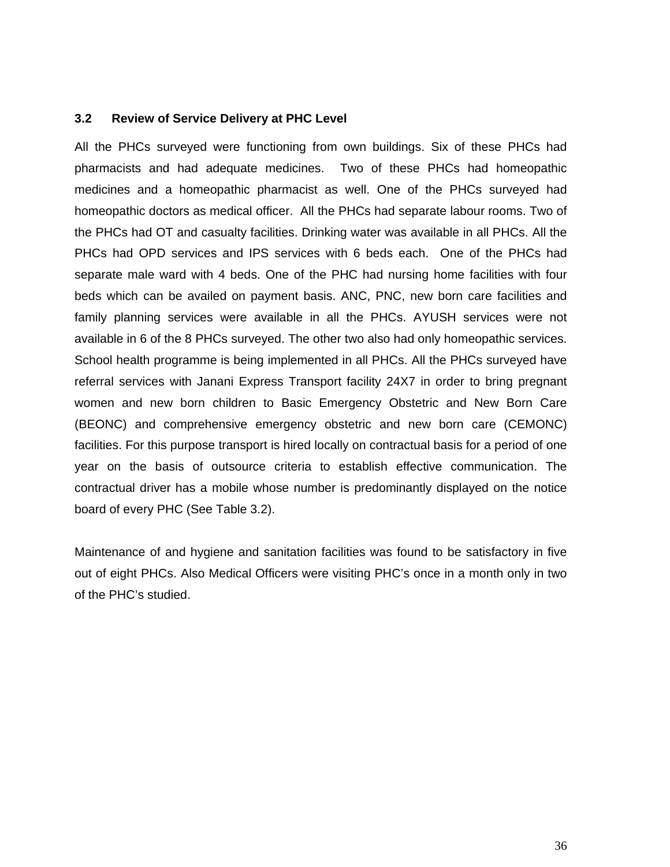### **3.2 Review of Service Delivery at PHC Level**

All the PHCs surveyed were functioning from own buildings. Six of these PHCs had pharmacists and had adequate medicines. Two of these PHCs had homeopathic medicines and a homeopathic pharmacist as well. One of the PHCs surveyed had homeopathic doctors as medical officer. All the PHCs had separate labour rooms. Two of the PHCs had OT and casualty facilities. Drinking water was available in all PHCs. All the PHCs had OPD services and IPS services with 6 beds each. One of the PHCs had separate male ward with 4 beds. One of the PHC had nursing home facilities with four beds which can be availed on payment basis. ANC, PNC, new born care facilities and family planning services were available in all the PHCs. AYUSH services were not available in 6 of the 8 PHCs surveyed. The other two also had only homeopathic services. School health programme is being implemented in all PHCs. All the PHCs surveyed have referral services with Janani Express Transport facility 24X7 in order to bring pregnant women and new born children to Basic Emergency Obstetric and New Born Care (BEONC) and comprehensive emergency obstetric and new born care (CEMONC) facilities. For this purpose transport is hired locally on contractual basis for a period of one year on the basis of outsource criteria to establish effective communication. The contractual driver has a mobile whose number is predominantly displayed on the notice board of every PHC (See Table 3.2).

Maintenance of and hygiene and sanitation facilities was found to be satisfactory in five out of eight PHCs. Also Medical Officers were visiting PHC's once in a month only in two of the PHC's studied.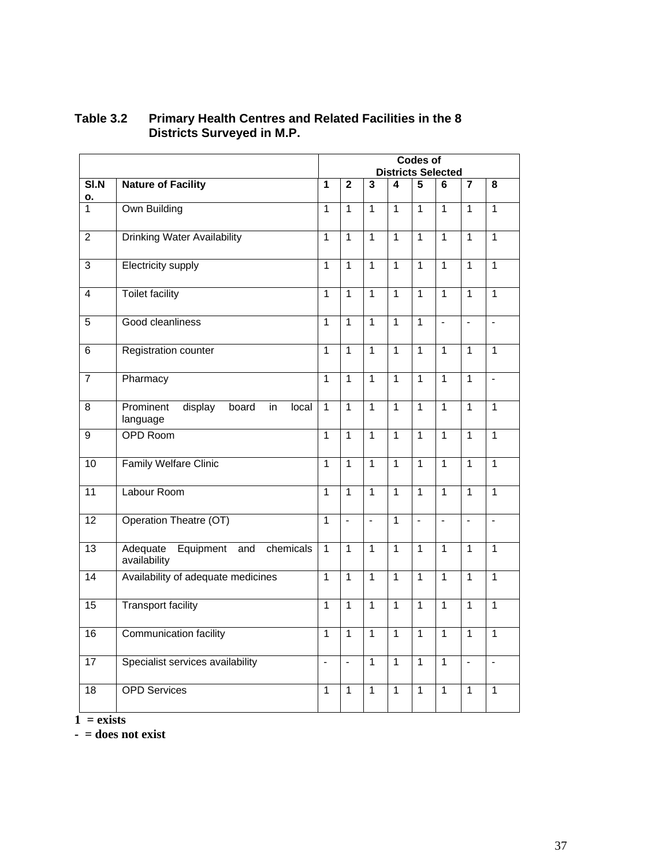|                 |                                                           | <b>Codes of</b><br><b>Districts Selected</b> |                          |                         |                |                |                |                         |                         |  |
|-----------------|-----------------------------------------------------------|----------------------------------------------|--------------------------|-------------------------|----------------|----------------|----------------|-------------------------|-------------------------|--|
| SIN             | <b>Nature of Facility</b>                                 | $\overline{1}$                               | $\overline{2}$           | $\overline{\mathbf{3}}$ | 4              | 5              | 6              | $\overline{\mathbf{7}}$ | $\overline{\mathbf{8}}$ |  |
| ο.<br>1         | Own Building                                              | $\overline{1}$                               | $\overline{1}$           | $\overline{1}$          | $\overline{1}$ | $\overline{1}$ | $\overline{1}$ | $\overline{1}$          | $\mathbf{1}$            |  |
| $\overline{2}$  | <b>Drinking Water Availability</b>                        | $\overline{1}$                               | $\overline{1}$           | $\overline{1}$          | $\overline{1}$ | $\overline{1}$ | $\overline{1}$ | $\overline{1}$          | $\overline{1}$          |  |
| $\overline{3}$  | <b>Electricity supply</b>                                 | $\overline{1}$                               | $\overline{1}$           | $\overline{1}$          | $\overline{1}$ | $\overline{1}$ | $\overline{1}$ | $\overline{1}$          | $\overline{1}$          |  |
| $\overline{4}$  | <b>Toilet facility</b>                                    | 1                                            | $\overline{1}$           | $\overline{1}$          | $\overline{1}$ | $\mathbf{1}$   | $\overline{1}$ | $\overline{1}$          | $\overline{1}$          |  |
| 5               | Good cleanliness                                          | $\mathbf{1}$                                 | $\mathbf{1}$             | $\mathbf{1}$            | $\mathbf{1}$   | $\mathbf{1}$   | $\overline{a}$ | $\overline{a}$          | $\overline{a}$          |  |
| 6               | Registration counter                                      | $\overline{1}$                               | $\overline{1}$           | $\overline{1}$          | $\overline{1}$ | $\overline{1}$ | 1              | $\overline{1}$          | $\overline{1}$          |  |
| $\overline{7}$  | Pharmacy                                                  | 1                                            | 1                        | $\overline{1}$          | $\overline{1}$ | $\overline{1}$ | $\overline{1}$ | $\overline{1}$          | $\overline{a}$          |  |
| 8               | Prominent<br>display<br>board<br>in<br>local<br>language  | $\overline{1}$                               | $\overline{1}$           | $\overline{1}$          | $\overline{1}$ | $\overline{1}$ | $\overline{1}$ | $\overline{1}$          | $\overline{1}$          |  |
| $\overline{9}$  | <b>OPD Room</b>                                           | $\overline{1}$                               | $\overline{1}$           | $\overline{1}$          | $\overline{1}$ | $\overline{1}$ | $\overline{1}$ | $\overline{1}$          | $\overline{1}$          |  |
| $\overline{10}$ | <b>Family Welfare Clinic</b>                              | $\overline{1}$                               | $\overline{1}$           | $\overline{1}$          | $\overline{1}$ | $\overline{1}$ | $\overline{1}$ | $\overline{1}$          | $\overline{1}$          |  |
| $\overline{11}$ | Labour Room                                               | $\overline{1}$                               | $\mathbf{1}$             | $\overline{1}$          | $\overline{1}$ | $\overline{1}$ | $\overline{1}$ | $\overline{1}$          | $\overline{1}$          |  |
| 12              | Operation Theatre (OT)                                    | $\overline{1}$                               | $\blacksquare$           | $\blacksquare$          | $\overline{1}$ | $\blacksquare$ | $\blacksquare$ | $\blacksquare$          | $\blacksquare$          |  |
| $\overline{13}$ | Adequate<br>Equipment<br>chemicals<br>and<br>availability | $\overline{1}$                               | $\overline{1}$           | $\overline{1}$          | $\overline{1}$ | $\overline{1}$ | $\overline{1}$ | $\mathbf{1}$            | $\overline{1}$          |  |
| 14              | Availability of adequate medicines                        | $\mathbf{1}$                                 | $\mathbf{1}$             | $\overline{1}$          | $\mathbf{1}$   | $\mathbf{1}$   | $\overline{1}$ | $\overline{1}$          | $\overline{1}$          |  |
| $\overline{15}$ | <b>Transport facility</b>                                 | $\overline{1}$                               | $\overline{1}$           | $\overline{1}$          | $\overline{1}$ | $\overline{1}$ | $\overline{1}$ | $\overline{1}$          | $\overline{1}$          |  |
| $\overline{16}$ | Communication facility                                    | $\overline{1}$                               | $\overline{1}$           | $\overline{1}$          | $\overline{1}$ | $\overline{1}$ | $\overline{1}$ | $\overline{1}$          | $\overline{1}$          |  |
| $\overline{17}$ | Specialist services availability                          | $\overline{a}$                               | $\overline{\phantom{a}}$ | $\overline{1}$          | $\overline{1}$ | $\overline{1}$ | $\overline{1}$ | $\overline{a}$          | $\overline{a}$          |  |
| 18              | <b>OPD Services</b>                                       | $\mathbf{1}$                                 | $\overline{1}$           | $\mathbf{1}$            | $\overline{1}$ | $\overline{1}$ | $\overline{1}$ | $\overline{1}$          | 1                       |  |

### **Table 3.2 Primary Health Centres and Related Facilities in the 8 Districts Surveyed in M.P.**

 $1 = exists$ 

**- = does not exist**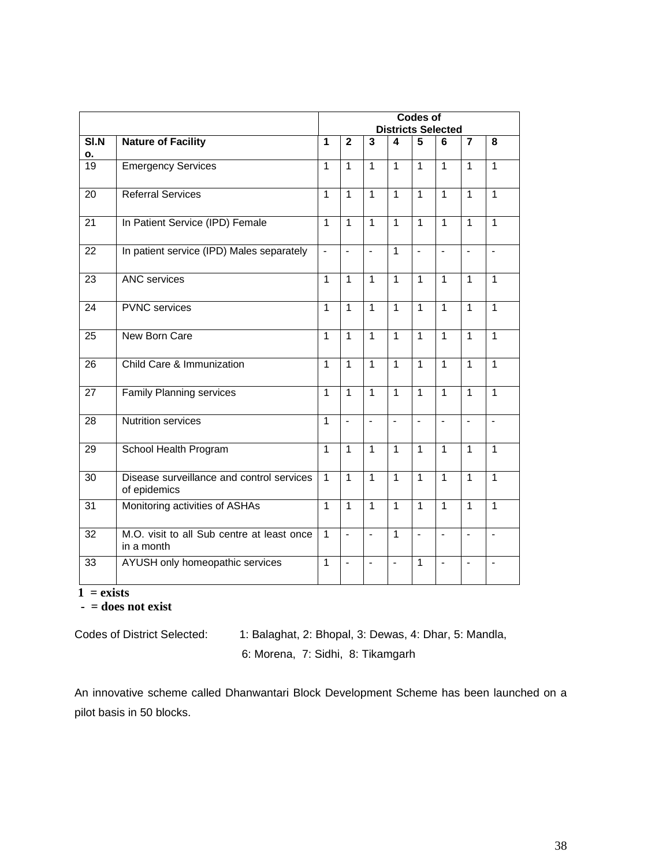|                 |                                                           | <b>Codes of</b><br><b>Districts Selected</b> |                          |                         |                |                |                          |                |                         |
|-----------------|-----------------------------------------------------------|----------------------------------------------|--------------------------|-------------------------|----------------|----------------|--------------------------|----------------|-------------------------|
| SI.N            | <b>Nature of Facility</b>                                 | 1                                            | $\overline{2}$           | $\overline{\mathbf{3}}$ | 4              | 5              | 6                        | $\overline{7}$ | $\overline{\mathbf{8}}$ |
| о.              |                                                           |                                              |                          |                         |                |                |                          |                |                         |
| 19              | <b>Emergency Services</b>                                 | $\mathbf{1}$                                 | $\mathbf{1}$             | $\mathbf{1}$            | $\mathbf{1}$   | $\mathbf{1}$   | $\mathbf{1}$             | $\mathbf{1}$   | $\mathbf{1}$            |
| $\overline{20}$ | <b>Referral Services</b>                                  | $\overline{1}$                               | $\overline{1}$           | $\overline{1}$          | $\overline{1}$ | $\overline{1}$ | $\overline{1}$           | $\overline{1}$ | $\mathbf{1}$            |
| $\overline{21}$ | In Patient Service (IPD) Female                           | $\overline{1}$                               | $\overline{1}$           | $\overline{1}$          | $\overline{1}$ | $\mathbf{1}$   | $\overline{1}$           | $\overline{1}$ | 1                       |
| 22              | In patient service (IPD) Males separately                 | $\overline{\phantom{a}}$                     | $\blacksquare$           | $\overline{a}$          | $\overline{1}$ | $\blacksquare$ | $\blacksquare$           | $\overline{a}$ | $\blacksquare$          |
| $\overline{23}$ | <b>ANC</b> services                                       | $\overline{1}$                               | $\overline{1}$           | $\overline{1}$          | $\overline{1}$ | $\overline{1}$ | $\overline{1}$           | 1              | $\mathbf{1}$            |
| 24              | <b>PVNC</b> services                                      | $\mathbf{1}$                                 | $\overline{1}$           | $\overline{1}$          | $\mathbf{1}$   | $\mathbf{1}$   | $\overline{1}$           | $\overline{1}$ | 1                       |
| 25              | New Born Care                                             |                                              |                          | $\overline{1}$          | $\overline{1}$ | $\mathbf{1}$   | $\mathbf{1}$             | $\mathbf{1}$   | $\overline{1}$          |
| 26              | Child Care & Immunization                                 | $\overline{1}$                               | $\overline{1}$           | $\mathbf{1}$            | $\overline{1}$ | $\overline{1}$ | $\overline{1}$           | 1              | 1                       |
| 27              | <b>Family Planning services</b>                           | $\mathbf{1}$                                 | $\mathbf{1}$             | $\mathbf{1}$            | $\mathbf{1}$   | $\overline{1}$ | $\overline{1}$           | $\overline{1}$ | $\overline{1}$          |
| $\overline{28}$ | <b>Nutrition services</b>                                 | $\overline{1}$                               | $\overline{a}$           | $\overline{a}$          | $\blacksquare$ | $\blacksquare$ | $\overline{a}$           | $\overline{a}$ | $\blacksquare$          |
| 29              | School Health Program                                     | $\overline{1}$                               | $\overline{1}$           | $\mathbf{1}$            | $\overline{1}$ | $\overline{1}$ | $\overline{1}$           | 1              | $\mathbf{1}$            |
| 30              | Disease surveillance and control services<br>of epidemics | $\overline{1}$                               | $\mathbf{1}$             | $\mathbf{1}$            | $\mathbf{1}$   | $\overline{1}$ | $\overline{1}$           | 1              | 1                       |
| $\overline{3}1$ | Monitoring activities of ASHAs                            | $\mathbf{1}$                                 | $\mathbf{1}$             | $\overline{1}$          | $\mathbf{1}$   | $\mathbf{1}$   | $\overline{1}$           | $\overline{1}$ | $\overline{1}$          |
| $\overline{32}$ | M.O. visit to all Sub centre at least once<br>in a month  | $\overline{1}$                               | $\overline{a}$           | $\overline{a}$          | $\overline{1}$ | $\overline{a}$ | $\overline{\phantom{a}}$ | $\overline{a}$ | $\overline{a}$          |
| 33              | AYUSH only homeopathic services                           | $\overline{1}$                               | $\overline{\phantom{a}}$ | $\overline{a}$          | $\blacksquare$ | $\overline{1}$ | $\overline{a}$           | $\overline{a}$ | $\blacksquare$          |

 $1 = exists$ 

 **- = does not exist** 

Codes of District Selected: 1: Balaghat, 2: Bhopal, 3: Dewas, 4: Dhar, 5: Mandla, 6: Morena, 7: Sidhi, 8: Tikamgarh

An innovative scheme called Dhanwantari Block Development Scheme has been launched on a pilot basis in 50 blocks.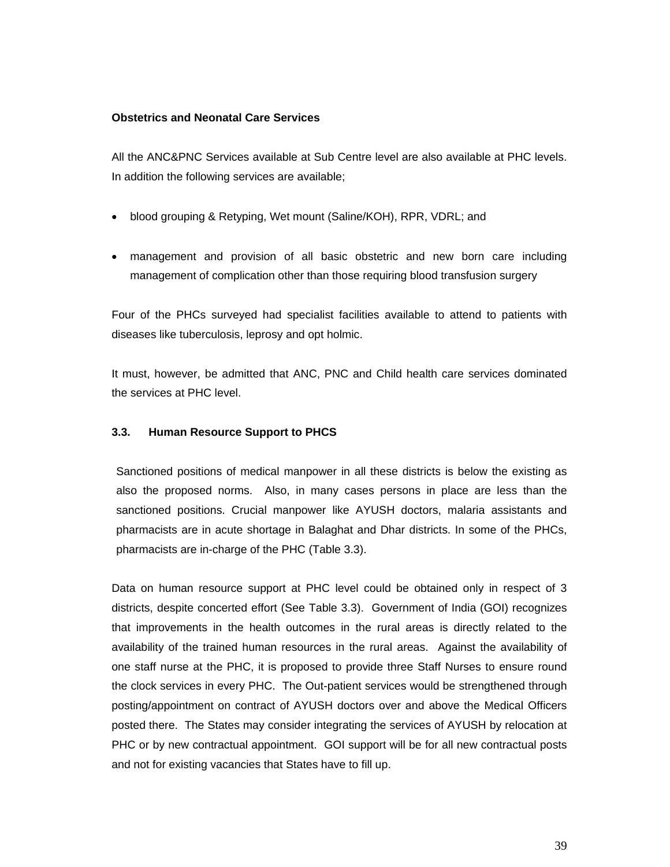#### **Obstetrics and Neonatal Care Services**

All the ANC&PNC Services available at Sub Centre level are also available at PHC levels. In addition the following services are available;

- blood grouping & Retyping, Wet mount (Saline/KOH), RPR, VDRL; and
- management and provision of all basic obstetric and new born care including management of complication other than those requiring blood transfusion surgery

Four of the PHCs surveyed had specialist facilities available to attend to patients with diseases like tuberculosis, leprosy and opt holmic.

It must, however, be admitted that ANC, PNC and Child health care services dominated the services at PHC level.

#### **3.3. Human Resource Support to PHCS**

Sanctioned positions of medical manpower in all these districts is below the existing as also the proposed norms. Also, in many cases persons in place are less than the sanctioned positions. Crucial manpower like AYUSH doctors, malaria assistants and pharmacists are in acute shortage in Balaghat and Dhar districts. In some of the PHCs, pharmacists are in-charge of the PHC (Table 3.3).

Data on human resource support at PHC level could be obtained only in respect of 3 districts, despite concerted effort (See Table 3.3). Government of India (GOI) recognizes that improvements in the health outcomes in the rural areas is directly related to the availability of the trained human resources in the rural areas. Against the availability of one staff nurse at the PHC, it is proposed to provide three Staff Nurses to ensure round the clock services in every PHC. The Out-patient services would be strengthened through posting/appointment on contract of AYUSH doctors over and above the Medical Officers posted there. The States may consider integrating the services of AYUSH by relocation at PHC or by new contractual appointment. GOI support will be for all new contractual posts and not for existing vacancies that States have to fill up.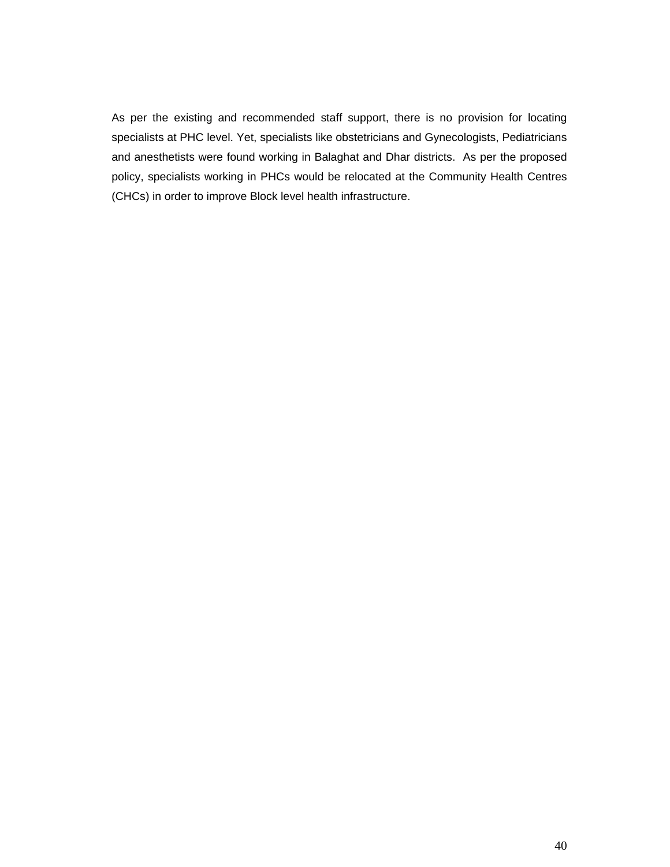As per the existing and recommended staff support, there is no provision for locating specialists at PHC level. Yet, specialists like obstetricians and Gynecologists, Pediatricians and anesthetists were found working in Balaghat and Dhar districts. As per the proposed policy, specialists working in PHCs would be relocated at the Community Health Centres (CHCs) in order to improve Block level health infrastructure.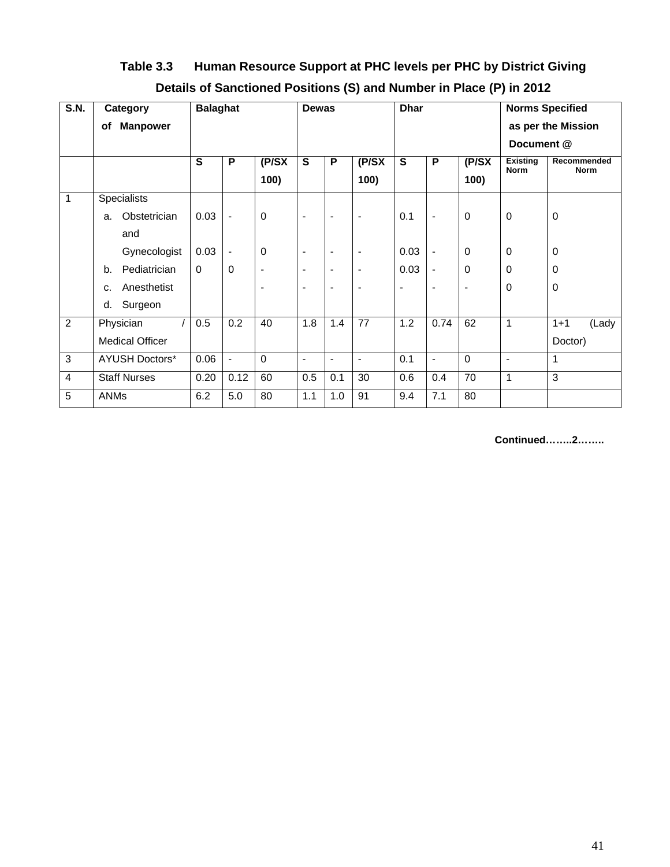| Table 3.3 | Human Resource Support at PHC levels per PHC by District Giving     |
|-----------|---------------------------------------------------------------------|
|           | Details of Sanctioned Positions (S) and Number in Place (P) in 2012 |

| <b>S.N.</b>    | Category               | <b>Balaghat</b> |                          |                | <b>Dewas</b>             |                          |                          | <b>Dhar</b>    |                          |                          | <b>Norms Specified</b>         |                            |
|----------------|------------------------|-----------------|--------------------------|----------------|--------------------------|--------------------------|--------------------------|----------------|--------------------------|--------------------------|--------------------------------|----------------------------|
|                | <b>Manpower</b><br>оf  |                 |                          |                |                          |                          |                          |                |                          |                          |                                | as per the Mission         |
|                |                        |                 |                          |                |                          |                          |                          |                |                          |                          | Document @                     |                            |
|                |                        | S               | P                        | $($ P/SX       | $\mathbf s$              | $\mathsf P$              | $($ P/SX                 | $\mathbf{s}$   | $\mathsf P$              | $($ P/SX                 | <b>Existing</b><br><b>Norm</b> | Recommended<br><b>Norm</b> |
|                |                        |                 |                          | 100)           |                          |                          | 100)                     |                |                          | 100)                     |                                |                            |
| 1              | <b>Specialists</b>     |                 |                          |                |                          |                          |                          |                |                          |                          |                                |                            |
|                | Obstetrician<br>a.     | 0.03            | $\overline{\phantom{a}}$ | 0              | $\blacksquare$           | $\blacksquare$           | $\blacksquare$           | 0.1            | $\overline{\phantom{a}}$ | $\mathbf 0$              | $\mathbf 0$                    | $\pmb{0}$                  |
|                | and                    |                 |                          |                |                          |                          |                          |                |                          |                          |                                |                            |
|                | Gynecologist           | 0.03            | $\overline{\phantom{a}}$ | 0              | $\overline{\phantom{a}}$ | $\blacksquare$           | $\overline{\phantom{a}}$ | 0.03           | $\blacksquare$           | 0                        | 0                              | 0                          |
|                | Pediatrician<br>b.     | $\Omega$        | $\Omega$                 | $\blacksquare$ | $\overline{\phantom{a}}$ | $\overline{\phantom{a}}$ | $\overline{\phantom{a}}$ | 0.03           | $\overline{\phantom{a}}$ | $\mathbf 0$              | 0                              | 0                          |
|                | Anesthetist<br>c.      |                 |                          |                | $\overline{\phantom{a}}$ | $\overline{\phantom{a}}$ | $\blacksquare$           | $\blacksquare$ | $\overline{\phantom{a}}$ | $\overline{\phantom{0}}$ | 0                              | $\mathbf 0$                |
|                | Surgeon<br>d.          |                 |                          |                |                          |                          |                          |                |                          |                          |                                |                            |
| $\overline{2}$ | Physician              | 0.5             | 0.2                      | 40             | 1.8                      | 1.4                      | 77                       | 1.2            | 0.74                     | 62                       | $\mathbf{1}$                   | $1 + 1$<br>(Lady           |
|                | <b>Medical Officer</b> |                 |                          |                |                          |                          |                          |                |                          |                          |                                | Doctor)                    |
| 3              | <b>AYUSH Doctors*</b>  | 0.06            | $\overline{\phantom{a}}$ | $\Omega$       | $\overline{\phantom{a}}$ | $\overline{\phantom{a}}$ | $\blacksquare$           | 0.1            | $\overline{\phantom{a}}$ | $\mathbf 0$              | $\blacksquare$                 | 1                          |
| 4              | <b>Staff Nurses</b>    | 0.20            | 0.12                     | 60             | 0.5                      | 0.1                      | 30                       | 0.6            | 0.4                      | 70                       | $\mathbf{1}$                   | $\overline{3}$             |
| 5              | <b>ANMs</b>            | 6.2             | 5.0                      | 80             | 1.1                      | 1.0                      | 91                       | 9.4            | 7.1                      | 80                       |                                |                            |

**Continued……..2……..**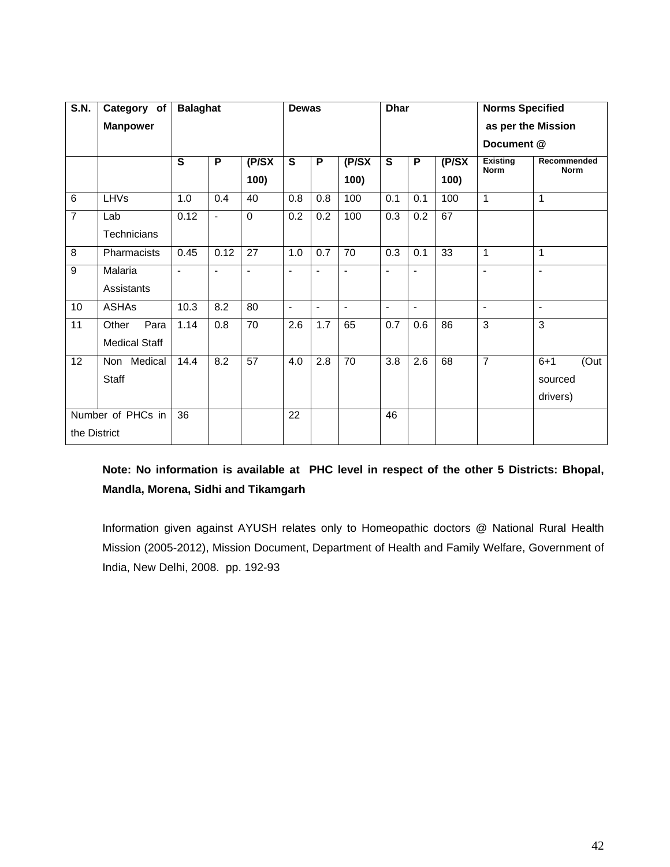| <b>S.N.</b>    | Category of          | <b>Balaghat</b> |                |                | <b>Dewas</b>   |                |                          | <b>Dhar</b>    |                |          | <b>Norms Specified</b>         |                            |  |
|----------------|----------------------|-----------------|----------------|----------------|----------------|----------------|--------------------------|----------------|----------------|----------|--------------------------------|----------------------------|--|
|                | <b>Manpower</b>      |                 |                |                |                |                |                          |                |                |          | as per the Mission             |                            |  |
|                |                      |                 |                |                |                |                |                          |                |                |          | Document @                     |                            |  |
|                |                      | S               | P              | $($ P/SX       | $\overline{s}$ | P              | $($ P/SX                 | $\overline{s}$ | P              | $($ P/SX | <b>Existing</b><br><b>Norm</b> | Recommended<br><b>Norm</b> |  |
|                |                      |                 |                | 100)           |                |                | 100)                     |                |                | 100)     |                                |                            |  |
| $6\phantom{1}$ | <b>LHVs</b>          | 1.0             | 0.4            | 40             | 0.8            | 0.8            | 100                      | 0.1            | 0.1            | 100      | 1                              | 1                          |  |
| $\overline{7}$ | Lab                  | 0.12            | $\blacksquare$ | $\Omega$       | 0.2            | 0.2            | 100                      | 0.3            | 0.2            | 67       |                                |                            |  |
|                | <b>Technicians</b>   |                 |                |                |                |                |                          |                |                |          |                                |                            |  |
| 8              | Pharmacists          | 0.45            | 0.12           | 27             | 1.0            | 0.7            | 70                       | 0.3            | 0.1            | 33       | 1                              | 1                          |  |
| $\overline{9}$ | Malaria              | $\blacksquare$  | $\blacksquare$ | $\blacksquare$ | $\overline{a}$ |                | $\overline{\phantom{a}}$ | $\blacksquare$ | $\overline{a}$ |          | ÷.                             | $\blacksquare$             |  |
|                | Assistants           |                 |                |                |                |                |                          |                |                |          |                                |                            |  |
| 10             | <b>ASHAs</b>         | 10.3            | 8.2            | 80             | $\blacksquare$ | $\blacksquare$ | $\overline{\phantom{a}}$ | $\blacksquare$ | $\blacksquare$ |          | $\overline{a}$                 | $\blacksquare$             |  |
| 11             | Para<br>Other        | 1.14            | 0.8            | 70             | 2.6            | 1.7            | 65                       | 0.7            | 0.6            | 86       | $\overline{3}$                 | 3                          |  |
|                | <b>Medical Staff</b> |                 |                |                |                |                |                          |                |                |          |                                |                            |  |
| 12             | Non Medical          | 14.4            | 8.2            | 57             | 4.0            | 2.8            | 70                       | 3.8            | 2.6            | 68       | $\overline{7}$                 | (Out<br>$6 + 1$            |  |
|                | <b>Staff</b>         |                 |                |                |                |                |                          |                |                |          |                                | sourced                    |  |
|                |                      |                 |                |                |                |                |                          |                |                |          |                                | drivers)                   |  |
|                | Number of PHCs in    | 36              |                |                | 22             |                |                          | 46             |                |          |                                |                            |  |
| the District   |                      |                 |                |                |                |                |                          |                |                |          |                                |                            |  |

## **Note: No information is available at PHC level in respect of the other 5 Districts: Bhopal, Mandla, Morena, Sidhi and Tikamgarh**

Information given against AYUSH relates only to Homeopathic doctors @ National Rural Health Mission (2005-2012), Mission Document, Department of Health and Family Welfare, Government of India, New Delhi, 2008. pp. 192-93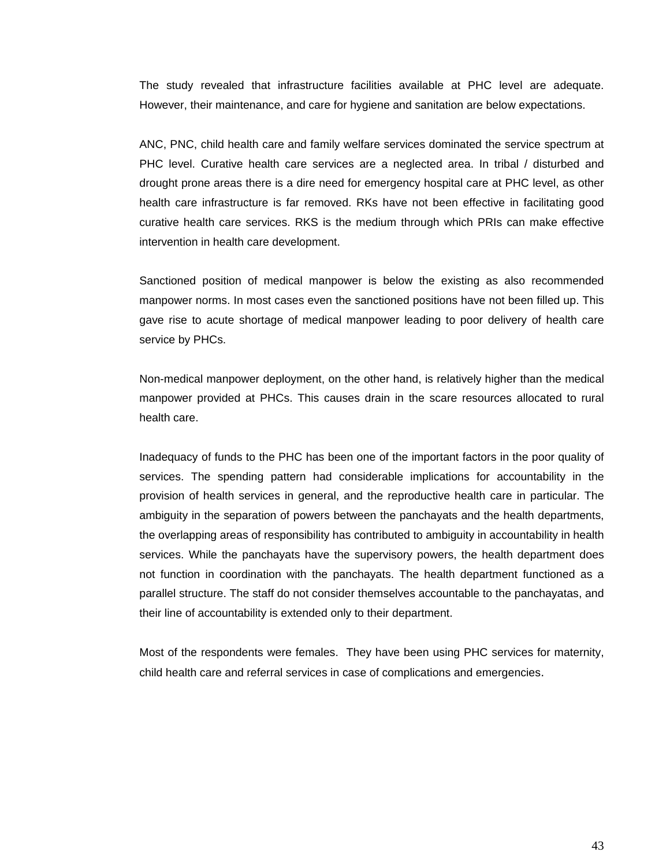The study revealed that infrastructure facilities available at PHC level are adequate. However, their maintenance, and care for hygiene and sanitation are below expectations.

ANC, PNC, child health care and family welfare services dominated the service spectrum at PHC level. Curative health care services are a neglected area. In tribal / disturbed and drought prone areas there is a dire need for emergency hospital care at PHC level, as other health care infrastructure is far removed. RKs have not been effective in facilitating good curative health care services. RKS is the medium through which PRIs can make effective intervention in health care development.

Sanctioned position of medical manpower is below the existing as also recommended manpower norms. In most cases even the sanctioned positions have not been filled up. This gave rise to acute shortage of medical manpower leading to poor delivery of health care service by PHCs.

Non-medical manpower deployment, on the other hand, is relatively higher than the medical manpower provided at PHCs. This causes drain in the scare resources allocated to rural health care.

Inadequacy of funds to the PHC has been one of the important factors in the poor quality of services. The spending pattern had considerable implications for accountability in the provision of health services in general, and the reproductive health care in particular. The ambiguity in the separation of powers between the panchayats and the health departments, the overlapping areas of responsibility has contributed to ambiguity in accountability in health services. While the panchayats have the supervisory powers, the health department does not function in coordination with the panchayats. The health department functioned as a parallel structure. The staff do not consider themselves accountable to the panchayatas, and their line of accountability is extended only to their department.

Most of the respondents were females. They have been using PHC services for maternity, child health care and referral services in case of complications and emergencies.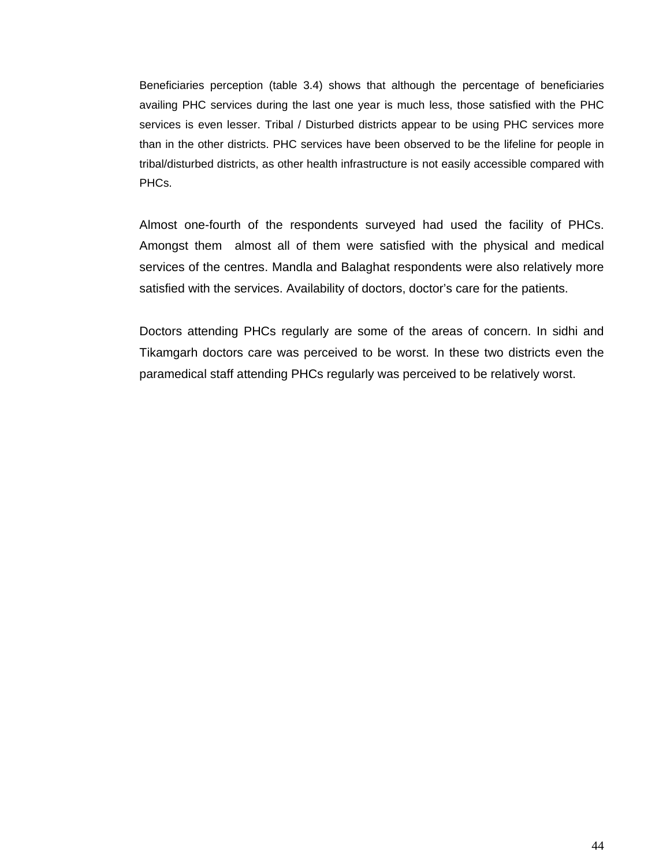Beneficiaries perception (table 3.4) shows that although the percentage of beneficiaries availing PHC services during the last one year is much less, those satisfied with the PHC services is even lesser. Tribal / Disturbed districts appear to be using PHC services more than in the other districts. PHC services have been observed to be the lifeline for people in tribal/disturbed districts, as other health infrastructure is not easily accessible compared with PHCs.

Almost one-fourth of the respondents surveyed had used the facility of PHCs. Amongst them almost all of them were satisfied with the physical and medical services of the centres. Mandla and Balaghat respondents were also relatively more satisfied with the services. Availability of doctors, doctor's care for the patients.

Doctors attending PHCs regularly are some of the areas of concern. In sidhi and Tikamgarh doctors care was perceived to be worst. In these two districts even the paramedical staff attending PHCs regularly was perceived to be relatively worst.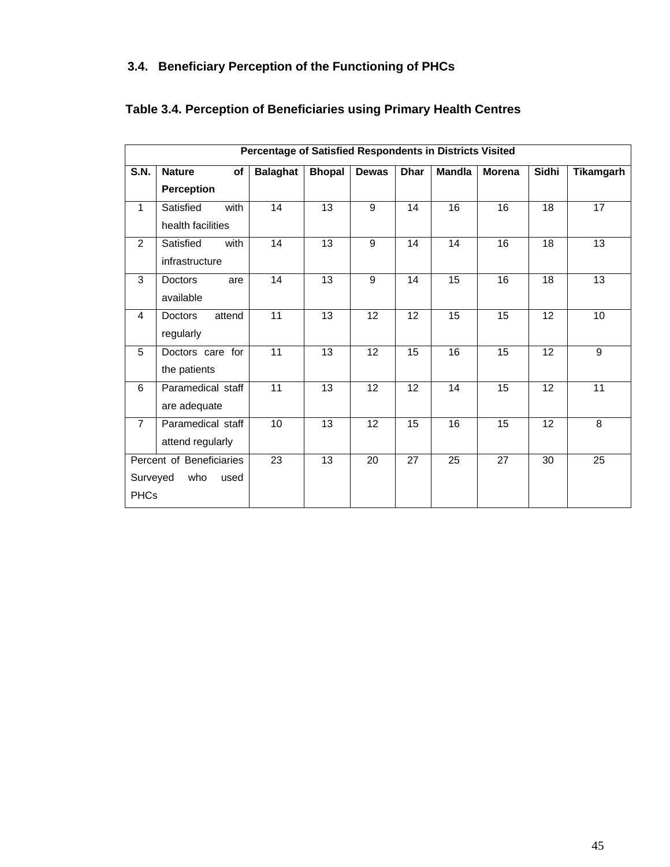## **3.4. Beneficiary Perception of the Functioning of PHCs**

|                | Percentage of Satisfied Respondents in Districts Visited |                 |               |                 |                 |                 |               |       |                 |  |  |
|----------------|----------------------------------------------------------|-----------------|---------------|-----------------|-----------------|-----------------|---------------|-------|-----------------|--|--|
| <b>S.N.</b>    | <b>of</b><br><b>Nature</b>                               | <b>Balaghat</b> | <b>Bhopal</b> | Dewas           | <b>Dhar</b>     | <b>Mandla</b>   | <b>Morena</b> | Sidhi | Tikamgarh       |  |  |
|                | Perception                                               |                 |               |                 |                 |                 |               |       |                 |  |  |
| $\mathbf{1}$   | with<br>Satisfied                                        | 14              | 13            | $\overline{9}$  | 14              | $\overline{16}$ | 16            | 18    | 17              |  |  |
|                | health facilities                                        |                 |               |                 |                 |                 |               |       |                 |  |  |
| $\overline{2}$ | Satisfied<br>with                                        | 14              | 13            | 9               | 14              | 14              | 16            | 18    | 13              |  |  |
|                | infrastructure                                           |                 |               |                 |                 |                 |               |       |                 |  |  |
| 3              | <b>Doctors</b><br>are                                    | 14              | 13            | 9               | 14              | $\overline{15}$ | 16            | 18    | $\overline{13}$ |  |  |
|                | available                                                |                 |               |                 |                 |                 |               |       |                 |  |  |
| $\overline{4}$ | attend<br><b>Doctors</b>                                 | $\overline{11}$ | 13            | $\overline{12}$ | 12              | $\overline{15}$ | 15            | 12    | 10              |  |  |
|                | regularly                                                |                 |               |                 |                 |                 |               |       |                 |  |  |
| 5              | Doctors care for                                         | 11              | 13            | 12              | 15              | 16              | 15            | 12    | 9               |  |  |
|                | the patients                                             |                 |               |                 |                 |                 |               |       |                 |  |  |
| 6              | Paramedical staff                                        | $\overline{11}$ | 13            | $\overline{12}$ | $\overline{12}$ | 14              | 15            | 12    | $\overline{11}$ |  |  |
|                | are adequate                                             |                 |               |                 |                 |                 |               |       |                 |  |  |
| $\overline{7}$ | Paramedical staff                                        | 10              | 13            | 12              | 15              | 16              | 15            | 12    | 8               |  |  |
|                | attend regularly                                         |                 |               |                 |                 |                 |               |       |                 |  |  |
|                | Percent of Beneficiaries                                 | 23              | 13            | 20              | 27              | 25              | 27            | 30    | 25              |  |  |
| Surveyed       | who<br>used                                              |                 |               |                 |                 |                 |               |       |                 |  |  |
| <b>PHCs</b>    |                                                          |                 |               |                 |                 |                 |               |       |                 |  |  |

## **Table 3.4. Perception of Beneficiaries using Primary Health Centres**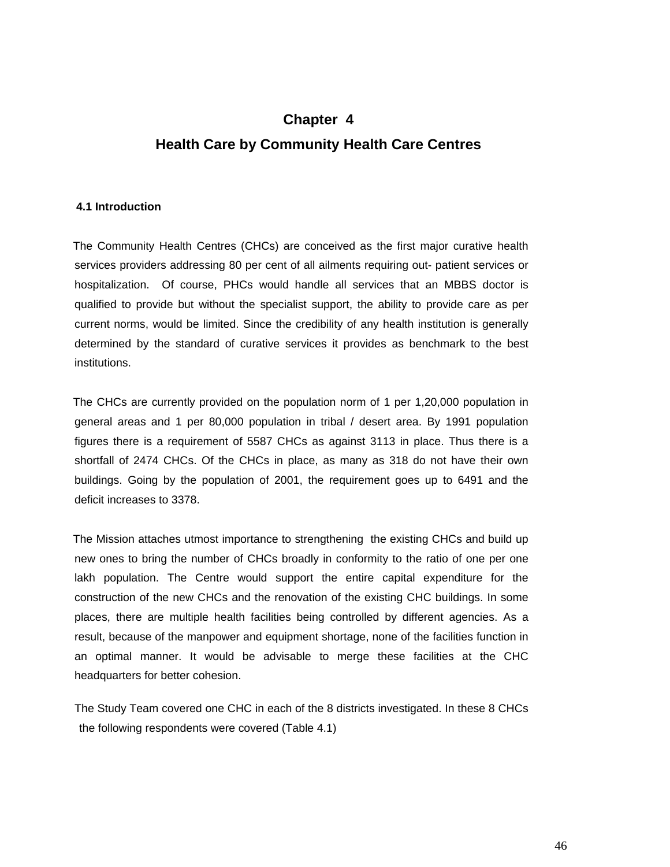# **Chapter 4 Health Care by Community Health Care Centres**

#### **4.1 Introduction**

 The Community Health Centres (CHCs) are conceived as the first major curative health services providers addressing 80 per cent of all ailments requiring out- patient services or hospitalization. Of course, PHCs would handle all services that an MBBS doctor is qualified to provide but without the specialist support, the ability to provide care as per current norms, would be limited. Since the credibility of any health institution is generally determined by the standard of curative services it provides as benchmark to the best institutions.

 The CHCs are currently provided on the population norm of 1 per 1,20,000 population in general areas and 1 per 80,000 population in tribal / desert area. By 1991 population figures there is a requirement of 5587 CHCs as against 3113 in place. Thus there is a shortfall of 2474 CHCs. Of the CHCs in place, as many as 318 do not have their own buildings. Going by the population of 2001, the requirement goes up to 6491 and the deficit increases to 3378.

 The Mission attaches utmost importance to strengthening the existing CHCs and build up new ones to bring the number of CHCs broadly in conformity to the ratio of one per one lakh population. The Centre would support the entire capital expenditure for the construction of the new CHCs and the renovation of the existing CHC buildings. In some places, there are multiple health facilities being controlled by different agencies. As a result, because of the manpower and equipment shortage, none of the facilities function in an optimal manner. It would be advisable to merge these facilities at the CHC headquarters for better cohesion.

The Study Team covered one CHC in each of the 8 districts investigated. In these 8 CHCs the following respondents were covered (Table 4.1)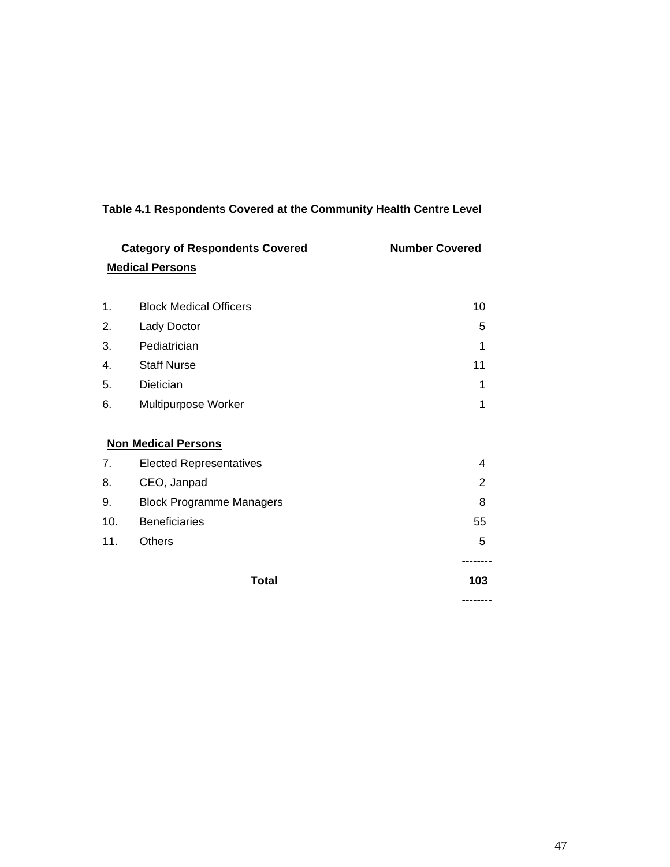|     | <b>Category of Respondents Covered</b><br><b>Medical Persons</b> | <b>Number Covered</b> |
|-----|------------------------------------------------------------------|-----------------------|
|     |                                                                  |                       |
| 1.  | <b>Block Medical Officers</b>                                    | 10                    |
| 2.  | Lady Doctor                                                      | 5                     |
| 3.  | Pediatrician                                                     | 1                     |
| 4.  | <b>Staff Nurse</b>                                               | 11                    |
| 5.  | Dietician                                                        | 1                     |
| 6.  | Multipurpose Worker                                              | 1                     |
|     |                                                                  |                       |
|     | <b>Non Medical Persons</b>                                       |                       |
| 7.  | <b>Elected Representatives</b>                                   | 4                     |
| 8.  | CEO, Janpad                                                      | 2                     |
| 9.  | <b>Block Programme Managers</b>                                  | 8                     |
| 10. | <b>Beneficiaries</b>                                             | 55                    |
| 11. | <b>Others</b>                                                    | 5                     |
|     |                                                                  |                       |
|     | <b>Total</b>                                                     | 103                   |
|     |                                                                  | --------              |

## **Table 4.1 Respondents Covered at the Community Health Centre Level**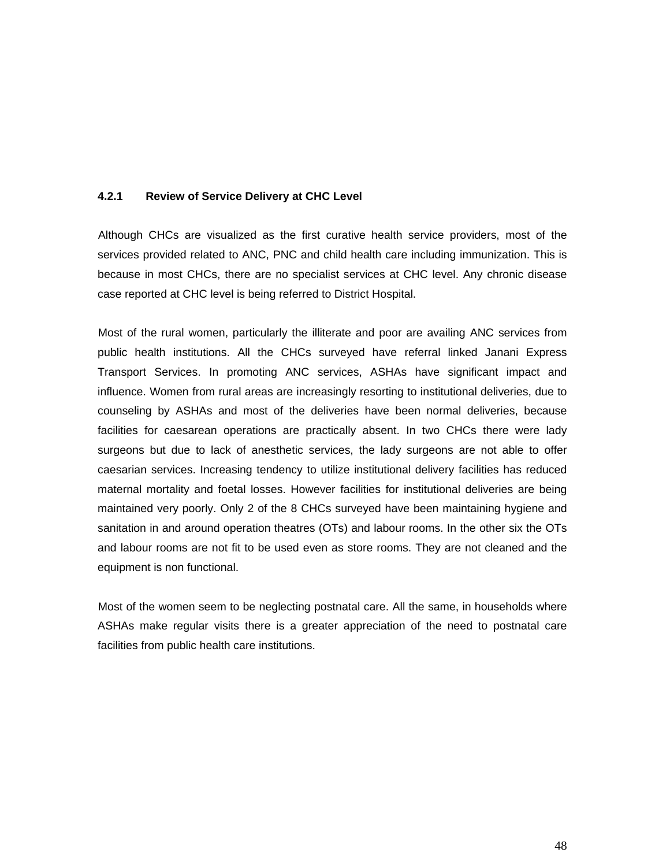#### **4.2.1 Review of Service Delivery at CHC Level**

 Although CHCs are visualized as the first curative health service providers, most of the services provided related to ANC, PNC and child health care including immunization. This is because in most CHCs, there are no specialist services at CHC level. Any chronic disease case reported at CHC level is being referred to District Hospital.

 Most of the rural women, particularly the illiterate and poor are availing ANC services from public health institutions. All the CHCs surveyed have referral linked Janani Express Transport Services. In promoting ANC services, ASHAs have significant impact and influence. Women from rural areas are increasingly resorting to institutional deliveries, due to counseling by ASHAs and most of the deliveries have been normal deliveries, because facilities for caesarean operations are practically absent. In two CHCs there were lady surgeons but due to lack of anesthetic services, the lady surgeons are not able to offer caesarian services. Increasing tendency to utilize institutional delivery facilities has reduced maternal mortality and foetal losses. However facilities for institutional deliveries are being maintained very poorly. Only 2 of the 8 CHCs surveyed have been maintaining hygiene and sanitation in and around operation theatres (OTs) and labour rooms. In the other six the OTs and labour rooms are not fit to be used even as store rooms. They are not cleaned and the equipment is non functional.

 Most of the women seem to be neglecting postnatal care. All the same, in households where ASHAs make regular visits there is a greater appreciation of the need to postnatal care facilities from public health care institutions.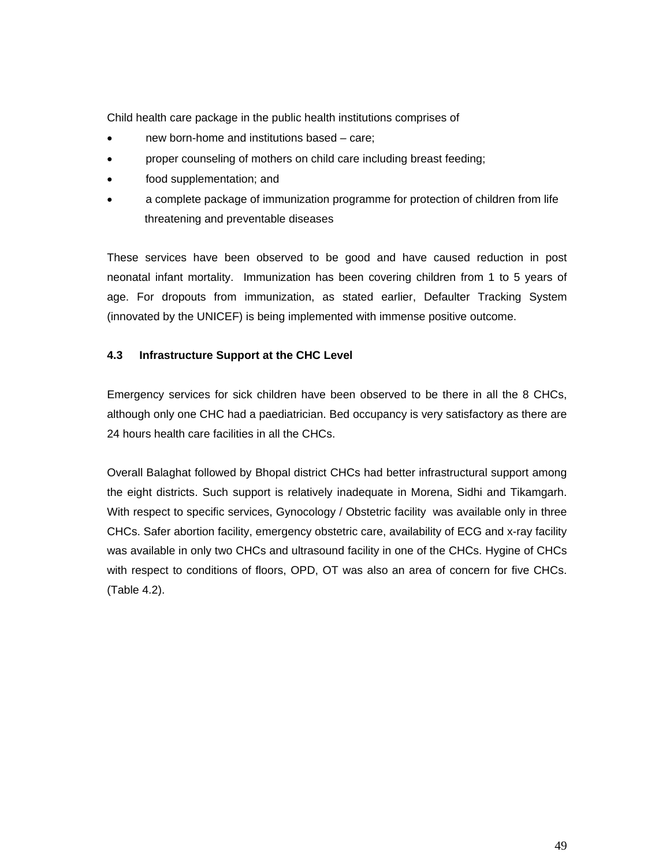Child health care package in the public health institutions comprises of

- new born-home and institutions based care;
- proper counseling of mothers on child care including breast feeding;
- food supplementation; and
- a complete package of immunization programme for protection of children from life threatening and preventable diseases

These services have been observed to be good and have caused reduction in post neonatal infant mortality. Immunization has been covering children from 1 to 5 years of age. For dropouts from immunization, as stated earlier, Defaulter Tracking System (innovated by the UNICEF) is being implemented with immense positive outcome.

### **4.3 Infrastructure Support at the CHC Level**

Emergency services for sick children have been observed to be there in all the 8 CHCs, although only one CHC had a paediatrician. Bed occupancy is very satisfactory as there are 24 hours health care facilities in all the CHCs.

Overall Balaghat followed by Bhopal district CHCs had better infrastructural support among the eight districts. Such support is relatively inadequate in Morena, Sidhi and Tikamgarh. With respect to specific services, Gynocology / Obstetric facility was available only in three CHCs. Safer abortion facility, emergency obstetric care, availability of ECG and x-ray facility was available in only two CHCs and ultrasound facility in one of the CHCs. Hygine of CHCs with respect to conditions of floors, OPD, OT was also an area of concern for five CHCs. (Table 4.2).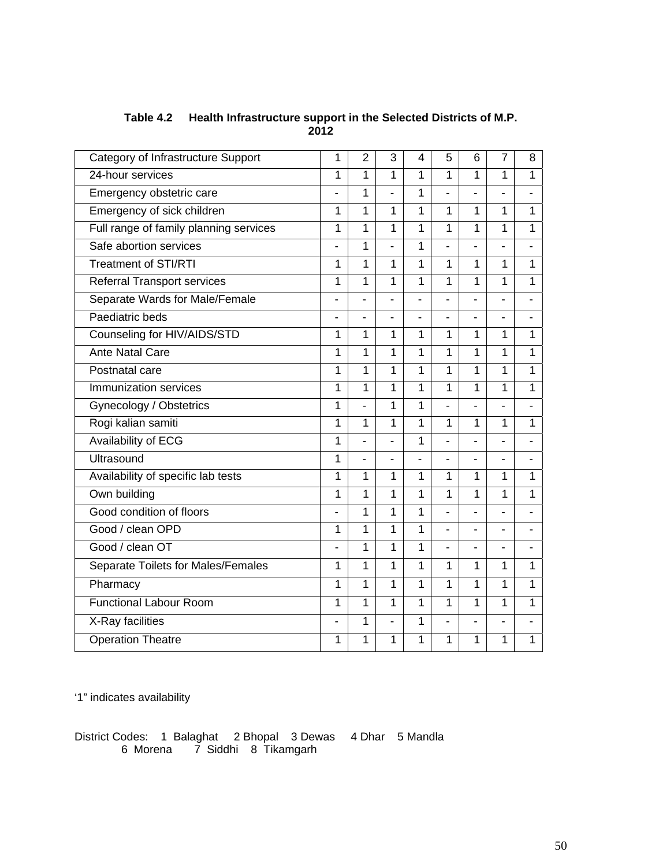| Category of Infrastructure Support     | 1              | $\overline{2}$           | 3                        | 4              | 5              | 6              | $\overline{7}$ | 8 |
|----------------------------------------|----------------|--------------------------|--------------------------|----------------|----------------|----------------|----------------|---|
| 24-hour services                       | 1              | 1                        | $\mathbf{1}$             | 1              | 1              | 1              | $\mathbf{1}$   | 1 |
| Emergency obstetric care               | ÷,             | 1                        | ÷.                       | 1              | ÷.             | $\blacksquare$ | ä,             |   |
| Emergency of sick children             | 1              | 1                        | 1                        | 1              | 1              | 1              | $\mathbf{1}$   | 1 |
| Full range of family planning services | 1              | 1                        | 1                        | $\overline{1}$ | 1              | 1              | 1              | 1 |
| Safe abortion services                 | ÷.             | 1                        | ÷,                       | 1              | $\blacksquare$ | ۰              | $\blacksquare$ |   |
| <b>Treatment of STI/RTI</b>            | 1              | 1                        | 1                        | 1              | 1              | 1              | $\mathbf{1}$   | 1 |
| <b>Referral Transport services</b>     | 1              | 1                        | $\mathbf{1}$             | 1              | 1              | $\mathbf 1$    | $\mathbf{1}$   | 1 |
| Separate Wards for Male/Female         | ÷,             | $\blacksquare$           |                          | ä,             | ۰              | ٠              | ÷              |   |
| Paediatric beds                        | ÷              | $\blacksquare$           | $\blacksquare$           | ÷.             | $\blacksquare$ | $\blacksquare$ | ÷              |   |
| Counseling for HIV/AIDS/STD            | 1              | 1                        | $\mathbf{1}$             | 1              | 1              | 1              | 1              | 1 |
| <b>Ante Natal Care</b>                 | 1              | 1                        | 1                        | 1              | 1              | 1              | $\mathbf 1$    | 1 |
| Postnatal care                         | 1              | 1                        | 1                        | 1              | 1              | 1              | $\mathbf{1}$   | 1 |
| Immunization services                  | 1              | 1                        | 1                        | $\mathbf{1}$   | 1              | 1              | 1              | 1 |
| Gynecology / Obstetrics                | 1              | $\overline{\phantom{a}}$ | 1                        | 1              | ÷,             | $\blacksquare$ | $\blacksquare$ |   |
| Rogi kalian samiti                     | 1              | 1                        | 1                        | 1              | 1              | 1              | $\mathbf{1}$   | 1 |
| Availability of ECG                    | 1              | ä,                       | ä,                       | $\mathbf{1}$   | ä,             | $\blacksquare$ | ä,             |   |
| Ultrasound                             | 1              | $\blacksquare$           | $\overline{\phantom{a}}$ | $\blacksquare$ | ÷,             | ÷,             | ۰              | ÷ |
| Availability of specific lab tests     | 1              | 1                        | $\mathbf{1}$             | 1              | 1              | $\mathbf{1}$   | $\overline{1}$ | 1 |
| Own building                           | 1              | 1                        | 1                        | 1              | 1              | 1              | $\mathbf 1$    | 1 |
| Good condition of floors               | ÷              | 1                        | 1                        | 1              |                | $\blacksquare$ | ÷              |   |
| Good / clean OPD                       | 1              | 1                        | $\mathbf{1}$             | $\mathbf{1}$   | $\blacksquare$ | $\blacksquare$ | ä,             |   |
| Good / clean OT                        | $\overline{a}$ | 1                        | 1                        | 1              |                | $\blacksquare$ | ۰              |   |
| Separate Toilets for Males/Females     | 1              | 1                        | 1                        | 1              | 1              | $\mathbf 1$    | $\mathbf 1$    | 1 |
| Pharmacy                               | 1              | 1                        | 1                        | 1              | 1              | 1              | $\mathbf{1}$   | 1 |
| <b>Functional Labour Room</b>          | 1              | 1                        | 1                        | 1              | 1              | $\mathbf{1}$   | 1              | 1 |
| X-Ray facilities                       | ÷              | 1                        | ä,                       | 1              | $\blacksquare$ | $\blacksquare$ | $\blacksquare$ |   |
| <b>Operation Theatre</b>               | 1              | 1                        | 1                        | 1              | 1              | 1              | 1              | 1 |

### **Table 4.2 Health Infrastructure support in the Selected Districts of M.P. 2012**

'1" indicates availability

District Codes: 1 Balaghat 2 Bhopal 3 Dewas 4 Dhar 5 Mandla 6 Morena 7 Siddhi 8 Tikamgarh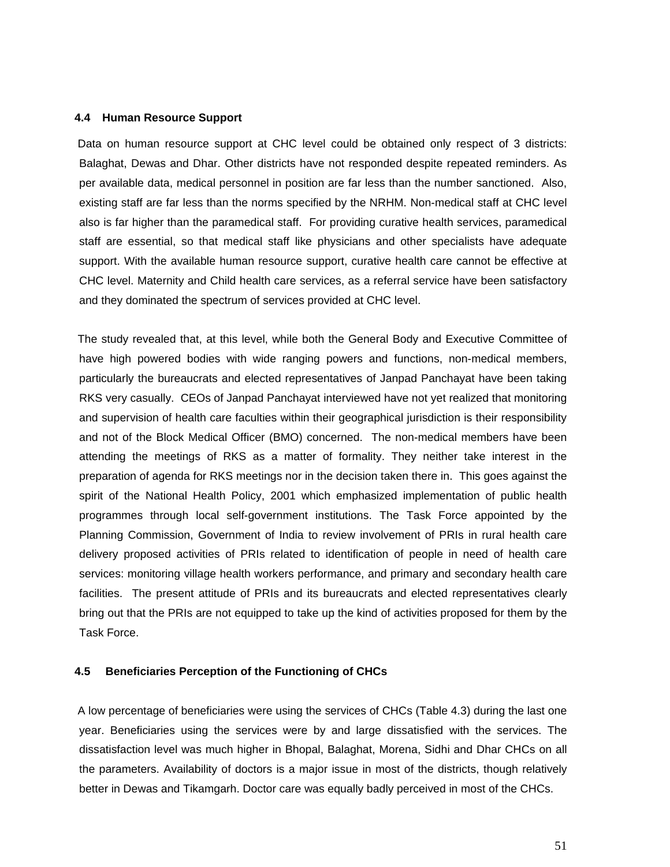#### **4.4 Human Resource Support**

 Data on human resource support at CHC level could be obtained only respect of 3 districts: Balaghat, Dewas and Dhar. Other districts have not responded despite repeated reminders. As per available data, medical personnel in position are far less than the number sanctioned. Also, existing staff are far less than the norms specified by the NRHM. Non-medical staff at CHC level also is far higher than the paramedical staff. For providing curative health services, paramedical staff are essential, so that medical staff like physicians and other specialists have adequate support. With the available human resource support, curative health care cannot be effective at CHC level. Maternity and Child health care services, as a referral service have been satisfactory and they dominated the spectrum of services provided at CHC level.

 The study revealed that, at this level, while both the General Body and Executive Committee of have high powered bodies with wide ranging powers and functions, non-medical members, particularly the bureaucrats and elected representatives of Janpad Panchayat have been taking RKS very casually. CEOs of Janpad Panchayat interviewed have not yet realized that monitoring and supervision of health care faculties within their geographical jurisdiction is their responsibility and not of the Block Medical Officer (BMO) concerned. The non-medical members have been attending the meetings of RKS as a matter of formality. They neither take interest in the preparation of agenda for RKS meetings nor in the decision taken there in. This goes against the spirit of the National Health Policy, 2001 which emphasized implementation of public health programmes through local self-government institutions. The Task Force appointed by the Planning Commission, Government of India to review involvement of PRIs in rural health care delivery proposed activities of PRIs related to identification of people in need of health care services: monitoring village health workers performance, and primary and secondary health care facilities. The present attitude of PRIs and its bureaucrats and elected representatives clearly bring out that the PRIs are not equipped to take up the kind of activities proposed for them by the Task Force.

#### **4.5 Beneficiaries Perception of the Functioning of CHCs**

 A low percentage of beneficiaries were using the services of CHCs (Table 4.3) during the last one year. Beneficiaries using the services were by and large dissatisfied with the services. The dissatisfaction level was much higher in Bhopal, Balaghat, Morena, Sidhi and Dhar CHCs on all the parameters. Availability of doctors is a major issue in most of the districts, though relatively better in Dewas and Tikamgarh. Doctor care was equally badly perceived in most of the CHCs.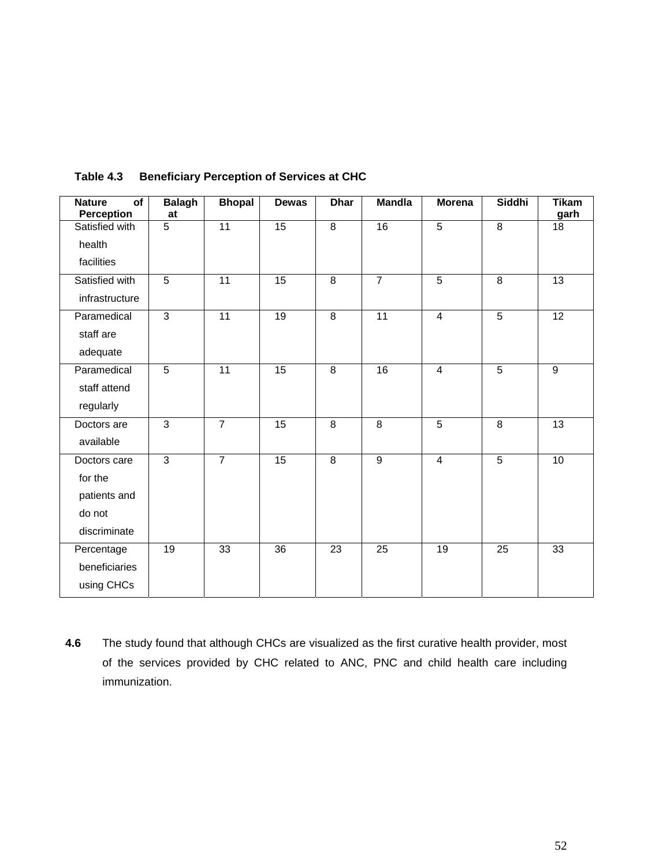| <b>Nature</b><br>of<br>Perception | <b>Balagh</b><br>at | <b>Bhopal</b>   | <b>Dewas</b>    | <b>Dhar</b>             | <b>Mandla</b>   | <b>Morena</b>   | Siddhi          | <b>Tikam</b><br>garh |
|-----------------------------------|---------------------|-----------------|-----------------|-------------------------|-----------------|-----------------|-----------------|----------------------|
| Satisfied with                    | $\overline{5}$      | 11              | 15              | $\overline{8}$          | 16              | $\overline{5}$  | $\overline{8}$  | 18                   |
| health                            |                     |                 |                 |                         |                 |                 |                 |                      |
| facilities                        |                     |                 |                 |                         |                 |                 |                 |                      |
| Satisfied with                    | $\overline{5}$      | $\overline{11}$ | 15              | 8                       | $\overline{7}$  | $\overline{5}$  | 8               | $\overline{13}$      |
| infrastructure                    |                     |                 |                 |                         |                 |                 |                 |                      |
| Paramedical                       | $\overline{3}$      | $\overline{11}$ | $\overline{19}$ | $\overline{8}$          | $\overline{11}$ | $\overline{4}$  | $\overline{5}$  | $\overline{12}$      |
| staff are                         |                     |                 |                 |                         |                 |                 |                 |                      |
| adequate                          |                     |                 |                 |                         |                 |                 |                 |                      |
| Paramedical                       | $\overline{5}$      | $\overline{11}$ | 15              | $\overline{8}$          | 16              | $\overline{4}$  | $\overline{5}$  | 9                    |
| staff attend                      |                     |                 |                 |                         |                 |                 |                 |                      |
| regularly                         |                     |                 |                 |                         |                 |                 |                 |                      |
| Doctors are                       | $\overline{3}$      | $\overline{7}$  | 15              | $\overline{\mathbf{8}}$ | $\overline{8}$  | $\overline{5}$  | $\overline{8}$  | $\overline{13}$      |
| available                         |                     |                 |                 |                         |                 |                 |                 |                      |
| Doctors care                      | $\overline{3}$      | $\overline{7}$  | 15              | $\overline{\infty}$     | $\overline{9}$  | $\overline{4}$  | $\overline{5}$  | 10                   |
| for the                           |                     |                 |                 |                         |                 |                 |                 |                      |
| patients and                      |                     |                 |                 |                         |                 |                 |                 |                      |
| do not                            |                     |                 |                 |                         |                 |                 |                 |                      |
| discriminate                      |                     |                 |                 |                         |                 |                 |                 |                      |
| Percentage                        | $\overline{19}$     | 33              | $\overline{36}$ | $\overline{23}$         | $\overline{25}$ | $\overline{19}$ | $\overline{25}$ | $\overline{33}$      |
| beneficiaries                     |                     |                 |                 |                         |                 |                 |                 |                      |
| using CHCs                        |                     |                 |                 |                         |                 |                 |                 |                      |

## **Table 4.3 Beneficiary Perception of Services at CHC**

**4.6** The study found that although CHCs are visualized as the first curative health provider, most of the services provided by CHC related to ANC, PNC and child health care including immunization.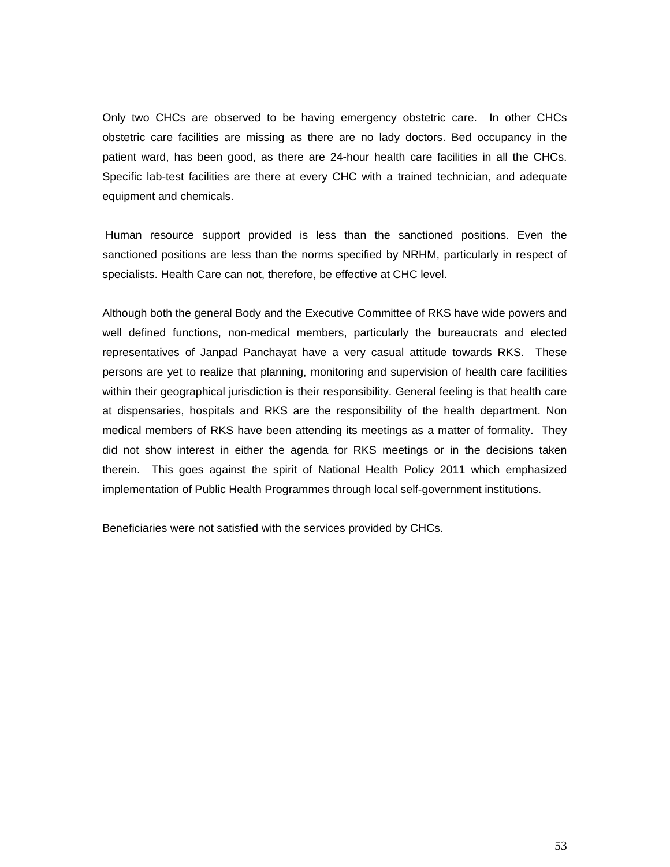Only two CHCs are observed to be having emergency obstetric care. In other CHCs obstetric care facilities are missing as there are no lady doctors. Bed occupancy in the patient ward, has been good, as there are 24-hour health care facilities in all the CHCs. Specific lab-test facilities are there at every CHC with a trained technician, and adequate equipment and chemicals.

 Human resource support provided is less than the sanctioned positions. Even the sanctioned positions are less than the norms specified by NRHM, particularly in respect of specialists. Health Care can not, therefore, be effective at CHC level.

Although both the general Body and the Executive Committee of RKS have wide powers and well defined functions, non-medical members, particularly the bureaucrats and elected representatives of Janpad Panchayat have a very casual attitude towards RKS. These persons are yet to realize that planning, monitoring and supervision of health care facilities within their geographical jurisdiction is their responsibility. General feeling is that health care at dispensaries, hospitals and RKS are the responsibility of the health department. Non medical members of RKS have been attending its meetings as a matter of formality. They did not show interest in either the agenda for RKS meetings or in the decisions taken therein. This goes against the spirit of National Health Policy 2011 which emphasized implementation of Public Health Programmes through local self-government institutions.

Beneficiaries were not satisfied with the services provided by CHCs.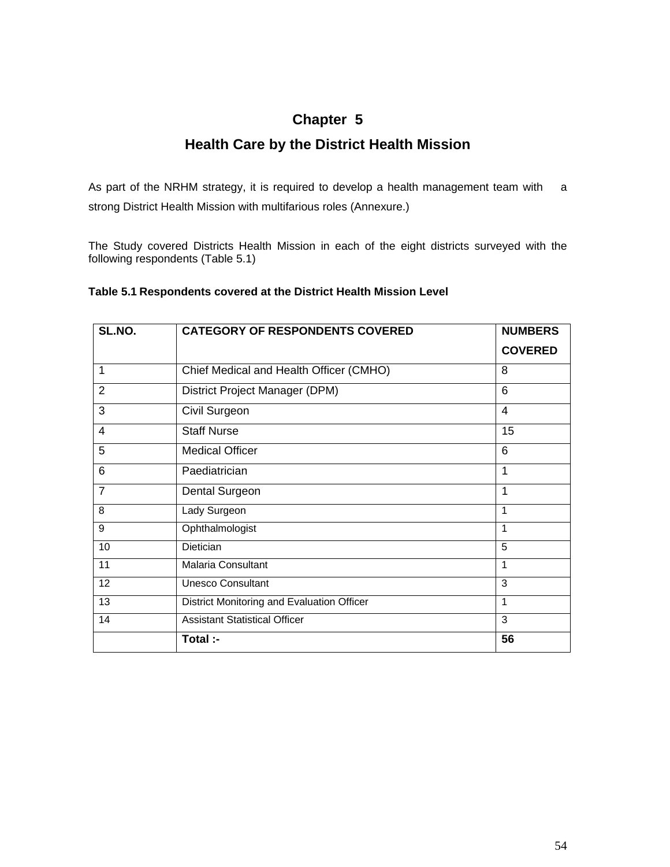## **Chapter 5**

## **Health Care by the District Health Mission**

As part of the NRHM strategy, it is required to develop a health management team with a strong District Health Mission with multifarious roles (Annexure.)

The Study covered Districts Health Mission in each of the eight districts surveyed with the following respondents (Table 5.1)

### **Table 5.1 Respondents covered at the District Health Mission Level**

| SL.NO.         | <b>CATEGORY OF RESPONDENTS COVERED</b>     | <b>NUMBERS</b>          |
|----------------|--------------------------------------------|-------------------------|
|                |                                            | <b>COVERED</b>          |
| 1              | Chief Medical and Health Officer (CMHO)    | 8                       |
| 2              | District Project Manager (DPM)             | 6                       |
| 3              | Civil Surgeon                              | $\overline{\mathbf{4}}$ |
| 4              | <b>Staff Nurse</b>                         | 15                      |
| 5              | <b>Medical Officer</b>                     | 6                       |
| 6              | Paediatrician                              | 1                       |
| $\overline{7}$ | Dental Surgeon                             | 1                       |
| 8              | Lady Surgeon                               | 1                       |
| 9              | Ophthalmologist                            | 1                       |
| 10             | Dietician                                  | 5                       |
| 11             | <b>Malaria Consultant</b>                  | 1                       |
| 12             | <b>Unesco Consultant</b>                   | 3                       |
| 13             | District Monitoring and Evaluation Officer | 1                       |
| 14             | <b>Assistant Statistical Officer</b>       | 3                       |
|                | Total :-                                   | 56                      |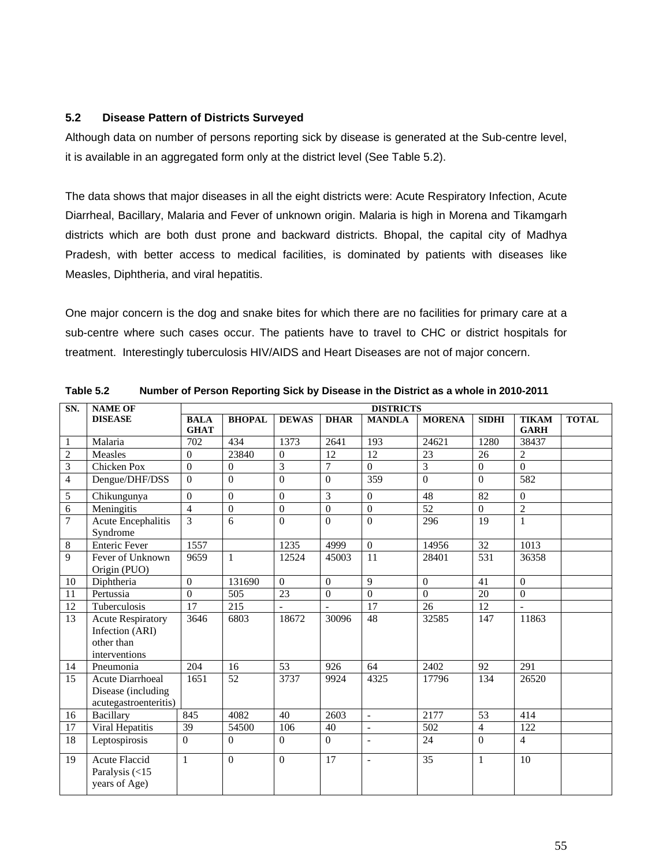#### **5.2 Disease Pattern of Districts Surveyed**

Although data on number of persons reporting sick by disease is generated at the Sub-centre level, it is available in an aggregated form only at the district level (See Table 5.2).

The data shows that major diseases in all the eight districts were: Acute Respiratory Infection, Acute Diarrheal, Bacillary, Malaria and Fever of unknown origin. Malaria is high in Morena and Tikamgarh districts which are both dust prone and backward districts. Bhopal, the capital city of Madhya Pradesh, with better access to medical facilities, is dominated by patients with diseases like Measles, Diphtheria, and viral hepatitis.

One major concern is the dog and snake bites for which there are no facilities for primary care at a sub-centre where such cases occur. The patients have to travel to CHC or district hospitals for treatment. Interestingly tuberculosis HIV/AIDS and Heart Diseases are not of major concern.

| SN.            | <b>NAME OF</b>                                                             | <b>DISTRICTS</b>           |                |                  |                 |                          |                 |                  |                             |              |  |  |
|----------------|----------------------------------------------------------------------------|----------------------------|----------------|------------------|-----------------|--------------------------|-----------------|------------------|-----------------------------|--------------|--|--|
|                | <b>DISEASE</b>                                                             | <b>BALA</b><br><b>GHAT</b> | <b>BHOPAL</b>  | <b>DEWAS</b>     | <b>DHAR</b>     | <b>MANDLA</b>            | <b>MORENA</b>   | <b>SIDHI</b>     | <b>TIKAM</b><br><b>GARH</b> | <b>TOTAL</b> |  |  |
| $\mathbf{1}$   | Malaria                                                                    | $\overline{702}$           | 434            | 1373             | 2641            | 193                      | 24621           | 1280             | 38437                       |              |  |  |
| $\overline{c}$ | Measles                                                                    | $\theta$                   | 23840          | $\overline{0}$   | 12              | 12                       | 23              | 26               | $\overline{2}$              |              |  |  |
| 3              | <b>Chicken Pox</b>                                                         | $\boldsymbol{0}$           | $\theta$       | 3                | 7               | $\Omega$                 | 3               | $\boldsymbol{0}$ | $\overline{0}$              |              |  |  |
| $\overline{4}$ | Dengue/DHF/DSS                                                             | $\overline{0}$             | $\overline{0}$ | $\overline{0}$   | $\Omega$        | 359                      | $\overline{0}$  | $\mathbf{0}$     | 582                         |              |  |  |
| 5              | Chikungunya                                                                | $\Omega$                   | $\mathbf{0}$   | $\boldsymbol{0}$ | $\overline{3}$  | $\mathbf{0}$             | 48              | $\overline{82}$  | $\boldsymbol{0}$            |              |  |  |
| 6              | Meningitis                                                                 | $\overline{4}$             | $\theta$       | $\overline{0}$   | $\theta$        | $\Omega$                 | $\overline{52}$ | $\Omega$         | $\overline{2}$              |              |  |  |
| $\overline{7}$ | <b>Acute Encephalitis</b><br>Syndrome                                      | 3                          | 6              | $\overline{0}$   | $\theta$        | $\overline{0}$           | 296             | 19               | $\mathbf{1}$                |              |  |  |
| 8              | <b>Enteric Fever</b>                                                       | 1557                       |                | 1235             | 4999            | $\Omega$                 | 14956           | 32               | 1013                        |              |  |  |
| 9              | Fever of Unknown<br>Origin (PUO)                                           | 9659                       | $\mathbf{1}$   | 12524            | 45003           | 11                       | 28401           | 531              | 36358                       |              |  |  |
| 10             | Diphtheria                                                                 | $\Omega$                   | 131690         | $\Omega$         | $\theta$        | 9                        | $\theta$        | 41               | $\Omega$                    |              |  |  |
| 11             | Pertussia                                                                  | $\overline{0}$             | 505            | 23               | $\mathbf{0}$    | $\Omega$                 | $\Omega$        | 20               | $\mathbf{0}$                |              |  |  |
| 12             | Tuberculosis                                                               | 17                         | 215            |                  |                 | 17                       | 26              | 12               | L,                          |              |  |  |
| 13             | <b>Acute Respiratory</b><br>Infection (ARI)<br>other than<br>interventions | 3646                       | 6803           | 18672            | 30096           | 48                       | 32585           | 147              | 11863                       |              |  |  |
| 14             | Pneumonia                                                                  | 204                        | 16             | 53               | 926<br>64       |                          | 2402<br>92      |                  | 291                         |              |  |  |
| 15             | <b>Acute Diarrhoeal</b><br>Disease (including<br>acutegastroenteritis)     | 1651                       | 52             | 3737             | 9924            | 4325                     | 17796           | 134              | 26520                       |              |  |  |
| 16             | <b>Bacillary</b>                                                           | 845                        | 4082           | 40               | 2603            | $\Box$                   | 2177            | 53               | 414                         |              |  |  |
| 17             | Viral Hepatitis                                                            | 39                         | 54500          | 106              | 40              | $\overline{\phantom{a}}$ | 502             | $\overline{4}$   | 122                         |              |  |  |
| 18             | Leptospirosis                                                              | $\Omega$                   | $\Omega$       | $\overline{0}$   | $\theta$        | $\overline{\phantom{a}}$ | 24              | $\theta$         | $\overline{4}$              |              |  |  |
| 19             | <b>Acute Flaccid</b><br>Paralysis (<15<br>years of Age)                    | 1                          | $\overline{0}$ | $\overline{0}$   | $\overline{17}$ | $\overline{a}$           | $\overline{35}$ | 1                | $\overline{10}$             |              |  |  |

**Table 5.2 Number of Person Reporting Sick by Disease in the District as a whole in 2010-2011**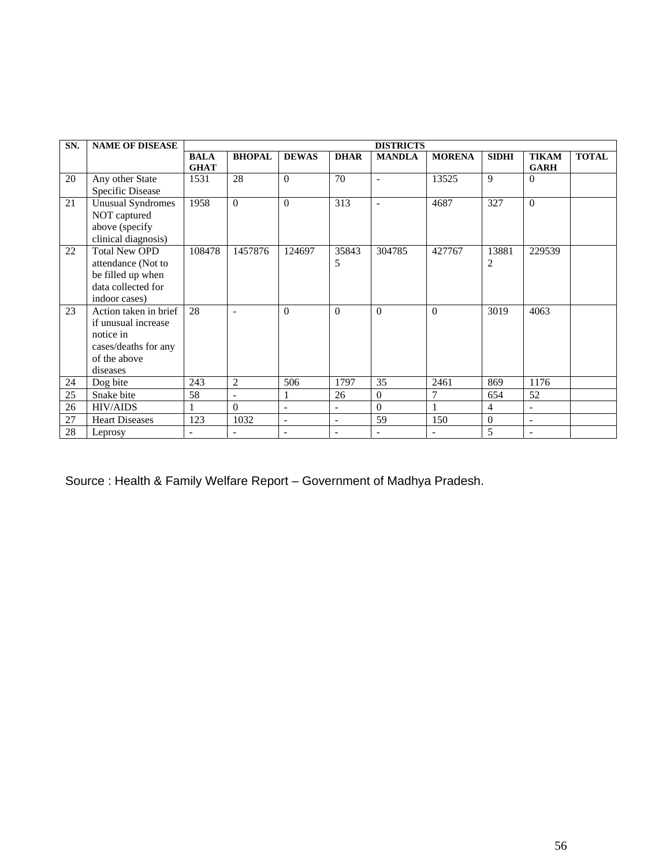| SN. | <b>NAME OF DISEASE</b>   | <b>DISTRICTS</b>           |                          |                          |                          |                |                |                |                             |              |  |  |  |
|-----|--------------------------|----------------------------|--------------------------|--------------------------|--------------------------|----------------|----------------|----------------|-----------------------------|--------------|--|--|--|
|     |                          | <b>BALA</b><br><b>GHAT</b> | <b>BHOPAL</b>            | <b>DEWAS</b>             | <b>DHAR</b>              | <b>MANDLA</b>  | <b>MORENA</b>  | <b>SIDHI</b>   | <b>TIKAM</b><br><b>GARH</b> | <b>TOTAL</b> |  |  |  |
| 20  | Any other State          | 1531                       | 28                       | $\theta$                 | 70                       | $\blacksquare$ | 13525          | 9              | $\Omega$                    |              |  |  |  |
|     | <b>Specific Disease</b>  |                            |                          |                          |                          |                |                |                |                             |              |  |  |  |
| 21  | <b>Unusual Syndromes</b> | 1958                       | $\theta$                 | $\Omega$                 | 313                      | $\blacksquare$ | 4687           | 327            | $\Omega$                    |              |  |  |  |
|     | NOT captured             |                            |                          |                          |                          |                |                |                |                             |              |  |  |  |
|     | above (specify           |                            |                          |                          |                          |                |                |                |                             |              |  |  |  |
|     | clinical diagnosis)      |                            |                          |                          |                          |                |                |                |                             |              |  |  |  |
| 22  | <b>Total New OPD</b>     | 108478                     | 1457876                  | 124697                   | 35843                    | 304785         | 427767         | 13881          | 229539                      |              |  |  |  |
|     | attendance (Not to       |                            |                          |                          | 5                        |                |                | 2              |                             |              |  |  |  |
|     | be filled up when        |                            |                          |                          |                          |                |                |                |                             |              |  |  |  |
|     | data collected for       |                            |                          |                          |                          |                |                |                |                             |              |  |  |  |
|     | indoor cases)            |                            |                          |                          |                          |                |                |                |                             |              |  |  |  |
| 23  | Action taken in brief    | 28                         |                          | $\theta$                 | $\theta$                 | $\Omega$       | $\theta$       | 3019           | 4063                        |              |  |  |  |
|     | if unusual increase      |                            |                          |                          |                          |                |                |                |                             |              |  |  |  |
|     | notice in                |                            |                          |                          |                          |                |                |                |                             |              |  |  |  |
|     | cases/deaths for any     |                            |                          |                          |                          |                |                |                |                             |              |  |  |  |
|     | of the above             |                            |                          |                          |                          |                |                |                |                             |              |  |  |  |
|     | diseases                 |                            |                          |                          |                          |                |                |                |                             |              |  |  |  |
| 24  | Dog bite                 | 243                        | 2                        | 506                      | 1797                     | 35             | 2461           | 869            | 1176                        |              |  |  |  |
| 25  | Snake bite               | 58                         | $\overline{\phantom{a}}$ | 1                        | 26                       | $\overline{0}$ | 7              | 654            | 52                          |              |  |  |  |
| 26  | <b>HIV/AIDS</b>          |                            | $\Omega$                 | $\overline{a}$           | $\overline{\phantom{a}}$ | $\theta$       | $\mathbf{1}$   | $\overline{4}$ | $\overline{\phantom{a}}$    |              |  |  |  |
| 27  | <b>Heart Diseases</b>    | 123                        | 1032                     | $\overline{\phantom{a}}$ | $\overline{\phantom{a}}$ | 59             | 150            | $\mathbf{0}$   | $\overline{\phantom{a}}$    |              |  |  |  |
| 28  | Leprosy                  |                            |                          | $\qquad \qquad -$        |                          |                | $\overline{a}$ | 5              | $\overline{\phantom{a}}$    |              |  |  |  |

Source : Health & Family Welfare Report – Government of Madhya Pradesh.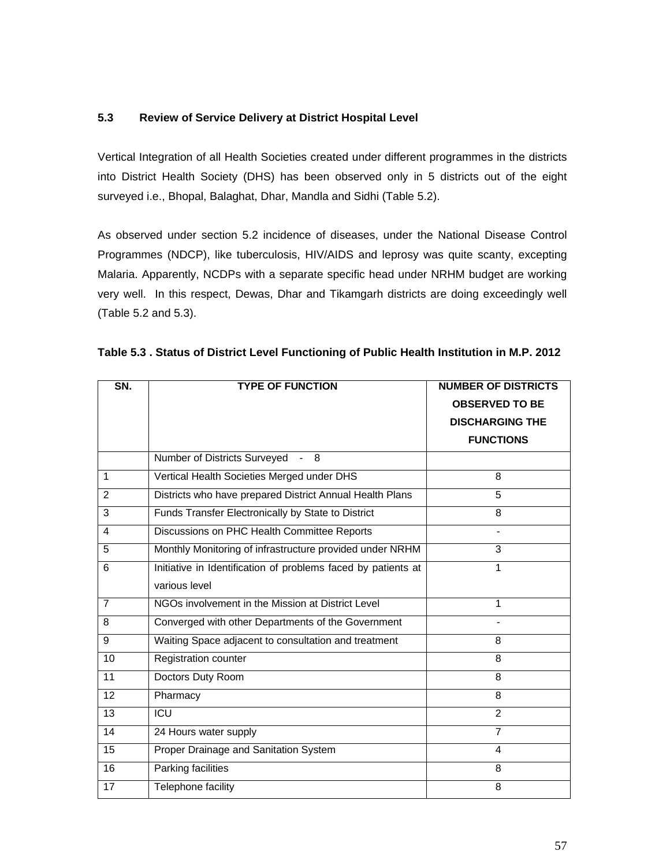### **5.3 Review of Service Delivery at District Hospital Level**

Vertical Integration of all Health Societies created under different programmes in the districts into District Health Society (DHS) has been observed only in 5 districts out of the eight surveyed i.e., Bhopal, Balaghat, Dhar, Mandla and Sidhi (Table 5.2).

As observed under section 5.2 incidence of diseases, under the National Disease Control Programmes (NDCP), like tuberculosis, HIV/AIDS and leprosy was quite scanty, excepting Malaria. Apparently, NCDPs with a separate specific head under NRHM budget are working very well. In this respect, Dewas, Dhar and Tikamgarh districts are doing exceedingly well (Table 5.2 and 5.3).

| SN.            | <b>TYPE OF FUNCTION</b>                                       | <b>NUMBER OF DISTRICTS</b><br><b>OBSERVED TO BE</b><br><b>DISCHARGING THE</b><br><b>FUNCTIONS</b> |  |  |  |  |  |
|----------------|---------------------------------------------------------------|---------------------------------------------------------------------------------------------------|--|--|--|--|--|
|                | Number of Districts Surveyed<br>$-8$                          |                                                                                                   |  |  |  |  |  |
| $\mathbf{1}$   | Vertical Health Societies Merged under DHS                    | 8                                                                                                 |  |  |  |  |  |
| 2              | Districts who have prepared District Annual Health Plans      | 5                                                                                                 |  |  |  |  |  |
| 3              | Funds Transfer Electronically by State to District            | 8                                                                                                 |  |  |  |  |  |
| 4              | Discussions on PHC Health Committee Reports                   |                                                                                                   |  |  |  |  |  |
| 5              | Monthly Monitoring of infrastructure provided under NRHM      | 3                                                                                                 |  |  |  |  |  |
| 6              | Initiative in Identification of problems faced by patients at | 1                                                                                                 |  |  |  |  |  |
|                | various level                                                 |                                                                                                   |  |  |  |  |  |
| $\overline{7}$ | NGOs involvement in the Mission at District Level             | $\mathbf{1}$                                                                                      |  |  |  |  |  |
| 8              | Converged with other Departments of the Government            |                                                                                                   |  |  |  |  |  |
| 9              | Waiting Space adjacent to consultation and treatment          | 8                                                                                                 |  |  |  |  |  |
| 10             | <b>Registration counter</b>                                   | 8                                                                                                 |  |  |  |  |  |
| 11             | Doctors Duty Room                                             | 8                                                                                                 |  |  |  |  |  |
| 12             | Pharmacy                                                      | 8                                                                                                 |  |  |  |  |  |
| 13             | ICU                                                           | $\overline{2}$                                                                                    |  |  |  |  |  |
| 14             | 24 Hours water supply                                         | $\overline{7}$                                                                                    |  |  |  |  |  |
| 15             | Proper Drainage and Sanitation System                         | 4                                                                                                 |  |  |  |  |  |
| 16             | <b>Parking facilities</b>                                     | 8                                                                                                 |  |  |  |  |  |
| 17             | Telephone facility                                            | 8                                                                                                 |  |  |  |  |  |

|  | Table 5.3 . Status of District Level Functioning of Public Health Institution in M.P. 2012 |  |  |  |
|--|--------------------------------------------------------------------------------------------|--|--|--|
|  |                                                                                            |  |  |  |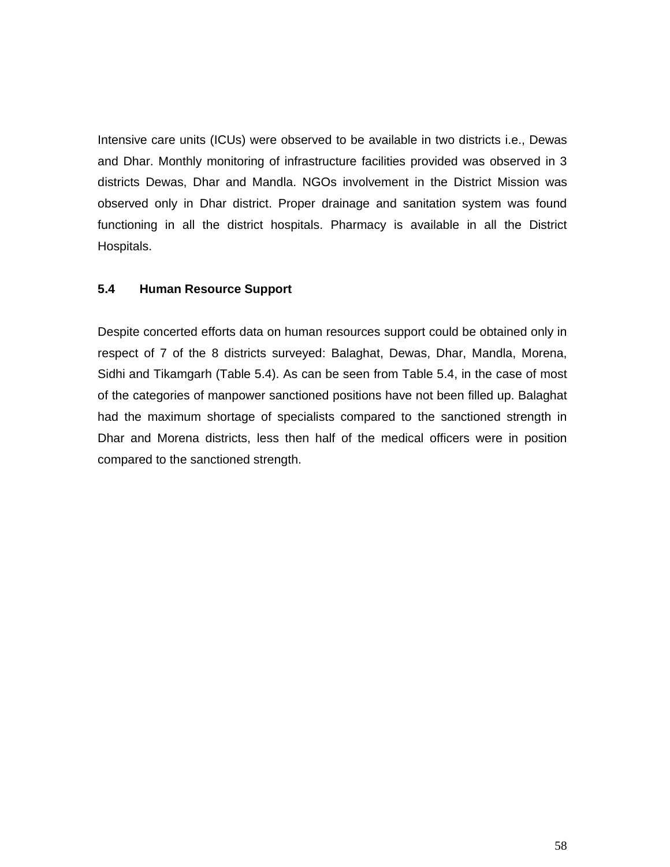Intensive care units (ICUs) were observed to be available in two districts i.e., Dewas and Dhar. Monthly monitoring of infrastructure facilities provided was observed in 3 districts Dewas, Dhar and Mandla. NGOs involvement in the District Mission was observed only in Dhar district. Proper drainage and sanitation system was found functioning in all the district hospitals. Pharmacy is available in all the District Hospitals.

### **5.4 Human Resource Support**

Despite concerted efforts data on human resources support could be obtained only in respect of 7 of the 8 districts surveyed: Balaghat, Dewas, Dhar, Mandla, Morena, Sidhi and Tikamgarh (Table 5.4). As can be seen from Table 5.4, in the case of most of the categories of manpower sanctioned positions have not been filled up. Balaghat had the maximum shortage of specialists compared to the sanctioned strength in Dhar and Morena districts, less then half of the medical officers were in position compared to the sanctioned strength.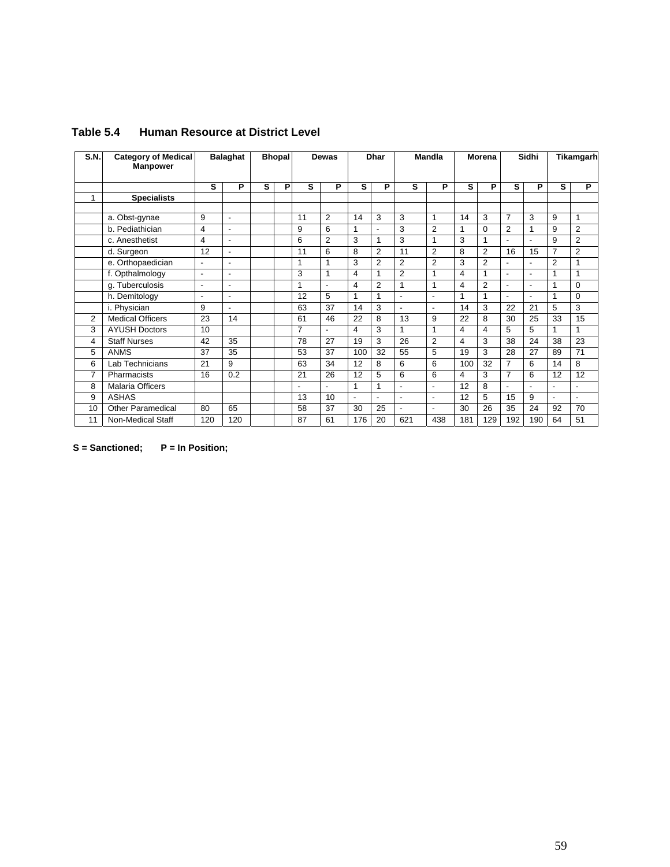| S.N. | <b>Category of Medical</b><br><b>Manpower</b> |                          | <b>Balaghat</b>          | <b>Bhopal</b> |   | Dewas          |                          | <b>Dhar</b>    |                | <b>Mandla</b>            |                          | Morena |                | Sidhi                    |                | Tikamgarh                |                |
|------|-----------------------------------------------|--------------------------|--------------------------|---------------|---|----------------|--------------------------|----------------|----------------|--------------------------|--------------------------|--------|----------------|--------------------------|----------------|--------------------------|----------------|
|      |                                               | s                        | P                        | s             | P | s              | P                        | s              | P              | s                        | P                        | s      | P              | s                        | P              | s                        | P              |
| 1    | <b>Specialists</b>                            |                          |                          |               |   |                |                          |                |                |                          |                          |        |                |                          |                |                          |                |
|      |                                               |                          |                          |               |   |                |                          |                |                |                          |                          |        |                |                          |                |                          |                |
|      | a. Obst-gynae                                 | 9                        | $\overline{\phantom{a}}$ |               |   | 11             | $\overline{2}$           | 14             | 3              | 3                        | $\overline{1}$           | 14     | 3              | $\overline{7}$           | 3              | 9                        | 1              |
|      | b. Pediathician                               | 4                        | $\overline{\phantom{a}}$ |               |   | 9              | 6                        | 1              | $\overline{a}$ | 3                        | $\overline{2}$           | 1      | $\Omega$       | 2                        | 1              | 9                        | $\overline{2}$ |
|      | c. Anesthetist                                | 4                        | $\overline{\phantom{a}}$ |               |   | 6              | $\overline{2}$           | 3              | 1              | 3                        | $\overline{1}$           | 3      | 1              | $\overline{\phantom{a}}$ | $\blacksquare$ | 9                        | $\overline{2}$ |
|      | d. Surgeon                                    | 12                       | $\overline{\phantom{a}}$ |               |   | 11             | 6                        | 8              | $\overline{2}$ | 11                       | $\overline{2}$           | 8      | 2              | 16                       | 15             | $\overline{7}$           | $\overline{2}$ |
|      | e. Orthopaedician                             | $\overline{\phantom{a}}$ | $\overline{\phantom{a}}$ |               |   | 1              | 1                        | 3              | $\overline{2}$ | $\overline{2}$           | $\overline{2}$           | 3      | 2              | -                        | $\blacksquare$ | $\overline{2}$           | 1              |
|      | f. Opthalmology                               | $\blacksquare$           | $\overline{\phantom{a}}$ |               |   | 3              | 1                        | 4              | 1              | $\overline{2}$           | 1                        | 4      | 1              | $\overline{a}$           | $\overline{a}$ | 1                        | 1              |
|      | g. Tuberculosis                               | $\overline{\phantom{a}}$ | $\overline{\phantom{a}}$ |               |   | 1              | $\overline{\phantom{a}}$ | 4              | $\overline{2}$ | 1                        | 1                        | 4      | $\overline{2}$ | $\blacksquare$           | $\overline{a}$ | 1                        | 0              |
|      | h. Demitology                                 | $\overline{\phantom{a}}$ | $\overline{\phantom{a}}$ |               |   | 12             | 5                        | $\mathbf{1}$   | 1              | $\overline{a}$           | $\blacksquare$           | 1      | 1              | $\blacksquare$           | $\overline{a}$ | 1                        | 0              |
|      | i. Physician                                  | 9                        | $\overline{\phantom{a}}$ |               |   | 63             | 37                       | 14             | 3              | $\blacksquare$           | $\blacksquare$           | 14     | 3              | 22                       | 21             | 5                        | 3              |
| 2    | <b>Medical Officers</b>                       | 23                       | 14                       |               |   | 61             | 46                       | 22             | 8              | 13                       | 9                        | 22     | 8              | 30                       | 25             | 33                       | 15             |
| 3    | <b>AYUSH Doctors</b>                          | 10                       |                          |               |   | $\overline{7}$ | ÷,                       | 4              | 3              | 1                        | 1                        | 4      | 4              | 5                        | 5              | 1                        | 1              |
| 4    | <b>Staff Nurses</b>                           | 42                       | 35                       |               |   | 78             | 27                       | 19             | 3              | 26                       | $\overline{2}$           | 4      | 3              | 38                       | 24             | 38                       | 23             |
| 5    | <b>ANMS</b>                                   | 37                       | 35                       |               |   | 53             | 37                       | 100            | 32             | 55                       | 5                        | 19     | 3              | 28                       | 27             | 89                       | 71             |
| 6    | Lab Technicians                               | 21                       | 9                        |               |   | 63             | 34                       | 12             | 8              | 6                        | 6                        | 100    | 32             | $\overline{7}$           | 6              | 14                       | 8              |
| 7    | Pharmacists                                   | 16                       | 0.2                      |               |   | 21             | 26                       | 12             | 5              | 6                        | 6                        | 4      | 3              | $\overline{7}$           | 6              | 12                       | 12             |
| 8    | Malaria Officers                              |                          |                          |               |   | ٠              | $\overline{a}$           | 1              | 1              | $\overline{a}$           | $\overline{a}$           | 12     | 8              | $\overline{\phantom{0}}$ | Ĭ.             | ٠                        |                |
| 9    | <b>ASHAS</b>                                  |                          |                          |               |   | 13             | 10                       | $\blacksquare$ |                | $\overline{\phantom{a}}$ | $\overline{\phantom{a}}$ | 12     | 5              | 15                       | 9              | $\overline{\phantom{a}}$ |                |
| 10   | <b>Other Paramedical</b>                      | 80                       | 65                       |               |   | 58             | 37                       | 30             | 25             | $\overline{\phantom{0}}$ | $\overline{\phantom{a}}$ | 30     | 26             | 35                       | 24             | 92                       | 70             |
| 11   | Non-Medical Staff                             | 120                      | 120                      |               |   | 87             | 61                       | 176            | 20             | 621                      | 438                      | 181    | 129            | 192                      | 190            | 64                       | 51             |

### **Table 5.4 Human Resource at District Level**

 **S = Sanctioned; P = In Position;**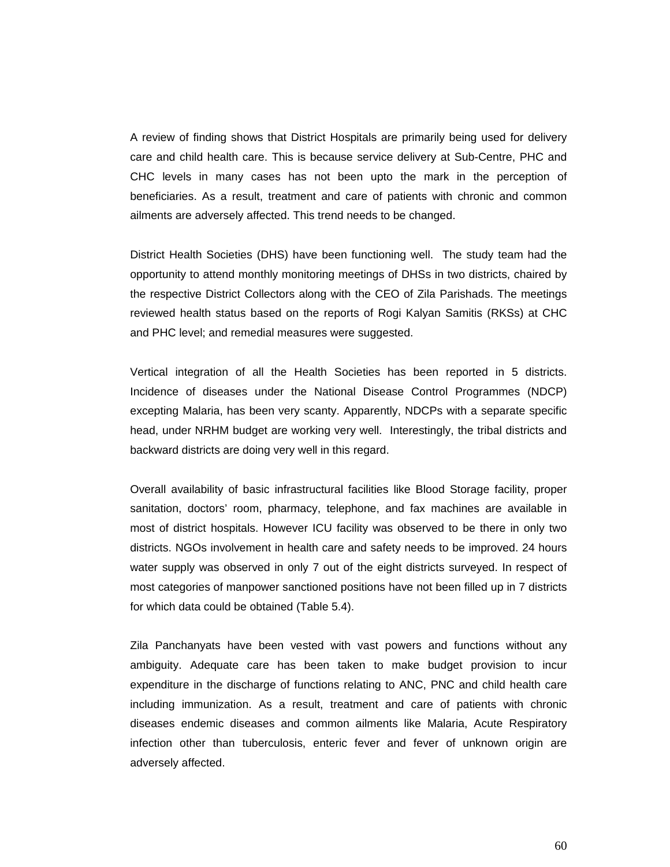A review of finding shows that District Hospitals are primarily being used for delivery care and child health care. This is because service delivery at Sub-Centre, PHC and CHC levels in many cases has not been upto the mark in the perception of beneficiaries. As a result, treatment and care of patients with chronic and common ailments are adversely affected. This trend needs to be changed.

District Health Societies (DHS) have been functioning well. The study team had the opportunity to attend monthly monitoring meetings of DHSs in two districts, chaired by the respective District Collectors along with the CEO of Zila Parishads. The meetings reviewed health status based on the reports of Rogi Kalyan Samitis (RKSs) at CHC and PHC level; and remedial measures were suggested.

Vertical integration of all the Health Societies has been reported in 5 districts. Incidence of diseases under the National Disease Control Programmes (NDCP) excepting Malaria, has been very scanty. Apparently, NDCPs with a separate specific head, under NRHM budget are working very well. Interestingly, the tribal districts and backward districts are doing very well in this regard.

Overall availability of basic infrastructural facilities like Blood Storage facility, proper sanitation, doctors' room, pharmacy, telephone, and fax machines are available in most of district hospitals. However ICU facility was observed to be there in only two districts. NGOs involvement in health care and safety needs to be improved. 24 hours water supply was observed in only 7 out of the eight districts surveyed. In respect of most categories of manpower sanctioned positions have not been filled up in 7 districts for which data could be obtained (Table 5.4).

Zila Panchanyats have been vested with vast powers and functions without any ambiguity. Adequate care has been taken to make budget provision to incur expenditure in the discharge of functions relating to ANC, PNC and child health care including immunization. As a result, treatment and care of patients with chronic diseases endemic diseases and common ailments like Malaria, Acute Respiratory infection other than tuberculosis, enteric fever and fever of unknown origin are adversely affected.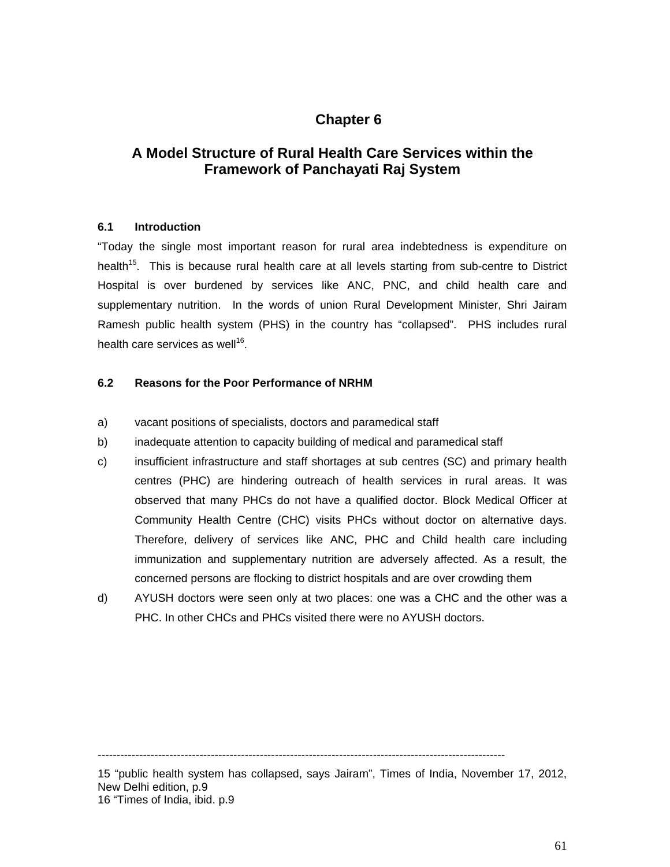## **Chapter 6**

## **A Model Structure of Rural Health Care Services within the Framework of Panchayati Raj System**

#### **6.1 Introduction**

"Today the single most important reason for rural area indebtedness is expenditure on health<sup>15</sup>. This is because rural health care at all levels starting from sub-centre to District Hospital is over burdened by services like ANC, PNC, and child health care and supplementary nutrition. In the words of union Rural Development Minister, Shri Jairam Ramesh public health system (PHS) in the country has "collapsed". PHS includes rural health care services as well<sup>16</sup>.

#### **6.2 Reasons for the Poor Performance of NRHM**

- a) vacant positions of specialists, doctors and paramedical staff
- b) inadequate attention to capacity building of medical and paramedical staff
- c) insufficient infrastructure and staff shortages at sub centres (SC) and primary health centres (PHC) are hindering outreach of health services in rural areas. It was observed that many PHCs do not have a qualified doctor. Block Medical Officer at Community Health Centre (CHC) visits PHCs without doctor on alternative days. Therefore, delivery of services like ANC, PHC and Child health care including immunization and supplementary nutrition are adversely affected. As a result, the concerned persons are flocking to district hospitals and are over crowding them
- d) AYUSH doctors were seen only at two places: one was a CHC and the other was a PHC. In other CHCs and PHCs visited there were no AYUSH doctors.

------------------------------------------------------------------------------------------------------------

15 "public health system has collapsed, says Jairam", Times of India, November 17, 2012, New Delhi edition, p.9 16 "Times of India, ibid. p.9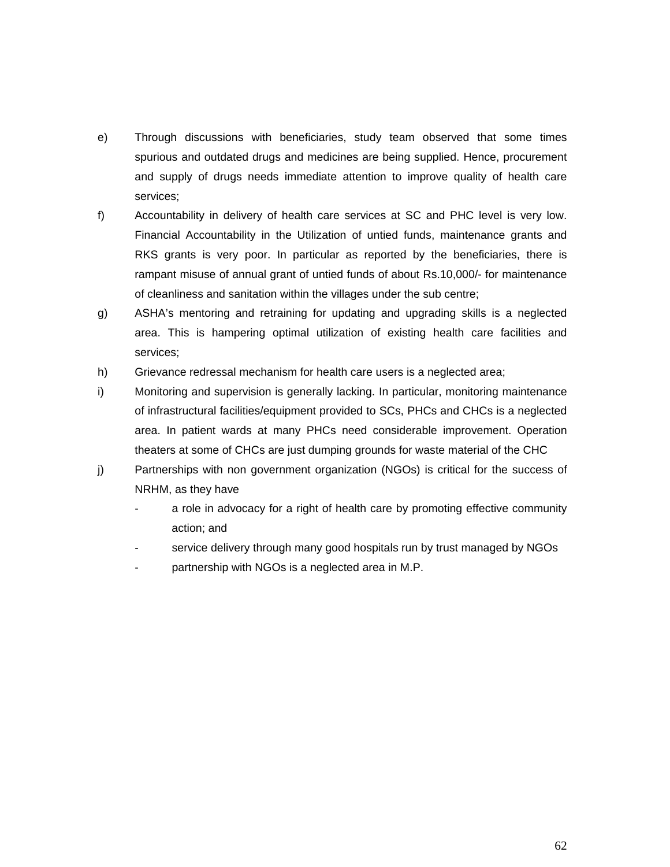- e) Through discussions with beneficiaries, study team observed that some times spurious and outdated drugs and medicines are being supplied. Hence, procurement and supply of drugs needs immediate attention to improve quality of health care services;
- f) Accountability in delivery of health care services at SC and PHC level is very low. Financial Accountability in the Utilization of untied funds, maintenance grants and RKS grants is very poor. In particular as reported by the beneficiaries, there is rampant misuse of annual grant of untied funds of about Rs.10,000/- for maintenance of cleanliness and sanitation within the villages under the sub centre;
- g) ASHA's mentoring and retraining for updating and upgrading skills is a neglected area. This is hampering optimal utilization of existing health care facilities and services;
- h) Grievance redressal mechanism for health care users is a neglected area;
- i) Monitoring and supervision is generally lacking. In particular, monitoring maintenance of infrastructural facilities/equipment provided to SCs, PHCs and CHCs is a neglected area. In patient wards at many PHCs need considerable improvement. Operation theaters at some of CHCs are just dumping grounds for waste material of the CHC
- j) Partnerships with non government organization (NGOs) is critical for the success of NRHM, as they have
	- a role in advocacy for a right of health care by promoting effective community action; and
	- service delivery through many good hospitals run by trust managed by NGOs
	- partnership with NGOs is a neglected area in M.P.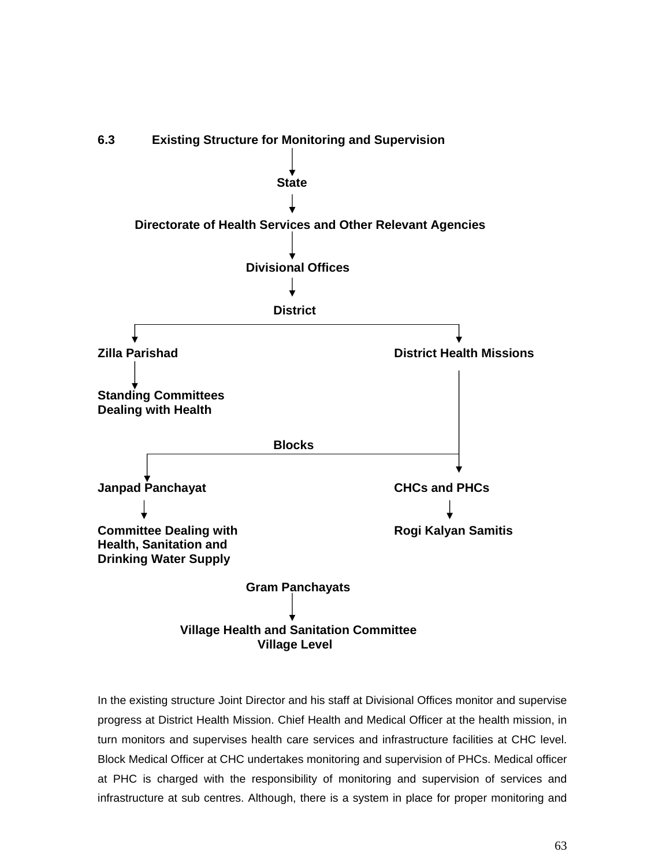

In the existing structure Joint Director and his staff at Divisional Offices monitor and supervise progress at District Health Mission. Chief Health and Medical Officer at the health mission, in turn monitors and supervises health care services and infrastructure facilities at CHC level. Block Medical Officer at CHC undertakes monitoring and supervision of PHCs. Medical officer at PHC is charged with the responsibility of monitoring and supervision of services and infrastructure at sub centres. Although, there is a system in place for proper monitoring and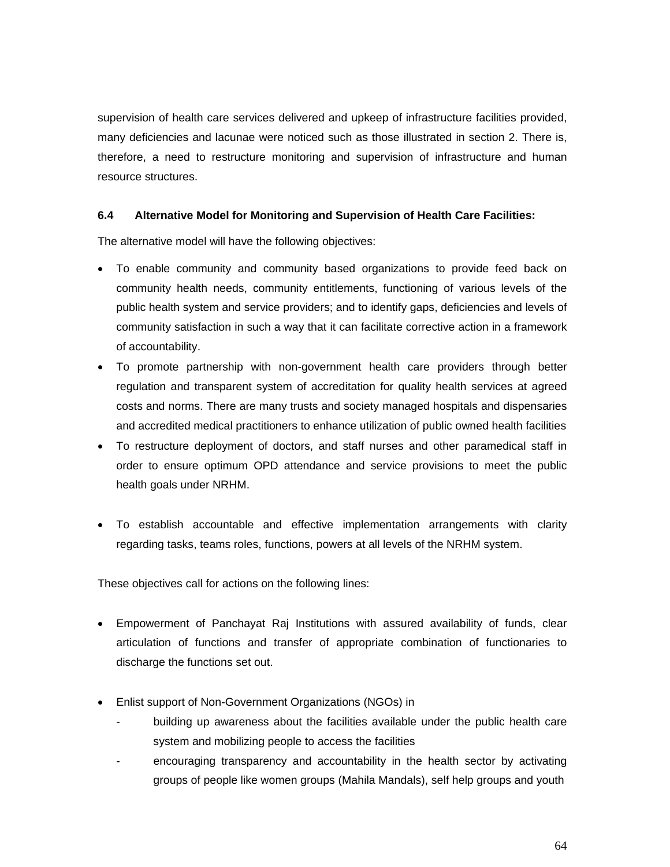supervision of health care services delivered and upkeep of infrastructure facilities provided, many deficiencies and lacunae were noticed such as those illustrated in section 2. There is, therefore, a need to restructure monitoring and supervision of infrastructure and human resource structures.

#### **6.4 Alternative Model for Monitoring and Supervision of Health Care Facilities:**

The alternative model will have the following objectives:

- To enable community and community based organizations to provide feed back on community health needs, community entitlements, functioning of various levels of the public health system and service providers; and to identify gaps, deficiencies and levels of community satisfaction in such a way that it can facilitate corrective action in a framework of accountability.
- To promote partnership with non-government health care providers through better regulation and transparent system of accreditation for quality health services at agreed costs and norms. There are many trusts and society managed hospitals and dispensaries and accredited medical practitioners to enhance utilization of public owned health facilities
- To restructure deployment of doctors, and staff nurses and other paramedical staff in order to ensure optimum OPD attendance and service provisions to meet the public health goals under NRHM.
- To establish accountable and effective implementation arrangements with clarity regarding tasks, teams roles, functions, powers at all levels of the NRHM system.

These objectives call for actions on the following lines:

- Empowerment of Panchayat Raj Institutions with assured availability of funds, clear articulation of functions and transfer of appropriate combination of functionaries to discharge the functions set out.
- Enlist support of Non-Government Organizations (NGOs) in
	- building up awareness about the facilities available under the public health care system and mobilizing people to access the facilities
	- encouraging transparency and accountability in the health sector by activating groups of people like women groups (Mahila Mandals), self help groups and youth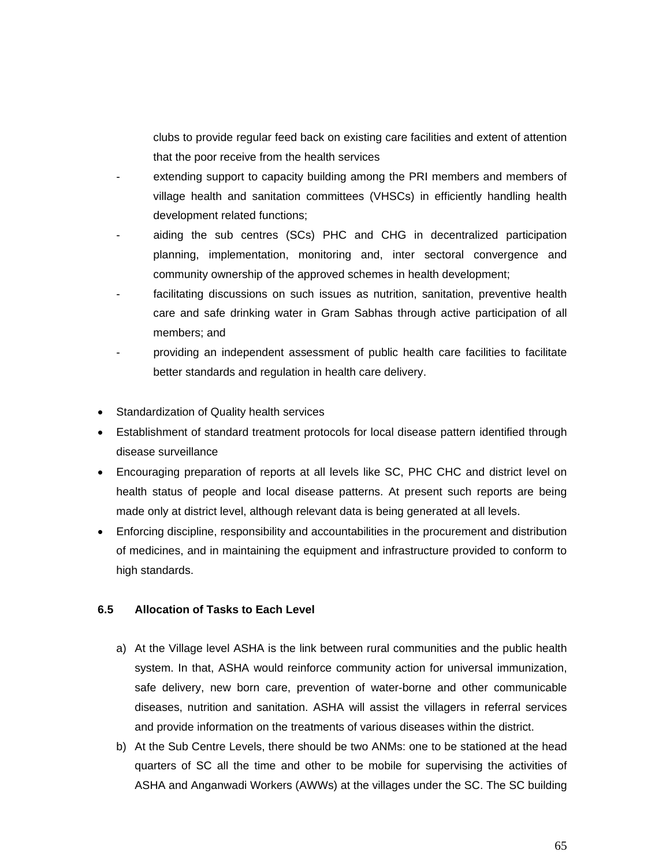clubs to provide regular feed back on existing care facilities and extent of attention that the poor receive from the health services

- extending support to capacity building among the PRI members and members of village health and sanitation committees (VHSCs) in efficiently handling health development related functions;
- aiding the sub centres (SCs) PHC and CHG in decentralized participation planning, implementation, monitoring and, inter sectoral convergence and community ownership of the approved schemes in health development;
- facilitating discussions on such issues as nutrition, sanitation, preventive health care and safe drinking water in Gram Sabhas through active participation of all members; and
- providing an independent assessment of public health care facilities to facilitate better standards and regulation in health care delivery.
- Standardization of Quality health services
- Establishment of standard treatment protocols for local disease pattern identified through disease surveillance
- Encouraging preparation of reports at all levels like SC, PHC CHC and district level on health status of people and local disease patterns. At present such reports are being made only at district level, although relevant data is being generated at all levels.
- Enforcing discipline, responsibility and accountabilities in the procurement and distribution of medicines, and in maintaining the equipment and infrastructure provided to conform to high standards.

#### **6.5 Allocation of Tasks to Each Level**

- a) At the Village level ASHA is the link between rural communities and the public health system. In that, ASHA would reinforce community action for universal immunization, safe delivery, new born care, prevention of water-borne and other communicable diseases, nutrition and sanitation. ASHA will assist the villagers in referral services and provide information on the treatments of various diseases within the district.
- b) At the Sub Centre Levels, there should be two ANMs: one to be stationed at the head quarters of SC all the time and other to be mobile for supervising the activities of ASHA and Anganwadi Workers (AWWs) at the villages under the SC. The SC building

65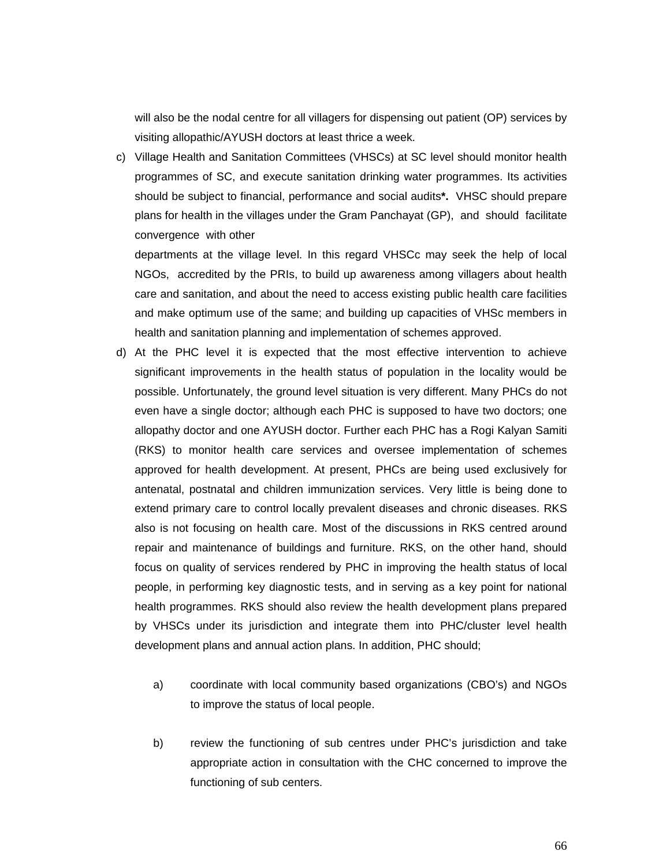will also be the nodal centre for all villagers for dispensing out patient (OP) services by visiting allopathic/AYUSH doctors at least thrice a week.

c) Village Health and Sanitation Committees (VHSCs) at SC level should monitor health programmes of SC, and execute sanitation drinking water programmes. Its activities should be subject to financial, performance and social audits**\*.** VHSC should prepare plans for health in the villages under the Gram Panchayat (GP), and should facilitate convergence with other

departments at the village level. In this regard VHSCc may seek the help of local NGOs, accredited by the PRIs, to build up awareness among villagers about health care and sanitation, and about the need to access existing public health care facilities and make optimum use of the same; and building up capacities of VHSc members in health and sanitation planning and implementation of schemes approved.

- d) At the PHC level it is expected that the most effective intervention to achieve significant improvements in the health status of population in the locality would be possible. Unfortunately, the ground level situation is very different. Many PHCs do not even have a single doctor; although each PHC is supposed to have two doctors; one allopathy doctor and one AYUSH doctor. Further each PHC has a Rogi Kalyan Samiti (RKS) to monitor health care services and oversee implementation of schemes approved for health development. At present, PHCs are being used exclusively for antenatal, postnatal and children immunization services. Very little is being done to extend primary care to control locally prevalent diseases and chronic diseases. RKS also is not focusing on health care. Most of the discussions in RKS centred around repair and maintenance of buildings and furniture. RKS, on the other hand, should focus on quality of services rendered by PHC in improving the health status of local people, in performing key diagnostic tests, and in serving as a key point for national health programmes. RKS should also review the health development plans prepared by VHSCs under its jurisdiction and integrate them into PHC/cluster level health development plans and annual action plans. In addition, PHC should;
	- a) coordinate with local community based organizations (CBO's) and NGOs to improve the status of local people.
	- b) review the functioning of sub centres under PHC's jurisdiction and take appropriate action in consultation with the CHC concerned to improve the functioning of sub centers.

66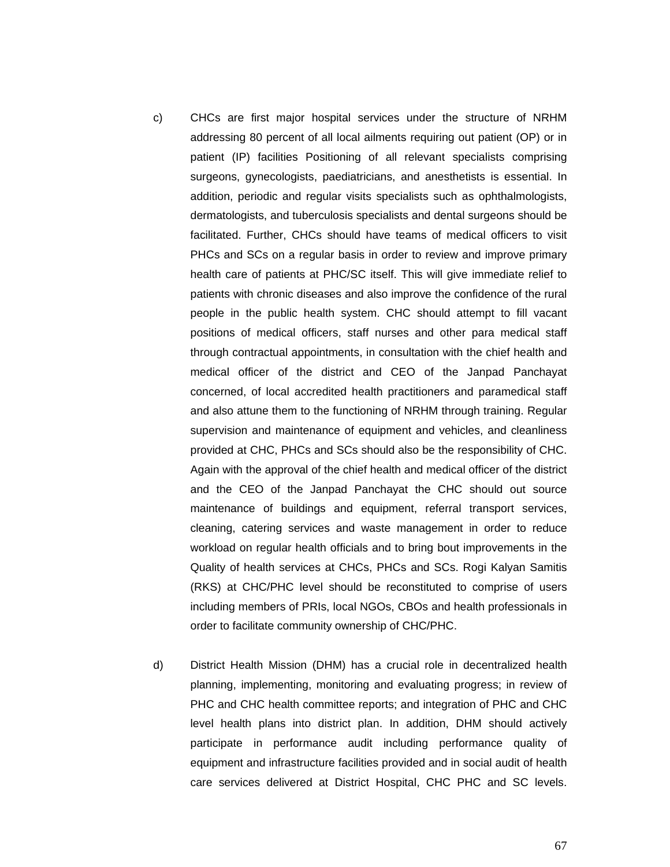- c) CHCs are first major hospital services under the structure of NRHM addressing 80 percent of all local ailments requiring out patient (OP) or in patient (IP) facilities Positioning of all relevant specialists comprising surgeons, gynecologists, paediatricians, and anesthetists is essential. In addition, periodic and regular visits specialists such as ophthalmologists, dermatologists, and tuberculosis specialists and dental surgeons should be facilitated. Further, CHCs should have teams of medical officers to visit PHCs and SCs on a regular basis in order to review and improve primary health care of patients at PHC/SC itself. This will give immediate relief to patients with chronic diseases and also improve the confidence of the rural people in the public health system. CHC should attempt to fill vacant positions of medical officers, staff nurses and other para medical staff through contractual appointments, in consultation with the chief health and medical officer of the district and CEO of the Janpad Panchayat concerned, of local accredited health practitioners and paramedical staff and also attune them to the functioning of NRHM through training. Regular supervision and maintenance of equipment and vehicles, and cleanliness provided at CHC, PHCs and SCs should also be the responsibility of CHC. Again with the approval of the chief health and medical officer of the district and the CEO of the Janpad Panchayat the CHC should out source maintenance of buildings and equipment, referral transport services, cleaning, catering services and waste management in order to reduce workload on regular health officials and to bring bout improvements in the Quality of health services at CHCs, PHCs and SCs. Rogi Kalyan Samitis (RKS) at CHC/PHC level should be reconstituted to comprise of users including members of PRIs, local NGOs, CBOs and health professionals in order to facilitate community ownership of CHC/PHC.
- d) District Health Mission (DHM) has a crucial role in decentralized health planning, implementing, monitoring and evaluating progress; in review of PHC and CHC health committee reports; and integration of PHC and CHC level health plans into district plan. In addition, DHM should actively participate in performance audit including performance quality of equipment and infrastructure facilities provided and in social audit of health care services delivered at District Hospital, CHC PHC and SC levels.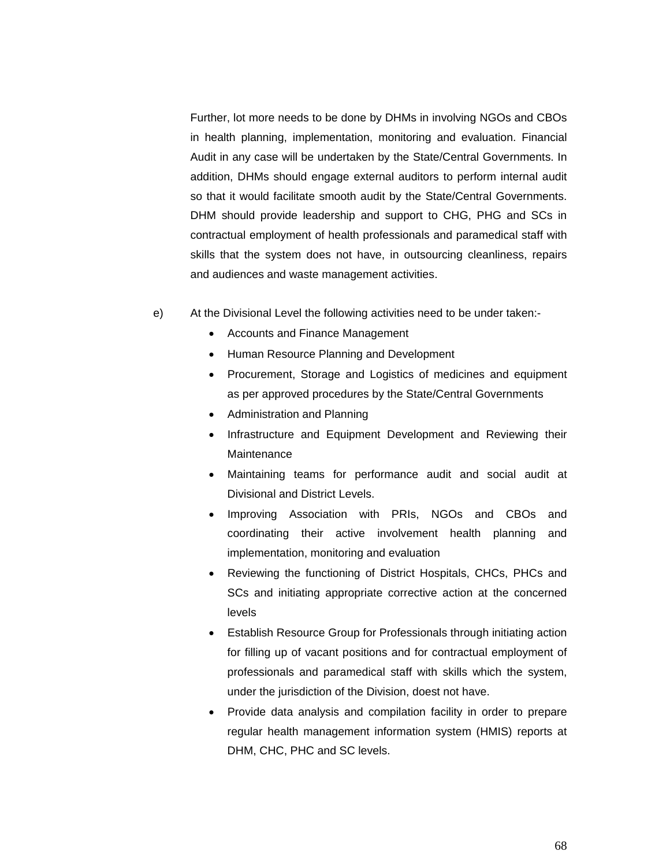Further, lot more needs to be done by DHMs in involving NGOs and CBOs in health planning, implementation, monitoring and evaluation. Financial Audit in any case will be undertaken by the State/Central Governments. In addition, DHMs should engage external auditors to perform internal audit so that it would facilitate smooth audit by the State/Central Governments. DHM should provide leadership and support to CHG, PHG and SCs in contractual employment of health professionals and paramedical staff with skills that the system does not have, in outsourcing cleanliness, repairs and audiences and waste management activities.

- e) At the Divisional Level the following activities need to be under taken:-
	- Accounts and Finance Management
	- Human Resource Planning and Development
	- Procurement, Storage and Logistics of medicines and equipment as per approved procedures by the State/Central Governments
	- Administration and Planning
	- Infrastructure and Equipment Development and Reviewing their **Maintenance**
	- Maintaining teams for performance audit and social audit at Divisional and District Levels.
	- Improving Association with PRIs, NGOs and CBOs and coordinating their active involvement health planning and implementation, monitoring and evaluation
	- Reviewing the functioning of District Hospitals, CHCs, PHCs and SCs and initiating appropriate corrective action at the concerned levels
	- Establish Resource Group for Professionals through initiating action for filling up of vacant positions and for contractual employment of professionals and paramedical staff with skills which the system, under the jurisdiction of the Division, doest not have.
	- Provide data analysis and compilation facility in order to prepare regular health management information system (HMIS) reports at DHM, CHC, PHC and SC levels.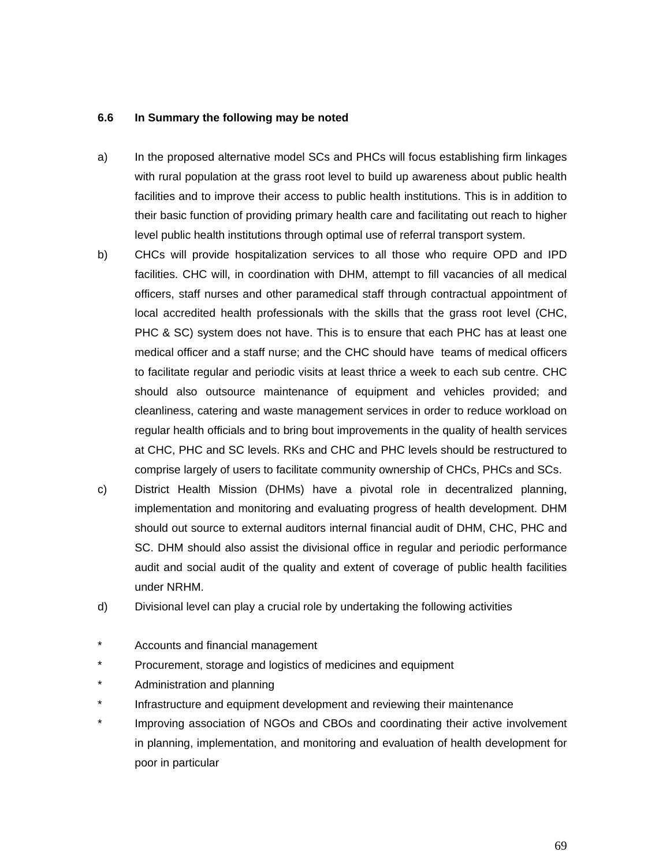#### **6.6 In Summary the following may be noted**

- a) In the proposed alternative model SCs and PHCs will focus establishing firm linkages with rural population at the grass root level to build up awareness about public health facilities and to improve their access to public health institutions. This is in addition to their basic function of providing primary health care and facilitating out reach to higher level public health institutions through optimal use of referral transport system.
- b) CHCs will provide hospitalization services to all those who require OPD and IPD facilities. CHC will, in coordination with DHM, attempt to fill vacancies of all medical officers, staff nurses and other paramedical staff through contractual appointment of local accredited health professionals with the skills that the grass root level (CHC, PHC & SC) system does not have. This is to ensure that each PHC has at least one medical officer and a staff nurse; and the CHC should have teams of medical officers to facilitate regular and periodic visits at least thrice a week to each sub centre. CHC should also outsource maintenance of equipment and vehicles provided; and cleanliness, catering and waste management services in order to reduce workload on regular health officials and to bring bout improvements in the quality of health services at CHC, PHC and SC levels. RKs and CHC and PHC levels should be restructured to comprise largely of users to facilitate community ownership of CHCs, PHCs and SCs.
- c) District Health Mission (DHMs) have a pivotal role in decentralized planning, implementation and monitoring and evaluating progress of health development. DHM should out source to external auditors internal financial audit of DHM, CHC, PHC and SC. DHM should also assist the divisional office in regular and periodic performance audit and social audit of the quality and extent of coverage of public health facilities under NRHM.
- d) Divisional level can play a crucial role by undertaking the following activities
- \* Accounts and financial management
- \* Procurement, storage and logistics of medicines and equipment
- \* Administration and planning
- \* Infrastructure and equipment development and reviewing their maintenance
- \* Improving association of NGOs and CBOs and coordinating their active involvement in planning, implementation, and monitoring and evaluation of health development for poor in particular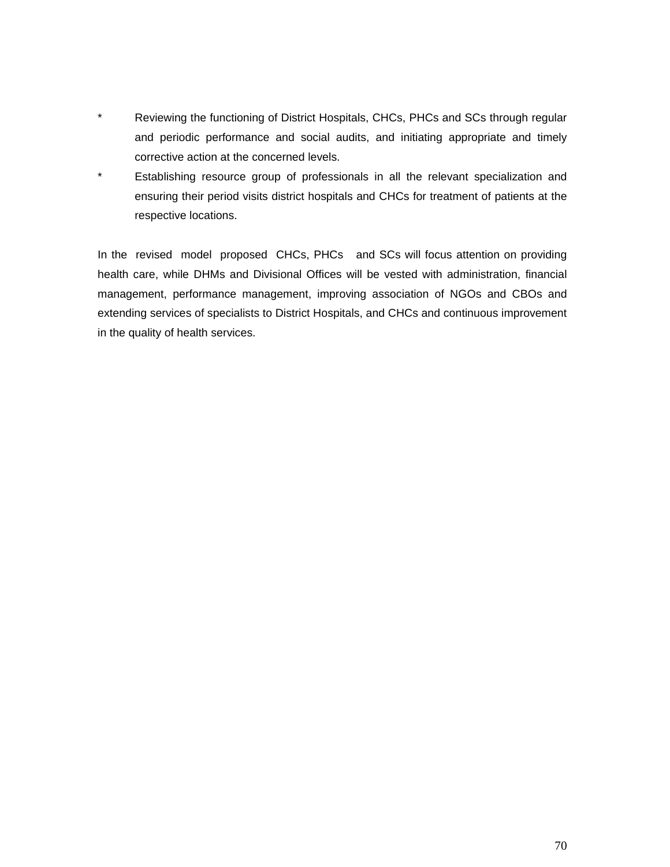- \* Reviewing the functioning of District Hospitals, CHCs, PHCs and SCs through regular and periodic performance and social audits, and initiating appropriate and timely corrective action at the concerned levels.
- \* Establishing resource group of professionals in all the relevant specialization and ensuring their period visits district hospitals and CHCs for treatment of patients at the respective locations.

In the revised model proposed CHCs, PHCs and SCs will focus attention on providing health care, while DHMs and Divisional Offices will be vested with administration, financial management, performance management, improving association of NGOs and CBOs and extending services of specialists to District Hospitals, and CHCs and continuous improvement in the quality of health services.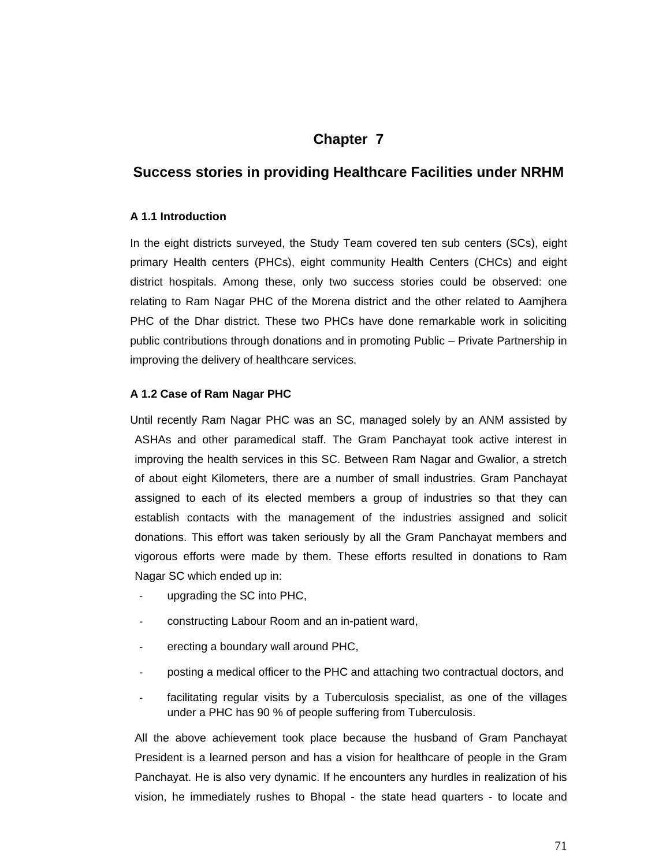# **Chapter 7**

# **Success stories in providing Healthcare Facilities under NRHM**

#### **A 1.1 Introduction**

In the eight districts surveyed, the Study Team covered ten sub centers (SCs), eight primary Health centers (PHCs), eight community Health Centers (CHCs) and eight district hospitals. Among these, only two success stories could be observed: one relating to Ram Nagar PHC of the Morena district and the other related to Aamjhera PHC of the Dhar district. These two PHCs have done remarkable work in soliciting public contributions through donations and in promoting Public – Private Partnership in improving the delivery of healthcare services.

## **A 1.2 Case of Ram Nagar PHC**

Until recently Ram Nagar PHC was an SC, managed solely by an ANM assisted by ASHAs and other paramedical staff. The Gram Panchayat took active interest in improving the health services in this SC. Between Ram Nagar and Gwalior, a stretch of about eight Kilometers, there are a number of small industries. Gram Panchayat assigned to each of its elected members a group of industries so that they can establish contacts with the management of the industries assigned and solicit donations. This effort was taken seriously by all the Gram Panchayat members and vigorous efforts were made by them. These efforts resulted in donations to Ram Nagar SC which ended up in:

- upgrading the SC into PHC,
- constructing Labour Room and an in-patient ward,
- erecting a boundary wall around PHC,
- posting a medical officer to the PHC and attaching two contractual doctors, and
- facilitating regular visits by a Tuberculosis specialist, as one of the villages under a PHC has 90 % of people suffering from Tuberculosis.

All the above achievement took place because the husband of Gram Panchayat President is a learned person and has a vision for healthcare of people in the Gram Panchayat. He is also very dynamic. If he encounters any hurdles in realization of his vision, he immediately rushes to Bhopal - the state head quarters - to locate and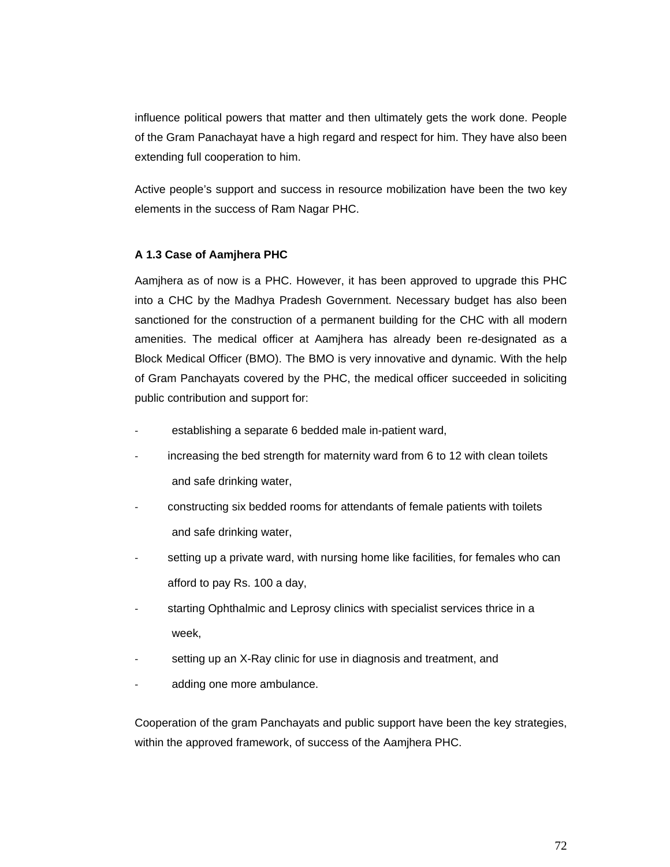influence political powers that matter and then ultimately gets the work done. People of the Gram Panachayat have a high regard and respect for him. They have also been extending full cooperation to him.

Active people's support and success in resource mobilization have been the two key elements in the success of Ram Nagar PHC.

#### **A 1.3 Case of Aamjhera PHC**

Aamjhera as of now is a PHC. However, it has been approved to upgrade this PHC into a CHC by the Madhya Pradesh Government. Necessary budget has also been sanctioned for the construction of a permanent building for the CHC with all modern amenities. The medical officer at Aamjhera has already been re-designated as a Block Medical Officer (BMO). The BMO is very innovative and dynamic. With the help of Gram Panchayats covered by the PHC, the medical officer succeeded in soliciting public contribution and support for:

- establishing a separate 6 bedded male in-patient ward,
- increasing the bed strength for maternity ward from 6 to 12 with clean toilets and safe drinking water,
- constructing six bedded rooms for attendants of female patients with toilets and safe drinking water,
- setting up a private ward, with nursing home like facilities, for females who can afford to pay Rs. 100 a day,
- starting Ophthalmic and Leprosy clinics with specialist services thrice in a week,
- setting up an X-Ray clinic for use in diagnosis and treatment, and
- adding one more ambulance.

Cooperation of the gram Panchayats and public support have been the key strategies, within the approved framework, of success of the Aamjhera PHC.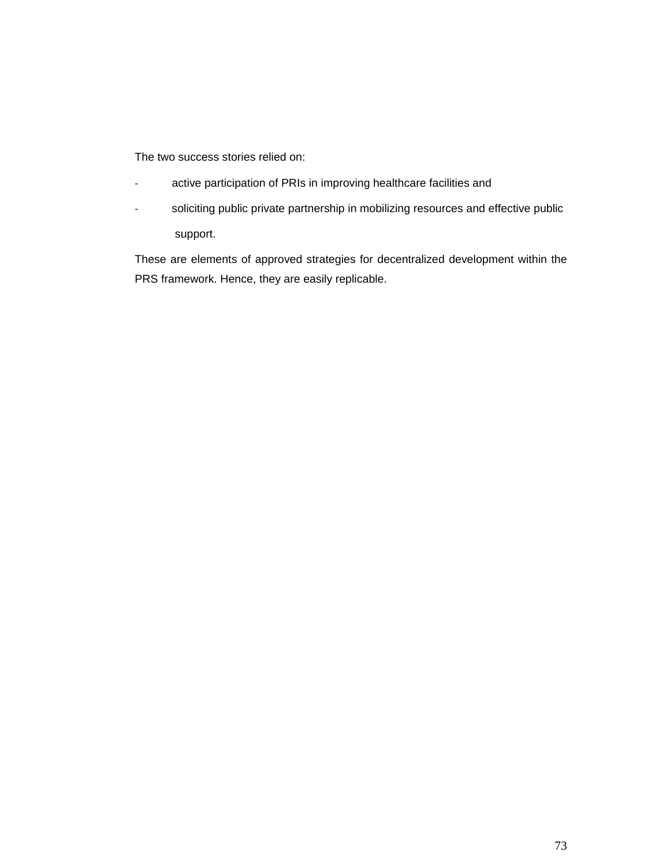The two success stories relied on:

- active participation of PRIs in improving healthcare facilities and
- soliciting public private partnership in mobilizing resources and effective public support.

These are elements of approved strategies for decentralized development within the PRS framework. Hence, they are easily replicable.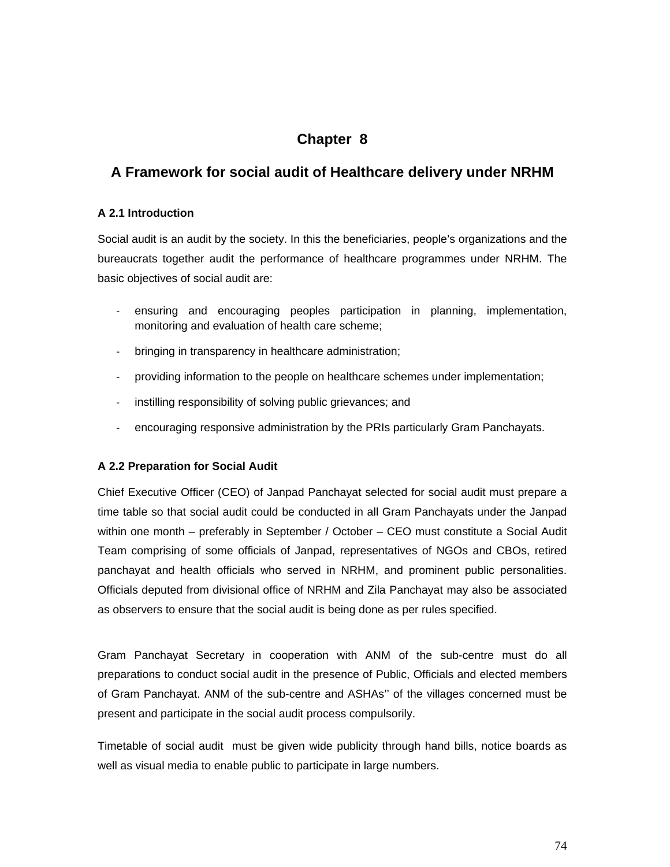# **Chapter 8**

# **A Framework for social audit of Healthcare delivery under NRHM**

## **A 2.1 Introduction**

Social audit is an audit by the society. In this the beneficiaries, people's organizations and the bureaucrats together audit the performance of healthcare programmes under NRHM. The basic objectives of social audit are:

- ensuring and encouraging peoples participation in planning, implementation, monitoring and evaluation of health care scheme;
- bringing in transparency in healthcare administration;
- providing information to the people on healthcare schemes under implementation;
- instilling responsibility of solving public grievances; and
- encouraging responsive administration by the PRIs particularly Gram Panchayats.

## **A 2.2 Preparation for Social Audit**

Chief Executive Officer (CEO) of Janpad Panchayat selected for social audit must prepare a time table so that social audit could be conducted in all Gram Panchayats under the Janpad within one month – preferably in September / October – CEO must constitute a Social Audit Team comprising of some officials of Janpad, representatives of NGOs and CBOs, retired panchayat and health officials who served in NRHM, and prominent public personalities. Officials deputed from divisional office of NRHM and Zila Panchayat may also be associated as observers to ensure that the social audit is being done as per rules specified.

Gram Panchayat Secretary in cooperation with ANM of the sub-centre must do all preparations to conduct social audit in the presence of Public, Officials and elected members of Gram Panchayat. ANM of the sub-centre and ASHAs'' of the villages concerned must be present and participate in the social audit process compulsorily.

Timetable of social audit must be given wide publicity through hand bills, notice boards as well as visual media to enable public to participate in large numbers.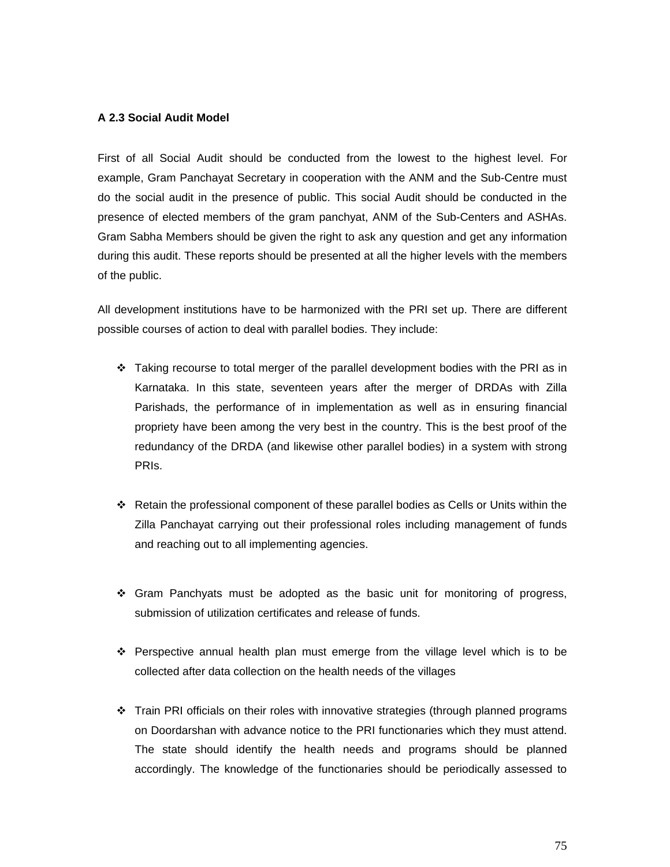#### **A 2.3 Social Audit Model**

First of all Social Audit should be conducted from the lowest to the highest level. For example, Gram Panchayat Secretary in cooperation with the ANM and the Sub-Centre must do the social audit in the presence of public. This social Audit should be conducted in the presence of elected members of the gram panchyat, ANM of the Sub-Centers and ASHAs. Gram Sabha Members should be given the right to ask any question and get any information during this audit. These reports should be presented at all the higher levels with the members of the public.

All development institutions have to be harmonized with the PRI set up. There are different possible courses of action to deal with parallel bodies. They include:

- $\cdot \cdot$  Taking recourse to total merger of the parallel development bodies with the PRI as in Karnataka. In this state, seventeen years after the merger of DRDAs with Zilla Parishads, the performance of in implementation as well as in ensuring financial propriety have been among the very best in the country. This is the best proof of the redundancy of the DRDA (and likewise other parallel bodies) in a system with strong PRIs.
- $\div$  Retain the professional component of these parallel bodies as Cells or Units within the Zilla Panchayat carrying out their professional roles including management of funds and reaching out to all implementing agencies.
- Gram Panchyats must be adopted as the basic unit for monitoring of progress, submission of utilization certificates and release of funds.
- $\div$  Perspective annual health plan must emerge from the village level which is to be collected after data collection on the health needs of the villages
- Train PRI officials on their roles with innovative strategies (through planned programs on Doordarshan with advance notice to the PRI functionaries which they must attend. The state should identify the health needs and programs should be planned accordingly. The knowledge of the functionaries should be periodically assessed to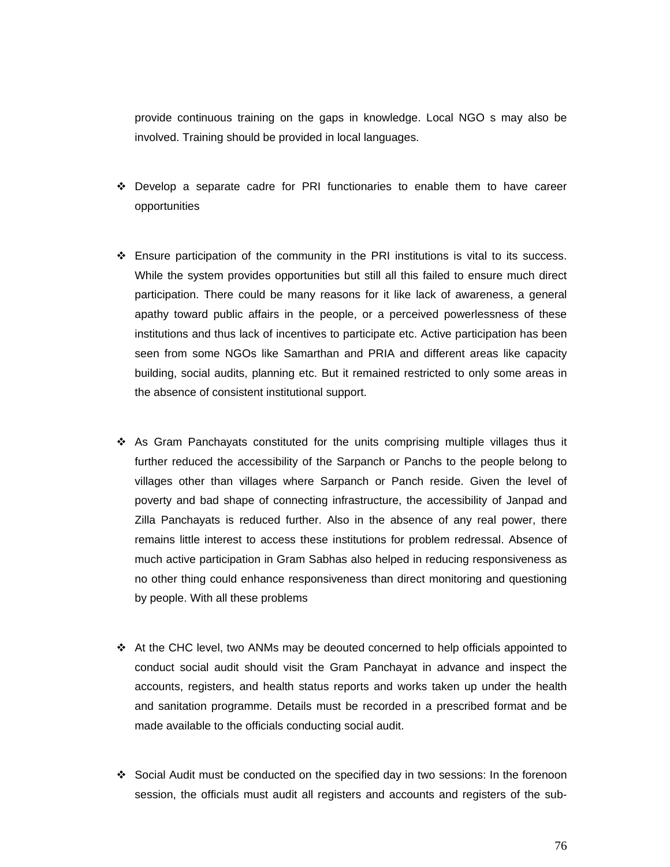provide continuous training on the gaps in knowledge. Local NGO s may also be involved. Training should be provided in local languages.

- Develop a separate cadre for PRI functionaries to enable them to have career opportunities
- $\div$  Ensure participation of the community in the PRI institutions is vital to its success. While the system provides opportunities but still all this failed to ensure much direct participation. There could be many reasons for it like lack of awareness, a general apathy toward public affairs in the people, or a perceived powerlessness of these institutions and thus lack of incentives to participate etc. Active participation has been seen from some NGOs like Samarthan and PRIA and different areas like capacity building, social audits, planning etc. But it remained restricted to only some areas in the absence of consistent institutional support.
- $\div$  As Gram Panchayats constituted for the units comprising multiple villages thus it further reduced the accessibility of the Sarpanch or Panchs to the people belong to villages other than villages where Sarpanch or Panch reside. Given the level of poverty and bad shape of connecting infrastructure, the accessibility of Janpad and Zilla Panchayats is reduced further. Also in the absence of any real power, there remains little interest to access these institutions for problem redressal. Absence of much active participation in Gram Sabhas also helped in reducing responsiveness as no other thing could enhance responsiveness than direct monitoring and questioning by people. With all these problems
- $\div$  At the CHC level, two ANMs may be deouted concerned to help officials appointed to conduct social audit should visit the Gram Panchayat in advance and inspect the accounts, registers, and health status reports and works taken up under the health and sanitation programme. Details must be recorded in a prescribed format and be made available to the officials conducting social audit.
- Social Audit must be conducted on the specified day in two sessions: In the forenoon session, the officials must audit all registers and accounts and registers of the sub-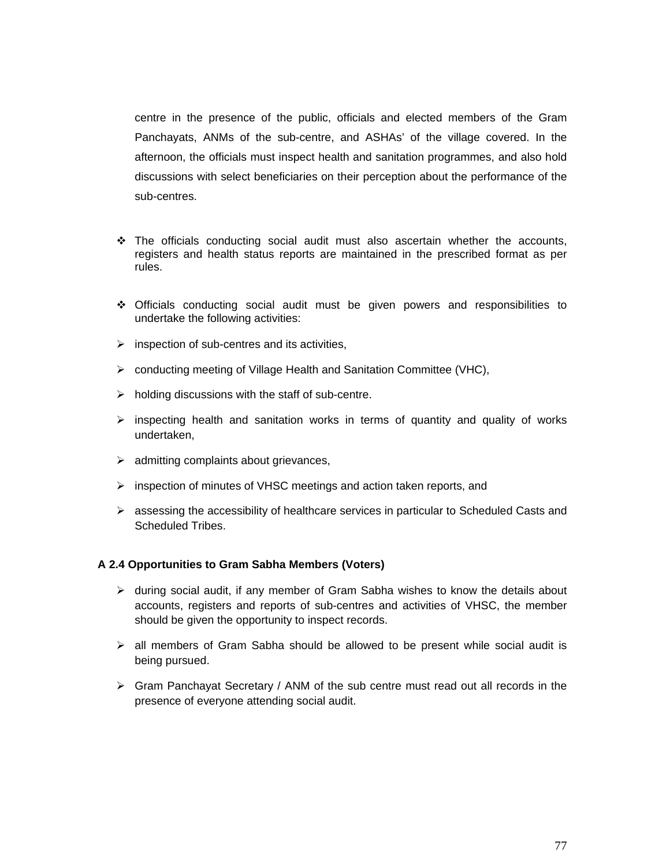centre in the presence of the public, officials and elected members of the Gram Panchayats, ANMs of the sub-centre, and ASHAs' of the village covered. In the afternoon, the officials must inspect health and sanitation programmes, and also hold discussions with select beneficiaries on their perception about the performance of the sub-centres.

- The officials conducting social audit must also ascertain whether the accounts, registers and health status reports are maintained in the prescribed format as per rules.
- Officials conducting social audit must be given powers and responsibilities to undertake the following activities:
- $\triangleright$  inspection of sub-centres and its activities,
- ¾ conducting meeting of Village Health and Sanitation Committee (VHC),
- $\triangleright$  holding discussions with the staff of sub-centre.
- $\triangleright$  inspecting health and sanitation works in terms of quantity and quality of works undertaken,
- $\triangleright$  admitting complaints about grievances,
- ¾ inspection of minutes of VHSC meetings and action taken reports, and
- $\triangleright$  assessing the accessibility of healthcare services in particular to Scheduled Casts and Scheduled Tribes.

#### **A 2.4 Opportunities to Gram Sabha Members (Voters)**

- $\triangleright$  during social audit, if any member of Gram Sabha wishes to know the details about accounts, registers and reports of sub-centres and activities of VHSC, the member should be given the opportunity to inspect records.
- $\triangleright$  all members of Gram Sabha should be allowed to be present while social audit is being pursued.
- ¾ Gram Panchayat Secretary / ANM of the sub centre must read out all records in the presence of everyone attending social audit.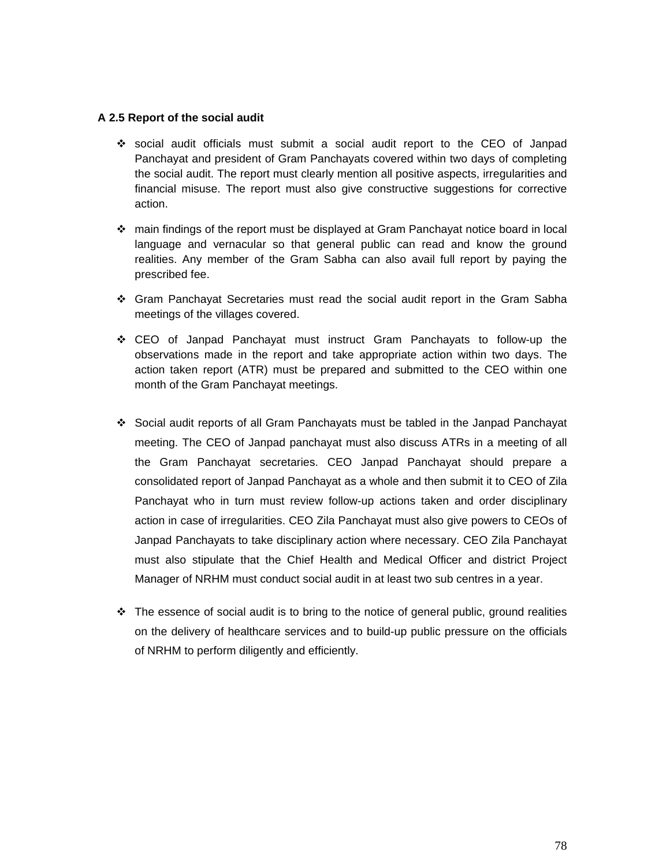#### **A 2.5 Report of the social audit**

- social audit officials must submit a social audit report to the CEO of Janpad Panchayat and president of Gram Panchayats covered within two days of completing the social audit. The report must clearly mention all positive aspects, irregularities and financial misuse. The report must also give constructive suggestions for corrective action.
- main findings of the report must be displayed at Gram Panchayat notice board in local language and vernacular so that general public can read and know the ground realities. Any member of the Gram Sabha can also avail full report by paying the prescribed fee.
- Gram Panchayat Secretaries must read the social audit report in the Gram Sabha meetings of the villages covered.
- CEO of Janpad Panchayat must instruct Gram Panchayats to follow-up the observations made in the report and take appropriate action within two days. The action taken report (ATR) must be prepared and submitted to the CEO within one month of the Gram Panchayat meetings.
- Social audit reports of all Gram Panchayats must be tabled in the Janpad Panchayat meeting. The CEO of Janpad panchayat must also discuss ATRs in a meeting of all the Gram Panchayat secretaries. CEO Janpad Panchayat should prepare a consolidated report of Janpad Panchayat as a whole and then submit it to CEO of Zila Panchayat who in turn must review follow-up actions taken and order disciplinary action in case of irregularities. CEO Zila Panchayat must also give powers to CEOs of Janpad Panchayats to take disciplinary action where necessary. CEO Zila Panchayat must also stipulate that the Chief Health and Medical Officer and district Project Manager of NRHM must conduct social audit in at least two sub centres in a year.
- $\div$  The essence of social audit is to bring to the notice of general public, ground realities on the delivery of healthcare services and to build-up public pressure on the officials of NRHM to perform diligently and efficiently.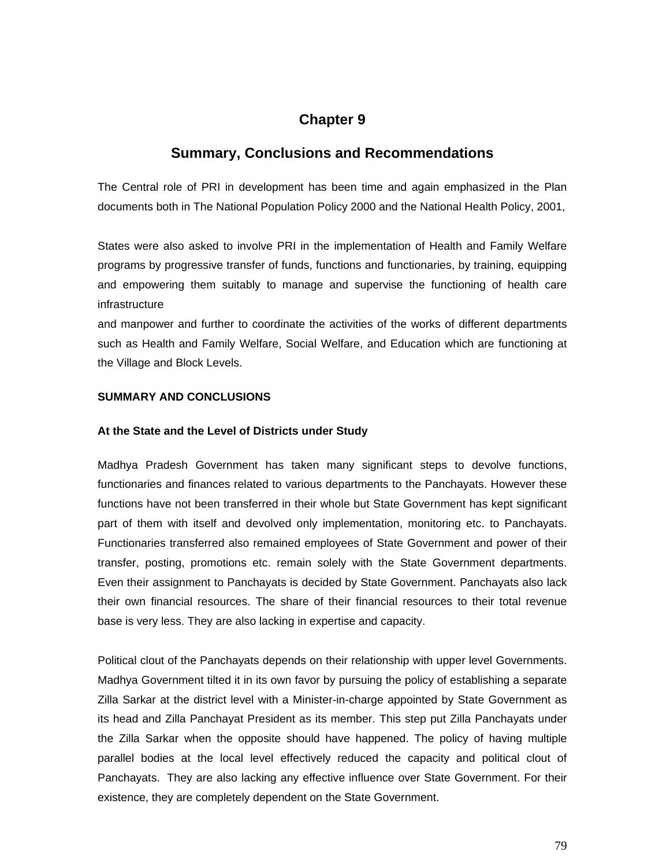# **Chapter 9**

# **Summary, Conclusions and Recommendations**

The Central role of PRI in development has been time and again emphasized in the Plan documents both in The National Population Policy 2000 and the National Health Policy, 2001,

States were also asked to involve PRI in the implementation of Health and Family Welfare programs by progressive transfer of funds, functions and functionaries, by training, equipping and empowering them suitably to manage and supervise the functioning of health care infrastructure

and manpower and further to coordinate the activities of the works of different departments such as Health and Family Welfare, Social Welfare, and Education which are functioning at the Village and Block Levels.

#### **SUMMARY AND CONCLUSIONS**

#### **At the State and the Level of Districts under Study**

Madhya Pradesh Government has taken many significant steps to devolve functions, functionaries and finances related to various departments to the Panchayats. However these functions have not been transferred in their whole but State Government has kept significant part of them with itself and devolved only implementation, monitoring etc. to Panchayats. Functionaries transferred also remained employees of State Government and power of their transfer, posting, promotions etc. remain solely with the State Government departments. Even their assignment to Panchayats is decided by State Government. Panchayats also lack their own financial resources. The share of their financial resources to their total revenue base is very less. They are also lacking in expertise and capacity.

Political clout of the Panchayats depends on their relationship with upper level Governments. Madhya Government tilted it in its own favor by pursuing the policy of establishing a separate Zilla Sarkar at the district level with a Minister-in-charge appointed by State Government as its head and Zilla Panchayat President as its member. This step put Zilla Panchayats under the Zilla Sarkar when the opposite should have happened. The policy of having multiple parallel bodies at the local level effectively reduced the capacity and political clout of Panchayats. They are also lacking any effective influence over State Government. For their existence, they are completely dependent on the State Government.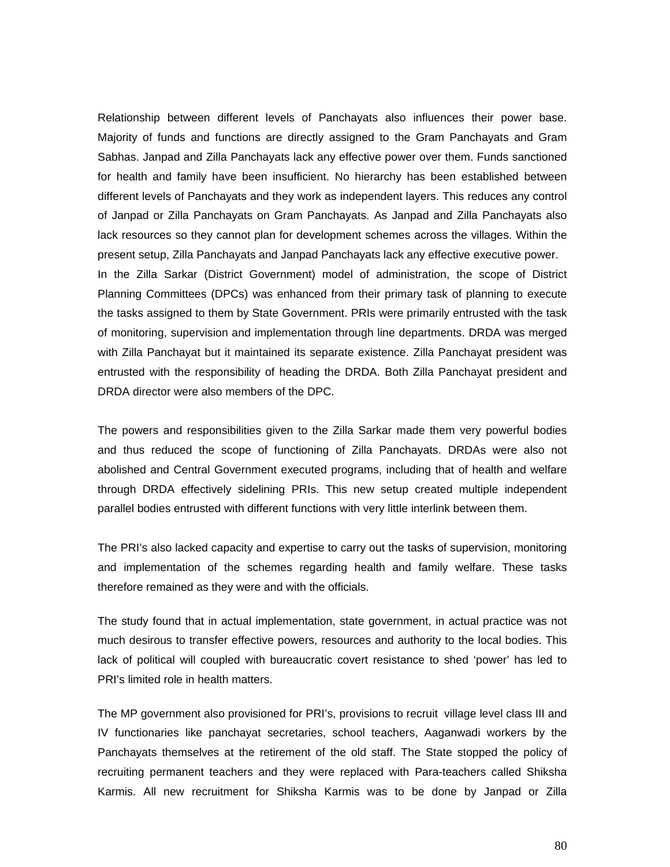Relationship between different levels of Panchayats also influences their power base. Majority of funds and functions are directly assigned to the Gram Panchayats and Gram Sabhas. Janpad and Zilla Panchayats lack any effective power over them. Funds sanctioned for health and family have been insufficient. No hierarchy has been established between different levels of Panchayats and they work as independent layers. This reduces any control of Janpad or Zilla Panchayats on Gram Panchayats. As Janpad and Zilla Panchayats also lack resources so they cannot plan for development schemes across the villages. Within the present setup, Zilla Panchayats and Janpad Panchayats lack any effective executive power. In the Zilla Sarkar (District Government) model of administration, the scope of District Planning Committees (DPCs) was enhanced from their primary task of planning to execute the tasks assigned to them by State Government. PRIs were primarily entrusted with the task of monitoring, supervision and implementation through line departments. DRDA was merged with Zilla Panchayat but it maintained its separate existence. Zilla Panchayat president was entrusted with the responsibility of heading the DRDA. Both Zilla Panchayat president and DRDA director were also members of the DPC.

The powers and responsibilities given to the Zilla Sarkar made them very powerful bodies and thus reduced the scope of functioning of Zilla Panchayats. DRDAs were also not abolished and Central Government executed programs, including that of health and welfare through DRDA effectively sidelining PRIs. This new setup created multiple independent parallel bodies entrusted with different functions with very little interlink between them.

The PRI's also lacked capacity and expertise to carry out the tasks of supervision, monitoring and implementation of the schemes regarding health and family welfare. These tasks therefore remained as they were and with the officials.

The study found that in actual implementation, state government, in actual practice was not much desirous to transfer effective powers, resources and authority to the local bodies. This lack of political will coupled with bureaucratic covert resistance to shed 'power' has led to PRI's limited role in health matters.

The MP government also provisioned for PRI's, provisions to recruit village level class III and IV functionaries like panchayat secretaries, school teachers, Aaganwadi workers by the Panchayats themselves at the retirement of the old staff. The State stopped the policy of recruiting permanent teachers and they were replaced with Para-teachers called Shiksha Karmis. All new recruitment for Shiksha Karmis was to be done by Janpad or Zilla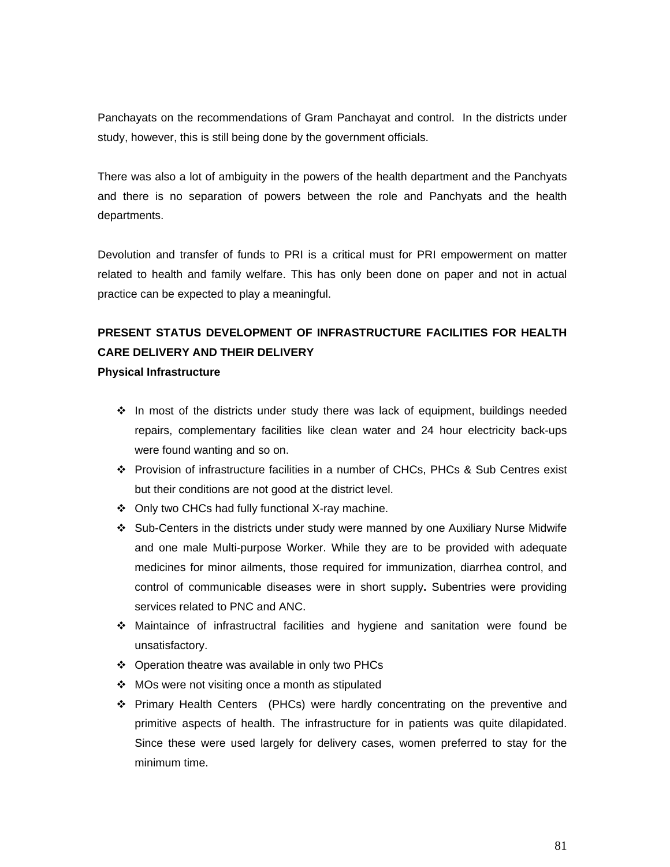Panchayats on the recommendations of Gram Panchayat and control. In the districts under study, however, this is still being done by the government officials.

There was also a lot of ambiguity in the powers of the health department and the Panchyats and there is no separation of powers between the role and Panchyats and the health departments.

Devolution and transfer of funds to PRI is a critical must for PRI empowerment on matter related to health and family welfare. This has only been done on paper and not in actual practice can be expected to play a meaningful.

# **PRESENT STATUS DEVELOPMENT OF INFRASTRUCTURE FACILITIES FOR HEALTH CARE DELIVERY AND THEIR DELIVERY**

#### **Physical Infrastructure**

- $\div$  In most of the districts under study there was lack of equipment, buildings needed repairs, complementary facilities like clean water and 24 hour electricity back-ups were found wanting and so on.
- Provision of infrastructure facilities in a number of CHCs, PHCs & Sub Centres exist but their conditions are not good at the district level.
- Only two CHCs had fully functional X-ray machine.
- Sub-Centers in the districts under study were manned by one Auxiliary Nurse Midwife and one male Multi-purpose Worker. While they are to be provided with adequate medicines for minor ailments, those required for immunization, diarrhea control, and control of communicable diseases were in short supply**.** Subentries were providing services related to PNC and ANC.
- Maintaince of infrastructral facilities and hygiene and sanitation were found be unsatisfactory.
- ❖ Operation theatre was available in only two PHCs
- $\div$  MOs were not visiting once a month as stipulated
- Primary Health Centers (PHCs) were hardly concentrating on the preventive and primitive aspects of health. The infrastructure for in patients was quite dilapidated. Since these were used largely for delivery cases, women preferred to stay for the minimum time.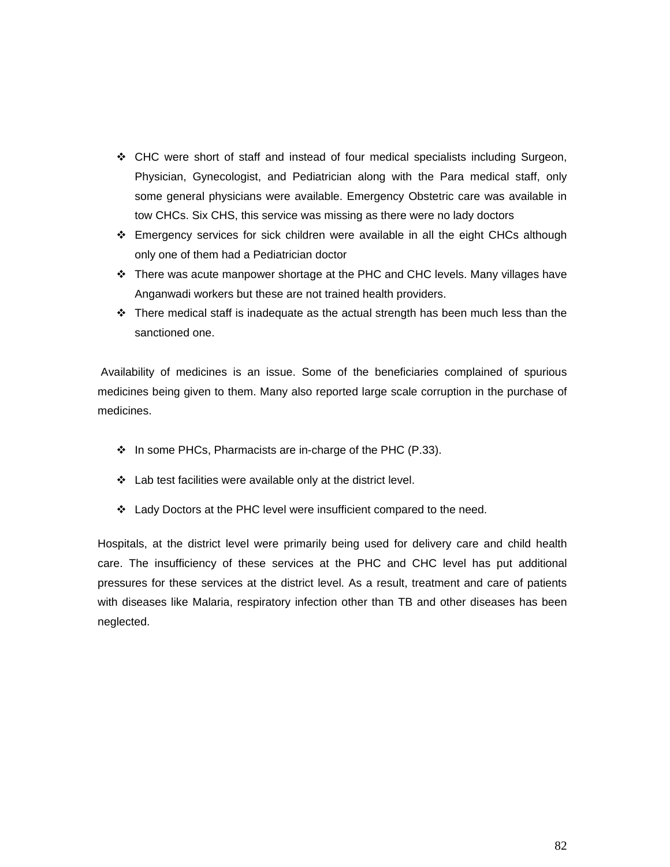- CHC were short of staff and instead of four medical specialists including Surgeon, Physician, Gynecologist, and Pediatrician along with the Para medical staff, only some general physicians were available. Emergency Obstetric care was available in tow CHCs. Six CHS, this service was missing as there were no lady doctors
- Emergency services for sick children were available in all the eight CHCs although only one of them had a Pediatrician doctor
- There was acute manpower shortage at the PHC and CHC levels. Many villages have Anganwadi workers but these are not trained health providers.
- $\div$  There medical staff is inadequate as the actual strength has been much less than the sanctioned one.

 Availability of medicines is an issue. Some of the beneficiaries complained of spurious medicines being given to them. Many also reported large scale corruption in the purchase of medicines.

- $\div$  In some PHCs, Pharmacists are in-charge of the PHC (P.33).
- $\div$  Lab test facilities were available only at the district level.
- Lady Doctors at the PHC level were insufficient compared to the need.

Hospitals, at the district level were primarily being used for delivery care and child health care. The insufficiency of these services at the PHC and CHC level has put additional pressures for these services at the district level. As a result, treatment and care of patients with diseases like Malaria, respiratory infection other than TB and other diseases has been neglected.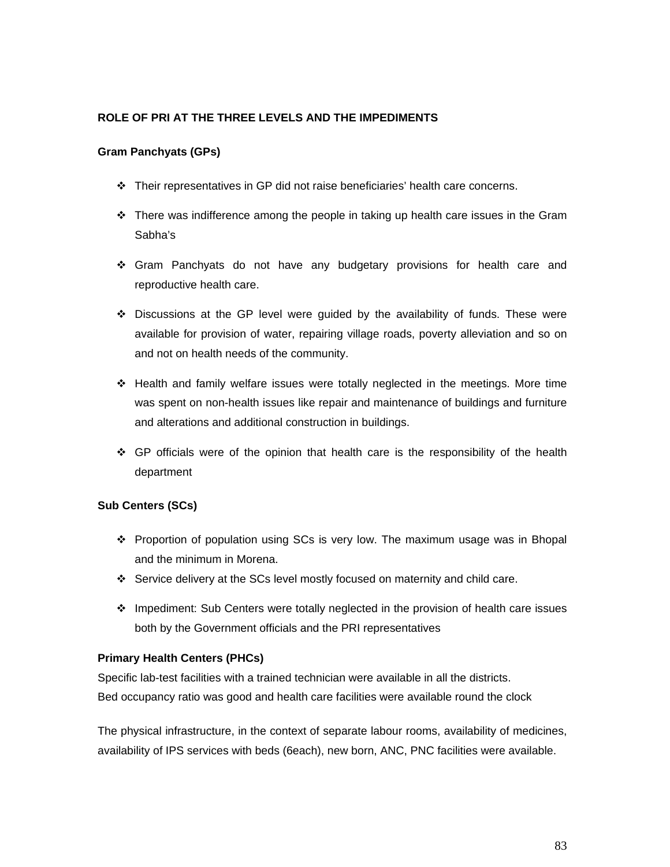#### **ROLE OF PRI AT THE THREE LEVELS AND THE IMPEDIMENTS**

#### **Gram Panchyats (GPs)**

- Their representatives in GP did not raise beneficiaries' health care concerns.
- $\div$  There was indifference among the people in taking up health care issues in the Gram Sabha's
- Gram Panchyats do not have any budgetary provisions for health care and reproductive health care.
- $\div$  Discussions at the GP level were quided by the availability of funds. These were available for provision of water, repairing village roads, poverty alleviation and so on and not on health needs of the community.
- $\div$  Health and family welfare issues were totally neglected in the meetings. More time was spent on non-health issues like repair and maintenance of buildings and furniture and alterations and additional construction in buildings.
- $\div$  GP officials were of the opinion that health care is the responsibility of the health department

#### **Sub Centers (SCs)**

- Proportion of population using SCs is very low. The maximum usage was in Bhopal and the minimum in Morena.
- Service delivery at the SCs level mostly focused on maternity and child care.
- $\div$  Impediment: Sub Centers were totally neglected in the provision of health care issues both by the Government officials and the PRI representatives

#### **Primary Health Centers (PHCs)**

Specific lab-test facilities with a trained technician were available in all the districts. Bed occupancy ratio was good and health care facilities were available round the clock

The physical infrastructure, in the context of separate labour rooms, availability of medicines, availability of IPS services with beds (6each), new born, ANC, PNC facilities were available.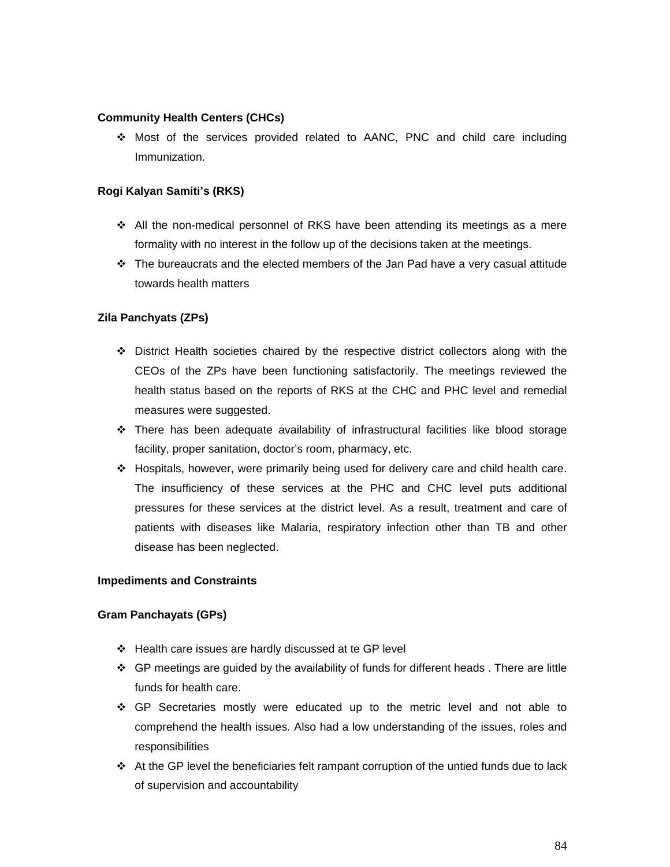#### **Community Health Centers (CHCs)**

 Most of the services provided related to AANC, PNC and child care including Immunization.

#### **Rogi Kalyan Samiti's (RKS)**

- $\div$  All the non-medical personnel of RKS have been attending its meetings as a mere formality with no interest in the follow up of the decisions taken at the meetings.
- $\div$  The bureaucrats and the elected members of the Jan Pad have a very casual attitude towards health matters

#### **Zila Panchyats (ZPs)**

- $\div$  District Health societies chaired by the respective district collectors along with the CEOs of the ZPs have been functioning satisfactorily. The meetings reviewed the health status based on the reports of RKS at the CHC and PHC level and remedial measures were suggested.
- There has been adequate availability of infrastructural facilities like blood storage facility, proper sanitation, doctor's room, pharmacy, etc.
- Hospitals, however, were primarily being used for delivery care and child health care. The insufficiency of these services at the PHC and CHC level puts additional pressures for these services at the district level. As a result, treatment and care of patients with diseases like Malaria, respiratory infection other than TB and other disease has been neglected.

#### **Impediments and Constraints**

#### **Gram Panchayats (GPs)**

- Health care issues are hardly discussed at te GP level
- GP meetings are guided by the availability of funds for different heads . There are little funds for health care.
- GP Secretaries mostly were educated up to the metric level and not able to comprehend the health issues. Also had a low understanding of the issues, roles and responsibilities
- $\cdot \cdot$  At the GP level the beneficiaries felt rampant corruption of the untied funds due to lack of supervision and accountability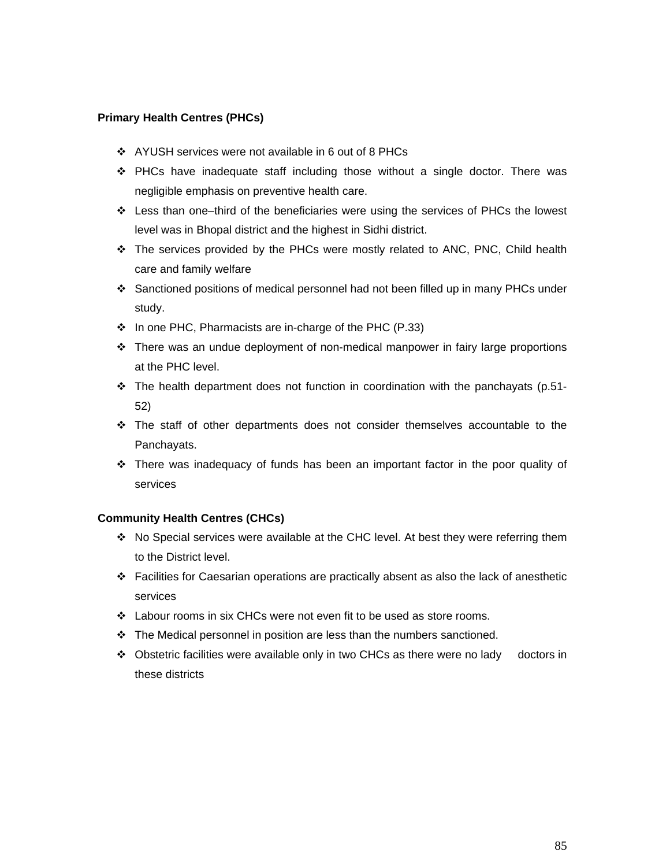#### **Primary Health Centres (PHCs)**

- AYUSH services were not available in 6 out of 8 PHCs
- $\div$  PHCs have inadequate staff including those without a single doctor. There was negligible emphasis on preventive health care.
- $\div$  Less than one–third of the beneficiaries were using the services of PHCs the lowest level was in Bhopal district and the highest in Sidhi district.
- The services provided by the PHCs were mostly related to ANC, PNC, Child health care and family welfare
- Sanctioned positions of medical personnel had not been filled up in many PHCs under study.
- $\cdot$  In one PHC, Pharmacists are in-charge of the PHC (P.33)
- There was an undue deployment of non-medical manpower in fairy large proportions at the PHC level.
- \* The health department does not function in coordination with the panchayats (p.51-52)
- The staff of other departments does not consider themselves accountable to the Panchayats.
- $\div$  There was inadequacy of funds has been an important factor in the poor quality of services

## **Community Health Centres (CHCs)**

- $\cdot$  No Special services were available at the CHC level. At best they were referring them to the District level.
- $\div$  Facilities for Caesarian operations are practically absent as also the lack of anesthetic services
- $\div$  Labour rooms in six CHCs were not even fit to be used as store rooms.
- $\div$  The Medical personnel in position are less than the numbers sanctioned.
- $\div$  Obstetric facilities were available only in two CHCs as there were no lady doctors in these districts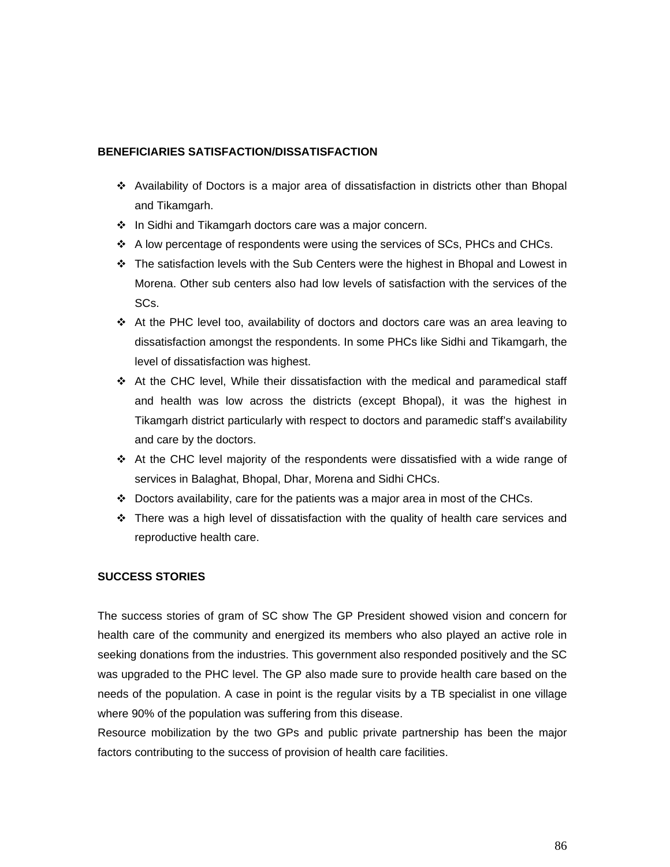#### **BENEFICIARIES SATISFACTION/DISSATISFACTION**

- Availability of Doctors is a major area of dissatisfaction in districts other than Bhopal and Tikamgarh.
- $\div$  In Sidhi and Tikamgarh doctors care was a major concern.
- $\div$  A low percentage of respondents were using the services of SCs, PHCs and CHCs.
- $\div$  The satisfaction levels with the Sub Centers were the highest in Bhopal and Lowest in Morena. Other sub centers also had low levels of satisfaction with the services of the SCs.
- $\cdot$  At the PHC level too, availability of doctors and doctors care was an area leaving to dissatisfaction amongst the respondents. In some PHCs like Sidhi and Tikamgarh, the level of dissatisfaction was highest.
- $\cdot \cdot$  At the CHC level, While their dissatisfaction with the medical and paramedical staff and health was low across the districts (except Bhopal), it was the highest in Tikamgarh district particularly with respect to doctors and paramedic staff's availability and care by the doctors.
- $\cdot$  At the CHC level majority of the respondents were dissatisfied with a wide range of services in Balaghat, Bhopal, Dhar, Morena and Sidhi CHCs.
- $\div$  Doctors availability, care for the patients was a major area in most of the CHCs.
- $\cdot \cdot$  There was a high level of dissatisfaction with the quality of health care services and reproductive health care.

#### **SUCCESS STORIES**

The success stories of gram of SC show The GP President showed vision and concern for health care of the community and energized its members who also played an active role in seeking donations from the industries. This government also responded positively and the SC was upgraded to the PHC level. The GP also made sure to provide health care based on the needs of the population. A case in point is the regular visits by a TB specialist in one village where 90% of the population was suffering from this disease.

Resource mobilization by the two GPs and public private partnership has been the major factors contributing to the success of provision of health care facilities.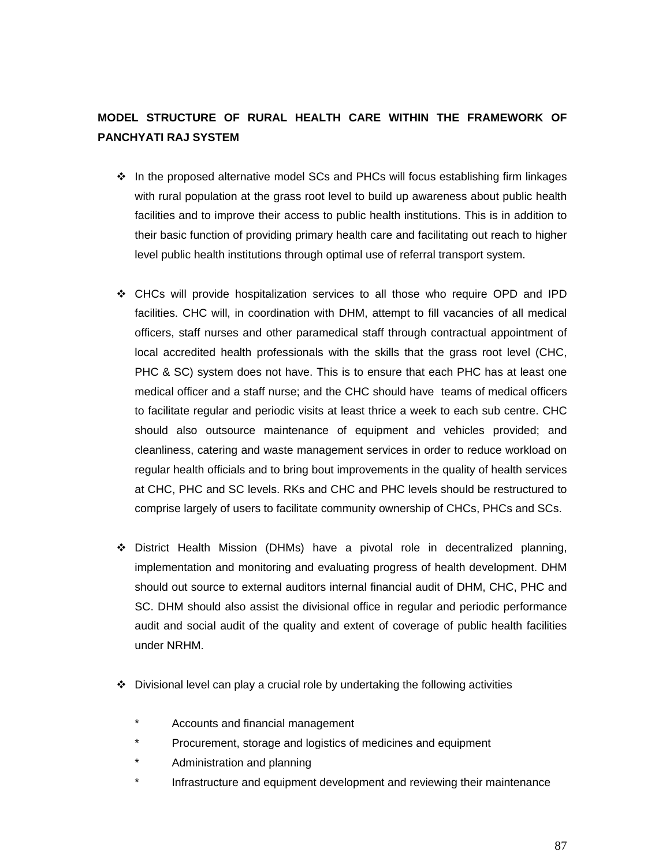# **MODEL STRUCTURE OF RURAL HEALTH CARE WITHIN THE FRAMEWORK OF PANCHYATI RAJ SYSTEM**

- $\div$  In the proposed alternative model SCs and PHCs will focus establishing firm linkages with rural population at the grass root level to build up awareness about public health facilities and to improve their access to public health institutions. This is in addition to their basic function of providing primary health care and facilitating out reach to higher level public health institutions through optimal use of referral transport system.
- CHCs will provide hospitalization services to all those who require OPD and IPD facilities. CHC will, in coordination with DHM, attempt to fill vacancies of all medical officers, staff nurses and other paramedical staff through contractual appointment of local accredited health professionals with the skills that the grass root level (CHC, PHC & SC) system does not have. This is to ensure that each PHC has at least one medical officer and a staff nurse; and the CHC should have teams of medical officers to facilitate regular and periodic visits at least thrice a week to each sub centre. CHC should also outsource maintenance of equipment and vehicles provided; and cleanliness, catering and waste management services in order to reduce workload on regular health officials and to bring bout improvements in the quality of health services at CHC, PHC and SC levels. RKs and CHC and PHC levels should be restructured to comprise largely of users to facilitate community ownership of CHCs, PHCs and SCs.
- District Health Mission (DHMs) have a pivotal role in decentralized planning, implementation and monitoring and evaluating progress of health development. DHM should out source to external auditors internal financial audit of DHM, CHC, PHC and SC. DHM should also assist the divisional office in regular and periodic performance audit and social audit of the quality and extent of coverage of public health facilities under NRHM.
- Divisional level can play a crucial role by undertaking the following activities
	- Accounts and financial management
	- Procurement, storage and logistics of medicines and equipment
	- \* Administration and planning
	- Infrastructure and equipment development and reviewing their maintenance

87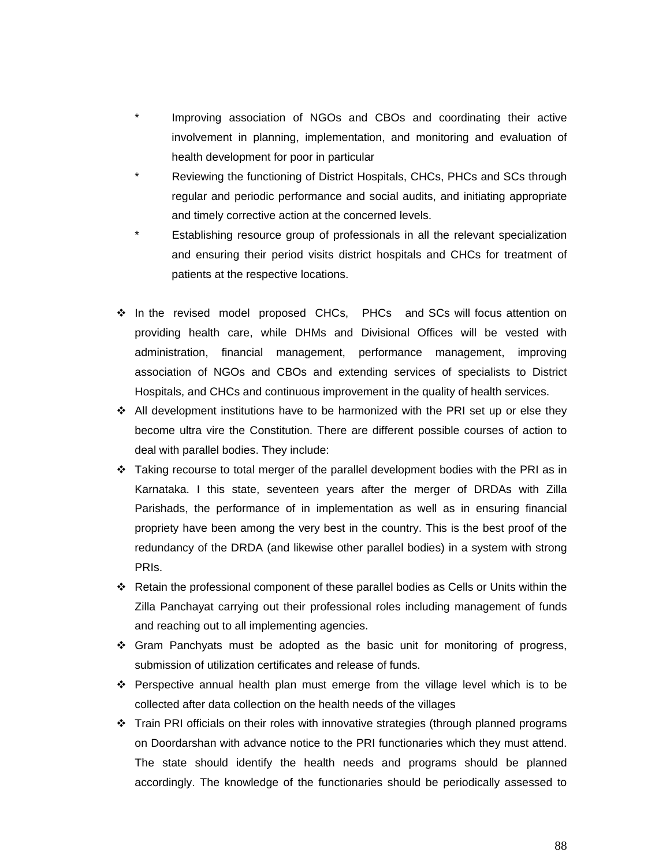- Improving association of NGOs and CBOs and coordinating their active involvement in planning, implementation, and monitoring and evaluation of health development for poor in particular
- Reviewing the functioning of District Hospitals, CHCs, PHCs and SCs through regular and periodic performance and social audits, and initiating appropriate and timely corrective action at the concerned levels.
- Establishing resource group of professionals in all the relevant specialization and ensuring their period visits district hospitals and CHCs for treatment of patients at the respective locations.
- \* In the revised model proposed CHCs, PHCs and SCs will focus attention on providing health care, while DHMs and Divisional Offices will be vested with administration, financial management, performance management, improving association of NGOs and CBOs and extending services of specialists to District Hospitals, and CHCs and continuous improvement in the quality of health services.
- $\div$  All development institutions have to be harmonized with the PRI set up or else they become ultra vire the Constitution. There are different possible courses of action to deal with parallel bodies. They include:
- $\div$  Taking recourse to total merger of the parallel development bodies with the PRI as in Karnataka. I this state, seventeen years after the merger of DRDAs with Zilla Parishads, the performance of in implementation as well as in ensuring financial propriety have been among the very best in the country. This is the best proof of the redundancy of the DRDA (and likewise other parallel bodies) in a system with strong PRIs.
- $\clubsuit$  Retain the professional component of these parallel bodies as Cells or Units within the Zilla Panchayat carrying out their professional roles including management of funds and reaching out to all implementing agencies.
- $\div$  Gram Panchyats must be adopted as the basic unit for monitoring of progress, submission of utilization certificates and release of funds.
- Perspective annual health plan must emerge from the village level which is to be collected after data collection on the health needs of the villages
- $\div$  Train PRI officials on their roles with innovative strategies (through planned programs on Doordarshan with advance notice to the PRI functionaries which they must attend. The state should identify the health needs and programs should be planned accordingly. The knowledge of the functionaries should be periodically assessed to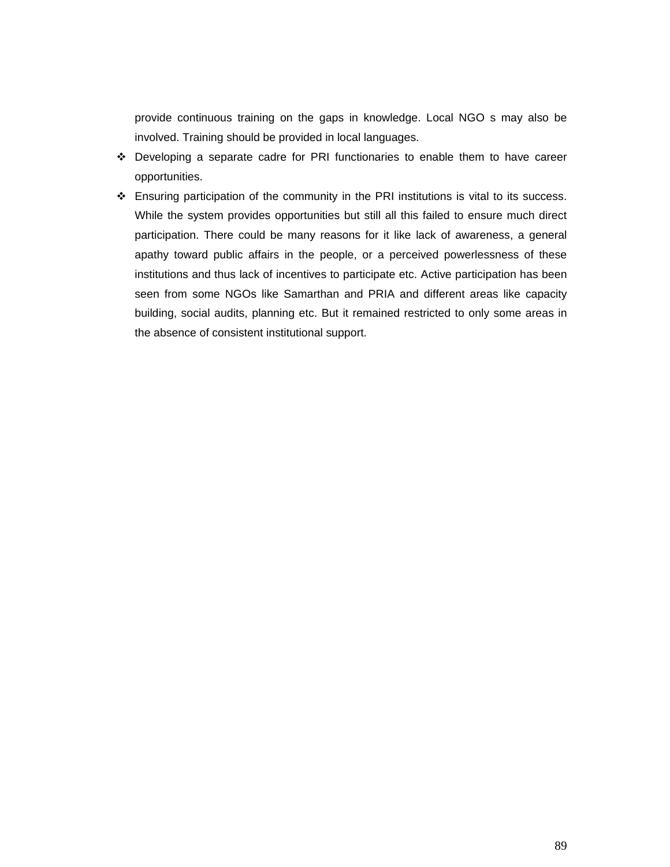provide continuous training on the gaps in knowledge. Local NGO s may also be involved. Training should be provided in local languages.

- Developing a separate cadre for PRI functionaries to enable them to have career opportunities.
- $\div$  Ensuring participation of the community in the PRI institutions is vital to its success. While the system provides opportunities but still all this failed to ensure much direct participation. There could be many reasons for it like lack of awareness, a general apathy toward public affairs in the people, or a perceived powerlessness of these institutions and thus lack of incentives to participate etc. Active participation has been seen from some NGOs like Samarthan and PRIA and different areas like capacity building, social audits, planning etc. But it remained restricted to only some areas in the absence of consistent institutional support.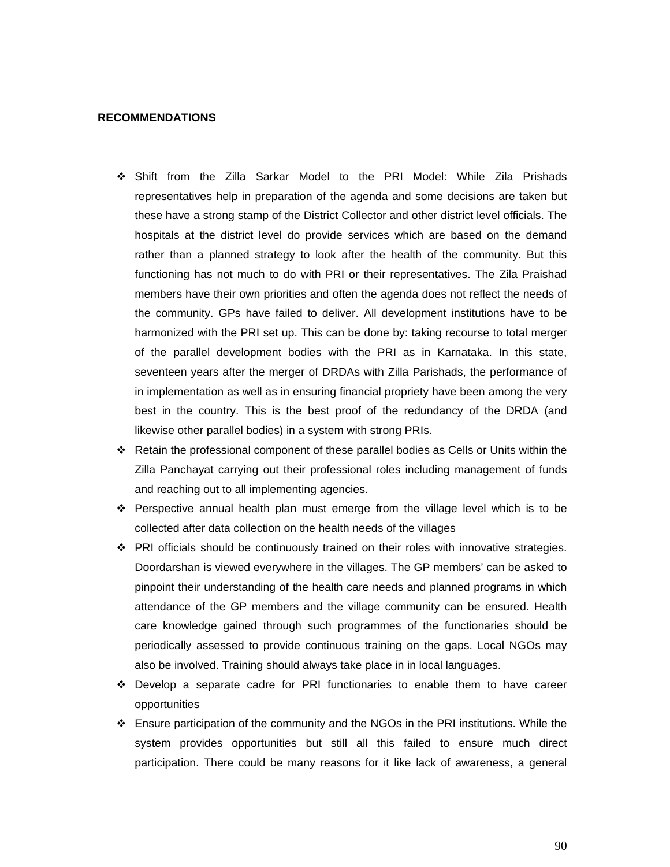#### **RECOMMENDATIONS**

- Shift from the Zilla Sarkar Model to the PRI Model: While Zila Prishads representatives help in preparation of the agenda and some decisions are taken but these have a strong stamp of the District Collector and other district level officials. The hospitals at the district level do provide services which are based on the demand rather than a planned strategy to look after the health of the community. But this functioning has not much to do with PRI or their representatives. The Zila Praishad members have their own priorities and often the agenda does not reflect the needs of the community. GPs have failed to deliver. All development institutions have to be harmonized with the PRI set up. This can be done by: taking recourse to total merger of the parallel development bodies with the PRI as in Karnataka. In this state, seventeen years after the merger of DRDAs with Zilla Parishads, the performance of in implementation as well as in ensuring financial propriety have been among the very best in the country. This is the best proof of the redundancy of the DRDA (and likewise other parallel bodies) in a system with strong PRIs.
- $\div$  Retain the professional component of these parallel bodies as Cells or Units within the Zilla Panchayat carrying out their professional roles including management of funds and reaching out to all implementing agencies.
- $\div$  Perspective annual health plan must emerge from the village level which is to be collected after data collection on the health needs of the villages
- $\div$  PRI officials should be continuously trained on their roles with innovative strategies. Doordarshan is viewed everywhere in the villages. The GP members' can be asked to pinpoint their understanding of the health care needs and planned programs in which attendance of the GP members and the village community can be ensured. Health care knowledge gained through such programmes of the functionaries should be periodically assessed to provide continuous training on the gaps. Local NGOs may also be involved. Training should always take place in in local languages.
- Develop a separate cadre for PRI functionaries to enable them to have career opportunities
- $\div$  Ensure participation of the community and the NGOs in the PRI institutions. While the system provides opportunities but still all this failed to ensure much direct participation. There could be many reasons for it like lack of awareness, a general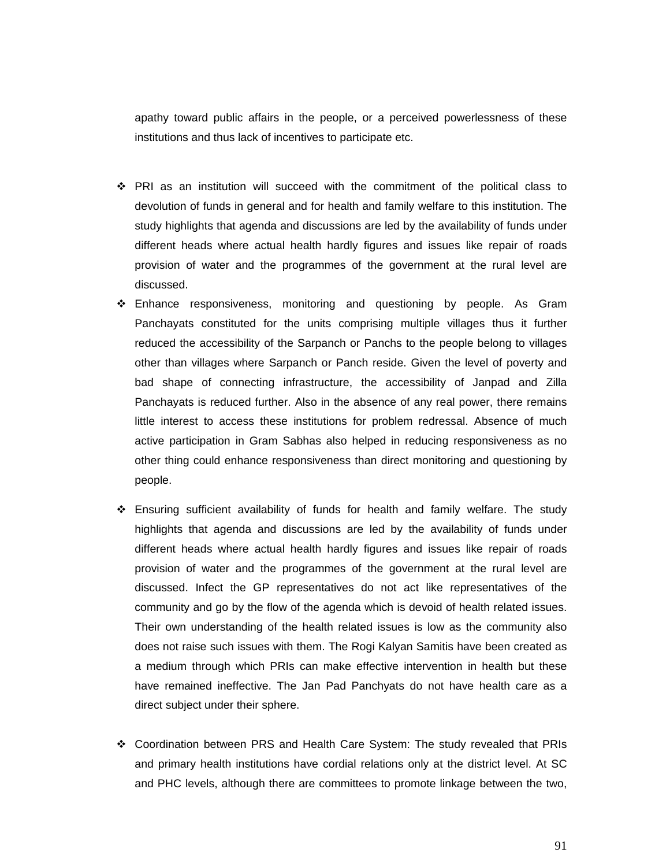apathy toward public affairs in the people, or a perceived powerlessness of these institutions and thus lack of incentives to participate etc.

- PRI as an institution will succeed with the commitment of the political class to devolution of funds in general and for health and family welfare to this institution. The study highlights that agenda and discussions are led by the availability of funds under different heads where actual health hardly figures and issues like repair of roads provision of water and the programmes of the government at the rural level are discussed.
- Enhance responsiveness, monitoring and questioning by people. As Gram Panchayats constituted for the units comprising multiple villages thus it further reduced the accessibility of the Sarpanch or Panchs to the people belong to villages other than villages where Sarpanch or Panch reside. Given the level of poverty and bad shape of connecting infrastructure, the accessibility of Janpad and Zilla Panchayats is reduced further. Also in the absence of any real power, there remains little interest to access these institutions for problem redressal. Absence of much active participation in Gram Sabhas also helped in reducing responsiveness as no other thing could enhance responsiveness than direct monitoring and questioning by people.
- Ensuring sufficient availability of funds for health and family welfare. The study highlights that agenda and discussions are led by the availability of funds under different heads where actual health hardly figures and issues like repair of roads provision of water and the programmes of the government at the rural level are discussed. Infect the GP representatives do not act like representatives of the community and go by the flow of the agenda which is devoid of health related issues. Their own understanding of the health related issues is low as the community also does not raise such issues with them. The Rogi Kalyan Samitis have been created as a medium through which PRIs can make effective intervention in health but these have remained ineffective. The Jan Pad Panchyats do not have health care as a direct subject under their sphere.
- Coordination between PRS and Health Care System: The study revealed that PRIs and primary health institutions have cordial relations only at the district level. At SC and PHC levels, although there are committees to promote linkage between the two,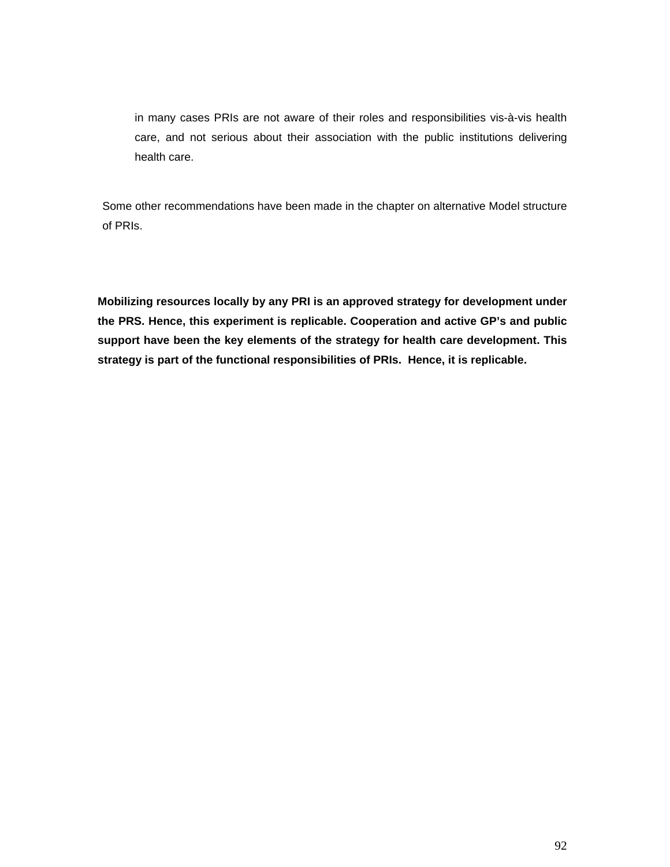in many cases PRIs are not aware of their roles and responsibilities vis-à-vis health care, and not serious about their association with the public institutions delivering health care.

Some other recommendations have been made in the chapter on alternative Model structure of PRIs.

**Mobilizing resources locally by any PRI is an approved strategy for development under the PRS. Hence, this experiment is replicable. Cooperation and active GP's and public support have been the key elements of the strategy for health care development. This strategy is part of the functional responsibilities of PRIs. Hence, it is replicable.**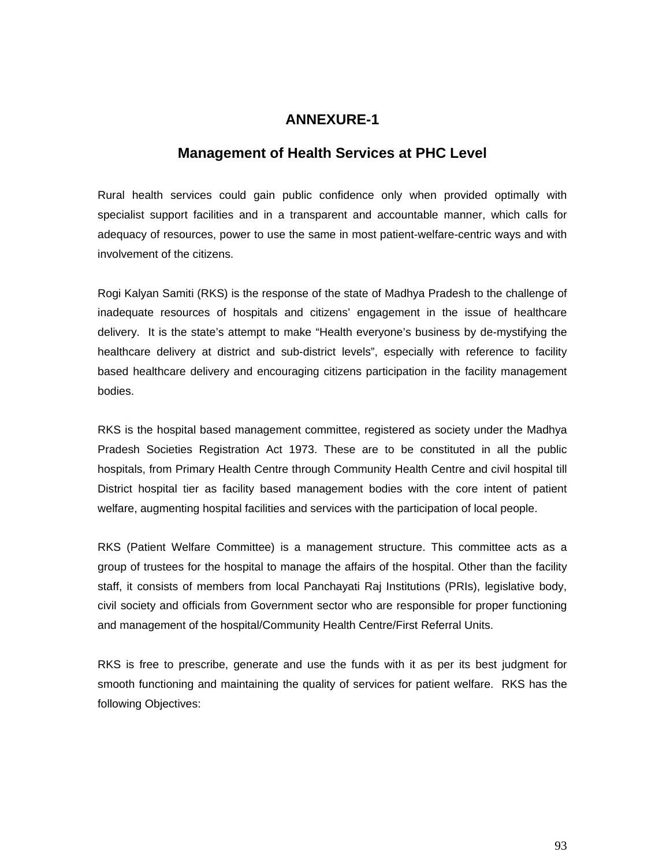# **ANNEXURE-1**

## **Management of Health Services at PHC Level**

Rural health services could gain public confidence only when provided optimally with specialist support facilities and in a transparent and accountable manner, which calls for adequacy of resources, power to use the same in most patient-welfare-centric ways and with involvement of the citizens.

Rogi Kalyan Samiti (RKS) is the response of the state of Madhya Pradesh to the challenge of inadequate resources of hospitals and citizens' engagement in the issue of healthcare delivery. It is the state's attempt to make "Health everyone's business by de-mystifying the healthcare delivery at district and sub-district levels", especially with reference to facility based healthcare delivery and encouraging citizens participation in the facility management bodies.

RKS is the hospital based management committee, registered as society under the Madhya Pradesh Societies Registration Act 1973. These are to be constituted in all the public hospitals, from Primary Health Centre through Community Health Centre and civil hospital till District hospital tier as facility based management bodies with the core intent of patient welfare, augmenting hospital facilities and services with the participation of local people.

RKS (Patient Welfare Committee) is a management structure. This committee acts as a group of trustees for the hospital to manage the affairs of the hospital. Other than the facility staff, it consists of members from local Panchayati Raj Institutions (PRIs), legislative body, civil society and officials from Government sector who are responsible for proper functioning and management of the hospital/Community Health Centre/First Referral Units.

RKS is free to prescribe, generate and use the funds with it as per its best judgment for smooth functioning and maintaining the quality of services for patient welfare. RKS has the following Objectives: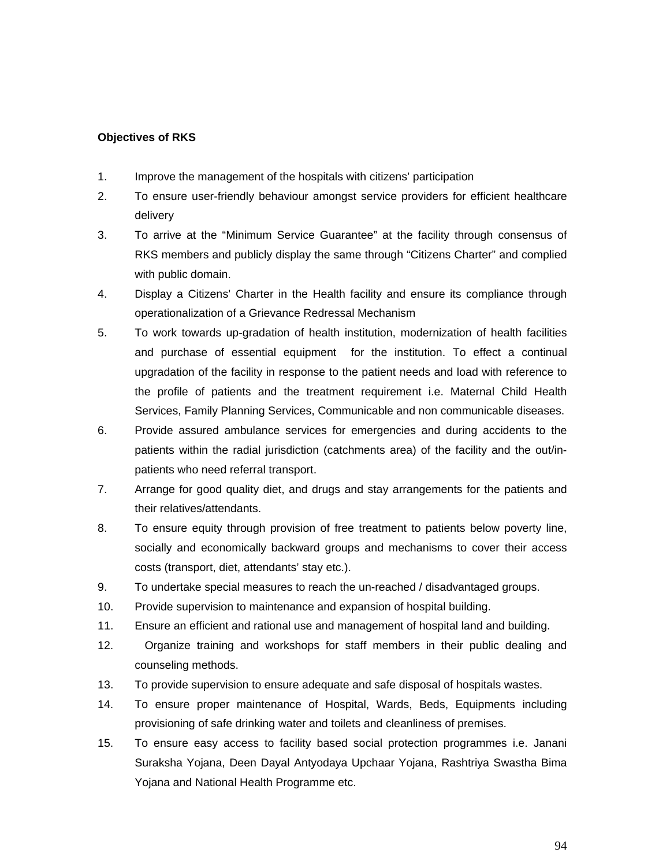#### **Objectives of RKS**

- 1. Improve the management of the hospitals with citizens' participation
- 2. To ensure user-friendly behaviour amongst service providers for efficient healthcare delivery
- 3. To arrive at the "Minimum Service Guarantee" at the facility through consensus of RKS members and publicly display the same through "Citizens Charter" and complied with public domain.
- 4. Display a Citizens' Charter in the Health facility and ensure its compliance through operationalization of a Grievance Redressal Mechanism
- 5. To work towards up-gradation of health institution, modernization of health facilities and purchase of essential equipment for the institution. To effect a continual upgradation of the facility in response to the patient needs and load with reference to the profile of patients and the treatment requirement i.e. Maternal Child Health Services, Family Planning Services, Communicable and non communicable diseases.
- 6. Provide assured ambulance services for emergencies and during accidents to the patients within the radial jurisdiction (catchments area) of the facility and the out/inpatients who need referral transport.
- 7. Arrange for good quality diet, and drugs and stay arrangements for the patients and their relatives/attendants.
- 8. To ensure equity through provision of free treatment to patients below poverty line, socially and economically backward groups and mechanisms to cover their access costs (transport, diet, attendants' stay etc.).
- 9. To undertake special measures to reach the un-reached / disadvantaged groups.
- 10. Provide supervision to maintenance and expansion of hospital building.
- 11. Ensure an efficient and rational use and management of hospital land and building.
- 12. Organize training and workshops for staff members in their public dealing and counseling methods.
- 13. To provide supervision to ensure adequate and safe disposal of hospitals wastes.
- 14. To ensure proper maintenance of Hospital, Wards, Beds, Equipments including provisioning of safe drinking water and toilets and cleanliness of premises.
- 15. To ensure easy access to facility based social protection programmes i.e. Janani Suraksha Yojana, Deen Dayal Antyodaya Upchaar Yojana, Rashtriya Swastha Bima Yojana and National Health Programme etc.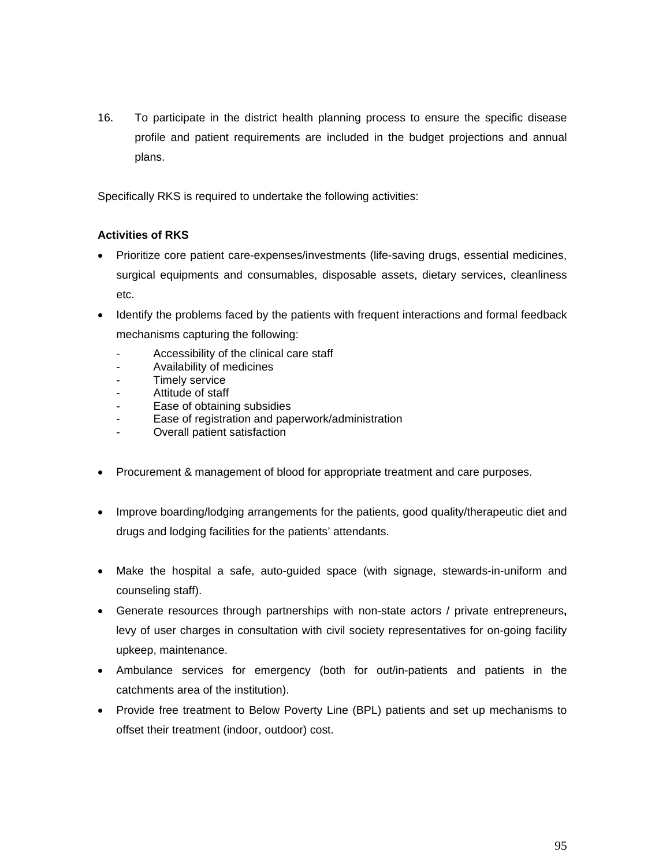16. To participate in the district health planning process to ensure the specific disease profile and patient requirements are included in the budget projections and annual plans.

Specifically RKS is required to undertake the following activities:

## **Activities of RKS**

- Prioritize core patient care-expenses/investments (life-saving drugs, essential medicines, surgical equipments and consumables, disposable assets, dietary services, cleanliness etc.
- Identify the problems faced by the patients with frequent interactions and formal feedback mechanisms capturing the following:
	- Accessibility of the clinical care staff
	- Availability of medicines
	- Timely service
	- Attitude of staff
	- Ease of obtaining subsidies
	- Ease of registration and paperwork/administration
	- Overall patient satisfaction
- Procurement & management of blood for appropriate treatment and care purposes.
- Improve boarding/lodging arrangements for the patients, good quality/therapeutic diet and drugs and lodging facilities for the patients' attendants.
- Make the hospital a safe, auto-guided space (with signage, stewards-in-uniform and counseling staff).
- Generate resources through partnerships with non-state actors / private entrepreneurs**,** levy of user charges in consultation with civil society representatives for on-going facility upkeep, maintenance.
- Ambulance services for emergency (both for out/in-patients and patients in the catchments area of the institution).
- Provide free treatment to Below Poverty Line (BPL) patients and set up mechanisms to offset their treatment (indoor, outdoor) cost.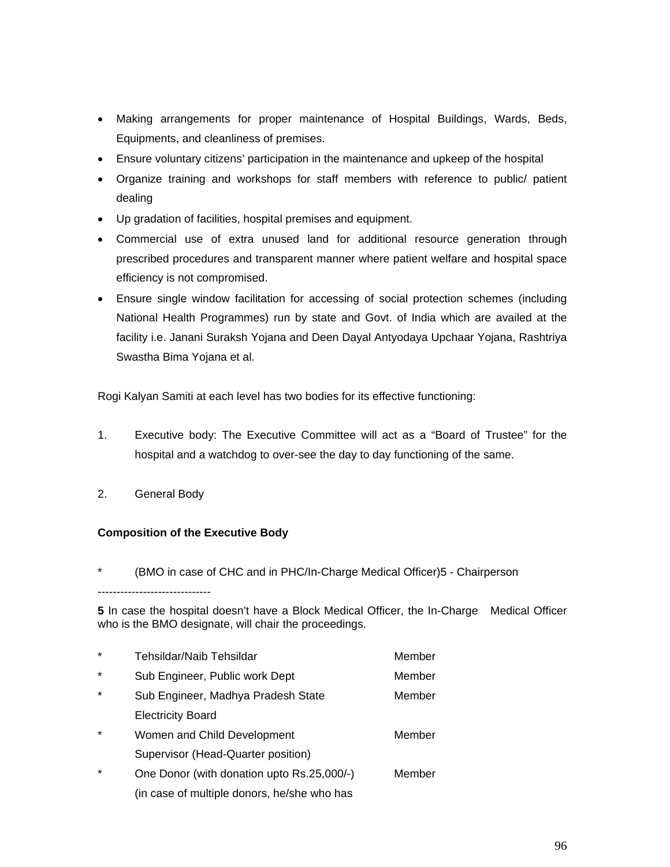- Making arrangements for proper maintenance of Hospital Buildings, Wards, Beds, Equipments, and cleanliness of premises.
- Ensure voluntary citizens' participation in the maintenance and upkeep of the hospital
- Organize training and workshops for staff members with reference to public/ patient dealing
- Up gradation of facilities, hospital premises and equipment.
- Commercial use of extra unused land for additional resource generation through prescribed procedures and transparent manner where patient welfare and hospital space efficiency is not compromised.
- Ensure single window facilitation for accessing of social protection schemes (including National Health Programmes) run by state and Govt. of India which are availed at the facility i.e. Janani Suraksh Yojana and Deen Dayal Antyodaya Upchaar Yojana, Rashtriya Swastha Bima Yojana et al.

Rogi Kalyan Samiti at each level has two bodies for its effective functioning:

- 1. Executive body: The Executive Committee will act as a "Board of Trustee" for the hospital and a watchdog to over-see the day to day functioning of the same.
- 2. General Body

#### **Composition of the Executive Body**

(BMO in case of CHC and in PHC/In-Charge Medical Officer)5 - Chairperson

------------------------------

**5** In case the hospital doesn't have a Block Medical Officer, the In-Charge Medical Officer who is the BMO designate, will chair the proceedings.

| $\star$ | Tehsildar/Naib Tehsildar                    | Member |
|---------|---------------------------------------------|--------|
| $\star$ | Sub Engineer, Public work Dept              | Member |
| $\star$ | Sub Engineer, Madhya Pradesh State          | Member |
|         | <b>Electricity Board</b>                    |        |
| $\star$ | Women and Child Development                 | Member |
|         | Supervisor (Head-Quarter position)          |        |
| $\star$ | One Donor (with donation upto Rs.25,000/-)  | Member |
|         | (in case of multiple donors, he/she who has |        |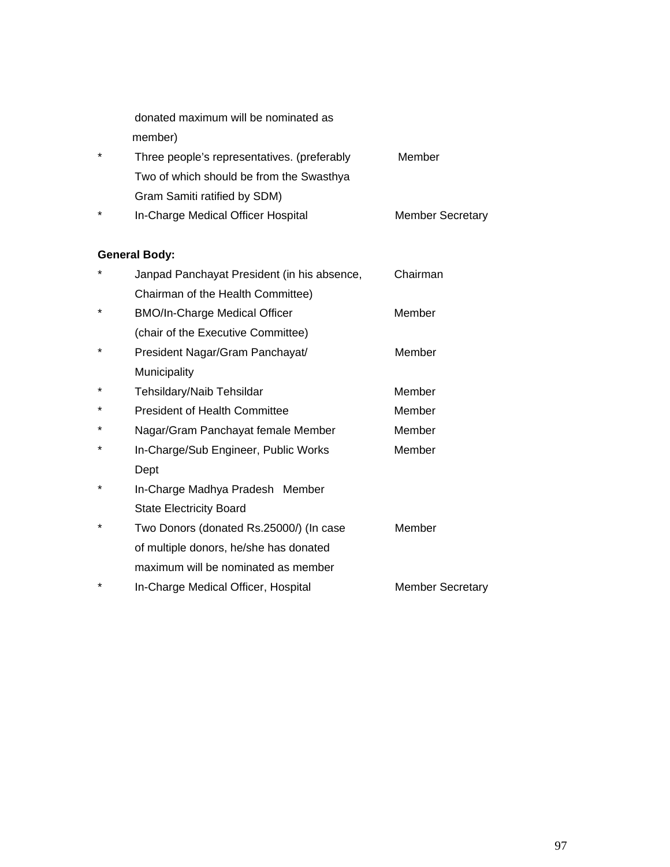|         | donated maximum will be nominated as        |        |
|---------|---------------------------------------------|--------|
|         | member)                                     |        |
| $\star$ | Three people's representatives. (preferably | Member |
|         | Two of which should be from the Swasthya    |        |
|         |                                             |        |

- Gram Samiti ratified by SDM)
- \* In-Charge Medical Officer Hospital Member Secretary

# **General Body:**

| *       | Janpad Panchayat President (in his absence, | Chairman                |
|---------|---------------------------------------------|-------------------------|
|         | Chairman of the Health Committee)           |                         |
| *       | <b>BMO/In-Charge Medical Officer</b>        | Member                  |
|         | (chair of the Executive Committee)          |                         |
| *       | President Nagar/Gram Panchayat/             | Member                  |
|         | Municipality                                |                         |
| *       | Tehsildary/Naib Tehsildar                   | Member                  |
| *       | <b>President of Health Committee</b>        | Member                  |
| *       | Nagar/Gram Panchayat female Member          | Member                  |
| *       | In-Charge/Sub Engineer, Public Works        | Member                  |
|         | Dept                                        |                         |
| *       | In-Charge Madhya Pradesh Member             |                         |
|         | <b>State Electricity Board</b>              |                         |
| $\star$ | Two Donors (donated Rs.25000/) (In case     | Member                  |
|         | of multiple donors, he/she has donated      |                         |
|         | maximum will be nominated as member         |                         |
| *       | In-Charge Medical Officer, Hospital         | <b>Member Secretary</b> |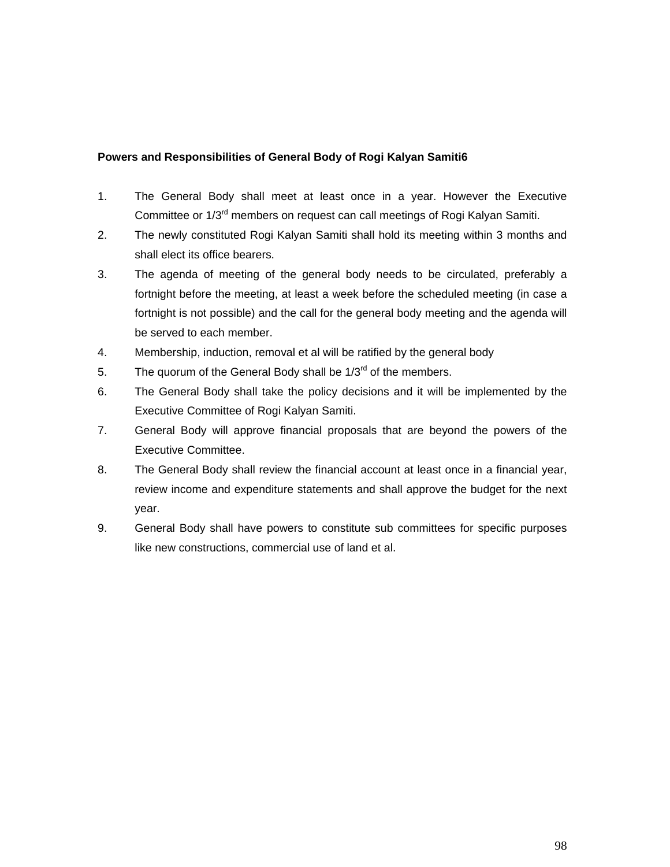## **Powers and Responsibilities of General Body of Rogi Kalyan Samiti6**

- 1. The General Body shall meet at least once in a year. However the Executive Committee or 1/3<sup>rd</sup> members on request can call meetings of Rogi Kalyan Samiti.
- 2. The newly constituted Rogi Kalyan Samiti shall hold its meeting within 3 months and shall elect its office bearers.
- 3. The agenda of meeting of the general body needs to be circulated, preferably a fortnight before the meeting, at least a week before the scheduled meeting (in case a fortnight is not possible) and the call for the general body meeting and the agenda will be served to each member.
- 4. Membership, induction, removal et al will be ratified by the general body
- 5. The quorum of the General Body shall be  $1/3^{rd}$  of the members.
- 6. The General Body shall take the policy decisions and it will be implemented by the Executive Committee of Rogi Kalyan Samiti.
- 7. General Body will approve financial proposals that are beyond the powers of the Executive Committee.
- 8. The General Body shall review the financial account at least once in a financial year, review income and expenditure statements and shall approve the budget for the next year.
- 9. General Body shall have powers to constitute sub committees for specific purposes like new constructions, commercial use of land et al.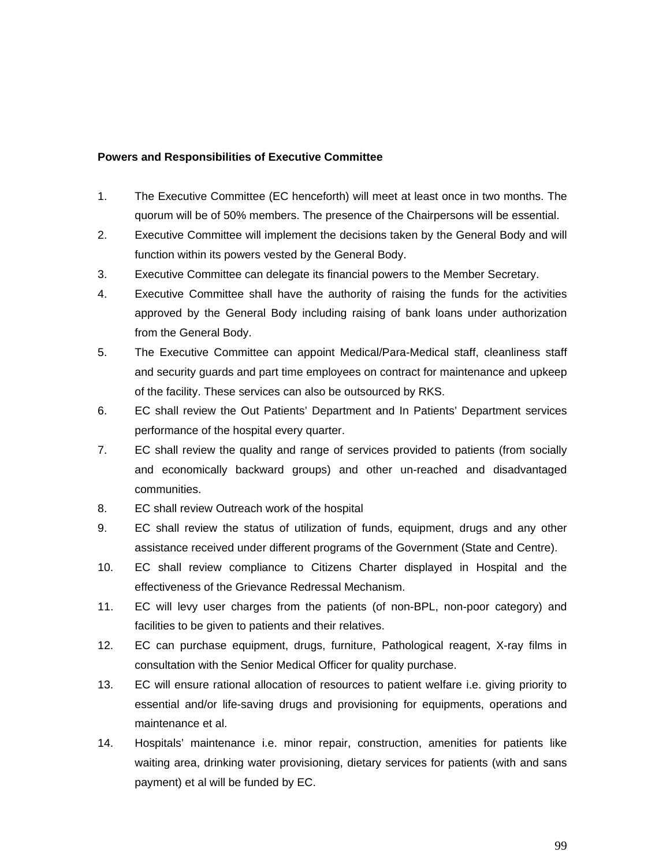#### **Powers and Responsibilities of Executive Committee**

- 1. The Executive Committee (EC henceforth) will meet at least once in two months. The quorum will be of 50% members. The presence of the Chairpersons will be essential.
- 2. Executive Committee will implement the decisions taken by the General Body and will function within its powers vested by the General Body.
- 3. Executive Committee can delegate its financial powers to the Member Secretary.
- 4. Executive Committee shall have the authority of raising the funds for the activities approved by the General Body including raising of bank loans under authorization from the General Body.
- 5. The Executive Committee can appoint Medical/Para-Medical staff, cleanliness staff and security guards and part time employees on contract for maintenance and upkeep of the facility. These services can also be outsourced by RKS.
- 6. EC shall review the Out Patients' Department and In Patients' Department services performance of the hospital every quarter.
- 7. EC shall review the quality and range of services provided to patients (from socially and economically backward groups) and other un-reached and disadvantaged communities.
- 8. EC shall review Outreach work of the hospital
- 9. EC shall review the status of utilization of funds, equipment, drugs and any other assistance received under different programs of the Government (State and Centre).
- 10. EC shall review compliance to Citizens Charter displayed in Hospital and the effectiveness of the Grievance Redressal Mechanism.
- 11. EC will levy user charges from the patients (of non-BPL, non-poor category) and facilities to be given to patients and their relatives.
- 12. EC can purchase equipment, drugs, furniture, Pathological reagent, X-ray films in consultation with the Senior Medical Officer for quality purchase.
- 13. EC will ensure rational allocation of resources to patient welfare i.e. giving priority to essential and/or life-saving drugs and provisioning for equipments, operations and maintenance et al.
- 14. Hospitals' maintenance i.e. minor repair, construction, amenities for patients like waiting area, drinking water provisioning, dietary services for patients (with and sans payment) et al will be funded by EC.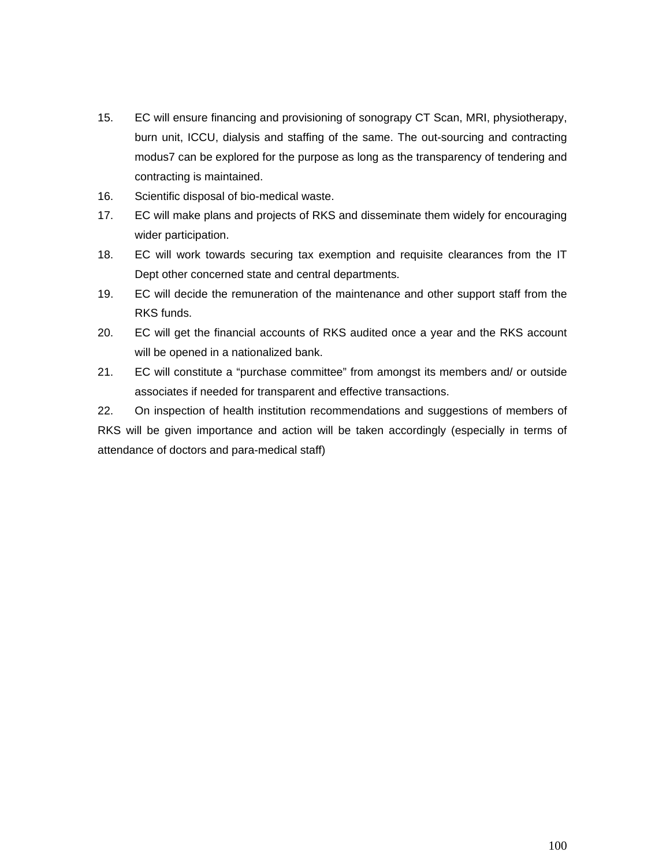- 15. EC will ensure financing and provisioning of sonograpy CT Scan, MRI, physiotherapy, burn unit, ICCU, dialysis and staffing of the same. The out-sourcing and contracting modus7 can be explored for the purpose as long as the transparency of tendering and contracting is maintained.
- 16. Scientific disposal of bio-medical waste.
- 17. EC will make plans and projects of RKS and disseminate them widely for encouraging wider participation.
- 18. EC will work towards securing tax exemption and requisite clearances from the IT Dept other concerned state and central departments.
- 19. EC will decide the remuneration of the maintenance and other support staff from the RKS funds.
- 20. EC will get the financial accounts of RKS audited once a year and the RKS account will be opened in a nationalized bank.
- 21. EC will constitute a "purchase committee" from amongst its members and/ or outside associates if needed for transparent and effective transactions.

22. On inspection of health institution recommendations and suggestions of members of RKS will be given importance and action will be taken accordingly (especially in terms of attendance of doctors and para-medical staff)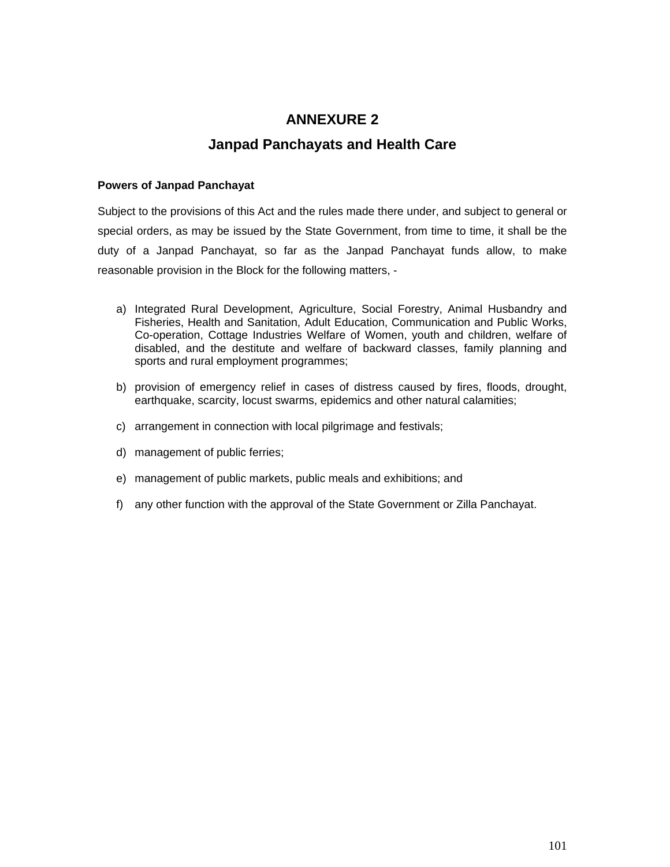# **ANNEXURE 2**

# **Janpad Panchayats and Health Care**

#### **Powers of Janpad Panchayat**

Subject to the provisions of this Act and the rules made there under, and subject to general or special orders, as may be issued by the State Government, from time to time, it shall be the duty of a Janpad Panchayat, so far as the Janpad Panchayat funds allow, to make reasonable provision in the Block for the following matters, -

- a) Integrated Rural Development, Agriculture, Social Forestry, Animal Husbandry and Fisheries, Health and Sanitation, Adult Education, Communication and Public Works, Co-operation, Cottage Industries Welfare of Women, youth and children, welfare of disabled, and the destitute and welfare of backward classes, family planning and sports and rural employment programmes;
- b) provision of emergency relief in cases of distress caused by fires, floods, drought, earthquake, scarcity, locust swarms, epidemics and other natural calamities;
- c) arrangement in connection with local pilgrimage and festivals;
- d) management of public ferries;
- e) management of public markets, public meals and exhibitions; and
- f) any other function with the approval of the State Government or Zilla Panchayat.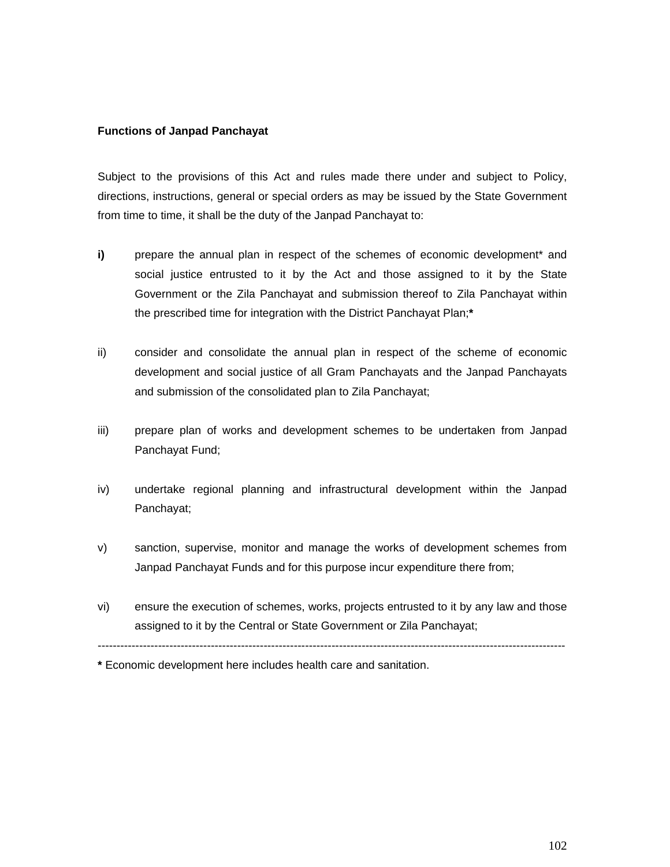#### **Functions of Janpad Panchayat**

Subject to the provisions of this Act and rules made there under and subject to Policy, directions, instructions, general or special orders as may be issued by the State Government from time to time, it shall be the duty of the Janpad Panchayat to:

- **i)** prepare the annual plan in respect of the schemes of economic development<sup>\*</sup> and social justice entrusted to it by the Act and those assigned to it by the State Government or the Zila Panchayat and submission thereof to Zila Panchayat within the prescribed time for integration with the District Panchayat Plan;**\***
- ii) consider and consolidate the annual plan in respect of the scheme of economic development and social justice of all Gram Panchayats and the Janpad Panchayats and submission of the consolidated plan to Zila Panchayat;
- iii) prepare plan of works and development schemes to be undertaken from Janpad Panchayat Fund;
- iv) undertake regional planning and infrastructural development within the Janpad Panchayat;
- v) sanction, supervise, monitor and manage the works of development schemes from Janpad Panchayat Funds and for this purpose incur expenditure there from;
- vi) ensure the execution of schemes, works, projects entrusted to it by any law and those assigned to it by the Central or State Government or Zila Panchayat;

----------------------------------------------------------------------------------------------------------------------------

**\*** Economic development here includes health care and sanitation.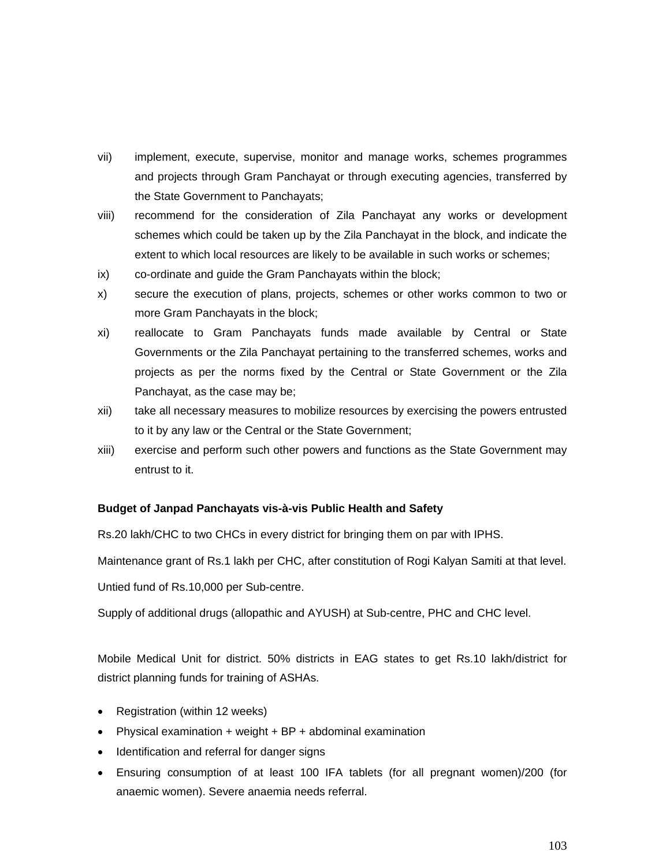- vii) implement, execute, supervise, monitor and manage works, schemes programmes and projects through Gram Panchayat or through executing agencies, transferred by the State Government to Panchayats;
- viii) recommend for the consideration of Zila Panchayat any works or development schemes which could be taken up by the Zila Panchayat in the block, and indicate the extent to which local resources are likely to be available in such works or schemes;
- ix) co-ordinate and guide the Gram Panchayats within the block;
- x) secure the execution of plans, projects, schemes or other works common to two or more Gram Panchayats in the block;
- xi) reallocate to Gram Panchayats funds made available by Central or State Governments or the Zila Panchayat pertaining to the transferred schemes, works and projects as per the norms fixed by the Central or State Government or the Zila Panchayat, as the case may be;
- xii) take all necessary measures to mobilize resources by exercising the powers entrusted to it by any law or the Central or the State Government;
- xiii) exercise and perform such other powers and functions as the State Government may entrust to it.

#### **Budget of Janpad Panchayats vis-à-vis Public Health and Safety**

Rs.20 lakh/CHC to two CHCs in every district for bringing them on par with IPHS.

Maintenance grant of Rs.1 lakh per CHC, after constitution of Rogi Kalyan Samiti at that level.

Untied fund of Rs.10,000 per Sub-centre.

Supply of additional drugs (allopathic and AYUSH) at Sub-centre, PHC and CHC level.

Mobile Medical Unit for district. 50% districts in EAG states to get Rs.10 lakh/district for district planning funds for training of ASHAs.

- Registration (within 12 weeks)
- Physical examination + weight + BP + abdominal examination
- Identification and referral for danger signs
- Ensuring consumption of at least 100 IFA tablets (for all pregnant women)/200 (for anaemic women). Severe anaemia needs referral.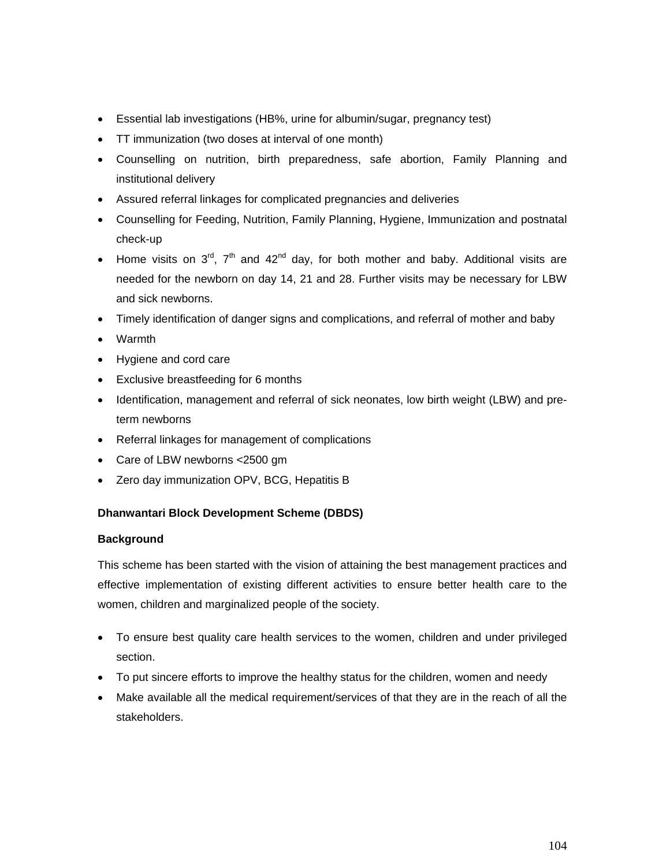- Essential lab investigations (HB%, urine for albumin/sugar, pregnancy test)
- TT immunization (two doses at interval of one month)
- Counselling on nutrition, birth preparedness, safe abortion, Family Planning and institutional delivery
- Assured referral linkages for complicated pregnancies and deliveries
- Counselling for Feeding, Nutrition, Family Planning, Hygiene, Immunization and postnatal check-up
- Home visits on  $3^{\text{rd}}$ ,  $7^{\text{th}}$  and  $42^{\text{nd}}$  day, for both mother and baby. Additional visits are needed for the newborn on day 14, 21 and 28. Further visits may be necessary for LBW and sick newborns.
- Timely identification of danger signs and complications, and referral of mother and baby
- Warmth
- Hygiene and cord care
- Exclusive breastfeeding for 6 months
- Identification, management and referral of sick neonates, low birth weight (LBW) and preterm newborns
- Referral linkages for management of complications
- Care of LBW newborns <2500 gm
- Zero day immunization OPV, BCG, Hepatitis B

#### **Dhanwantari Block Development Scheme (DBDS)**

#### **Background**

This scheme has been started with the vision of attaining the best management practices and effective implementation of existing different activities to ensure better health care to the women, children and marginalized people of the society.

- To ensure best quality care health services to the women, children and under privileged section.
- To put sincere efforts to improve the healthy status for the children, women and needy
- Make available all the medical requirement/services of that they are in the reach of all the stakeholders.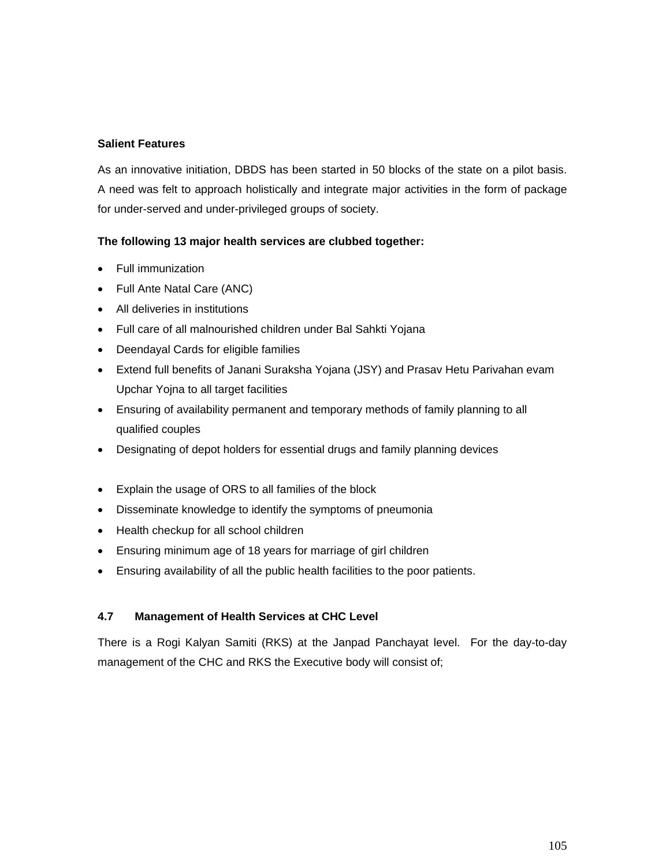## **Salient Features**

As an innovative initiation, DBDS has been started in 50 blocks of the state on a pilot basis. A need was felt to approach holistically and integrate major activities in the form of package for under-served and under-privileged groups of society.

## **The following 13 major health services are clubbed together:**

- Full immunization
- Full Ante Natal Care (ANC)
- All deliveries in institutions
- Full care of all malnourished children under Bal Sahkti Yojana
- Deendayal Cards for eligible families
- Extend full benefits of Janani Suraksha Yojana (JSY) and Prasav Hetu Parivahan evam Upchar Yojna to all target facilities
- Ensuring of availability permanent and temporary methods of family planning to all qualified couples
- Designating of depot holders for essential drugs and family planning devices
- Explain the usage of ORS to all families of the block
- Disseminate knowledge to identify the symptoms of pneumonia
- Health checkup for all school children
- Ensuring minimum age of 18 years for marriage of girl children
- Ensuring availability of all the public health facilities to the poor patients.

#### **4.7 Management of Health Services at CHC Level**

There is a Rogi Kalyan Samiti (RKS) at the Janpad Panchayat level. For the day-to-day management of the CHC and RKS the Executive body will consist of;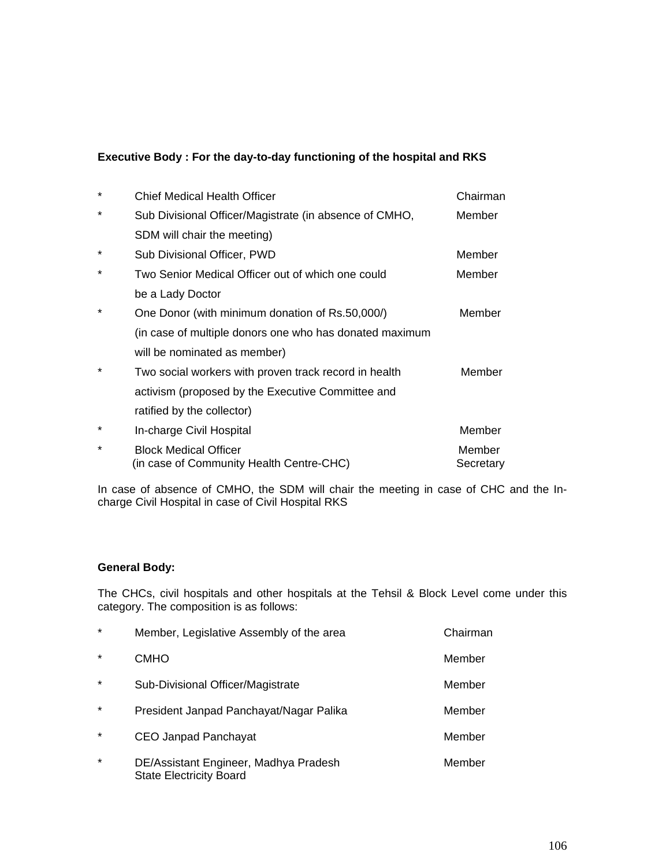### **Executive Body : For the day-to-day functioning of the hospital and RKS**

| $^\star$ | <b>Chief Medical Health Officer</b>                                      | Chairman            |
|----------|--------------------------------------------------------------------------|---------------------|
| $^\star$ | Sub Divisional Officer/Magistrate (in absence of CMHO,                   | Member              |
|          | SDM will chair the meeting)                                              |                     |
| $^\star$ | Sub Divisional Officer, PWD                                              | Member              |
| $\star$  | Two Senior Medical Officer out of which one could                        | Member              |
|          | be a Lady Doctor                                                         |                     |
| $^\star$ | One Donor (with minimum donation of Rs.50,000/)                          | Member              |
|          | (in case of multiple donors one who has donated maximum                  |                     |
|          | will be nominated as member)                                             |                     |
| $\star$  | Two social workers with proven track record in health                    | Member              |
|          | activism (proposed by the Executive Committee and                        |                     |
|          | ratified by the collector)                                               |                     |
| $^\star$ | In-charge Civil Hospital                                                 | Member              |
| $\star$  | <b>Block Medical Officer</b><br>(in case of Community Health Centre-CHC) | Member<br>Secretary |

In case of absence of CMHO, the SDM will chair the meeting in case of CHC and the Incharge Civil Hospital in case of Civil Hospital RKS

### **General Body:**

The CHCs, civil hospitals and other hospitals at the Tehsil & Block Level come under this category. The composition is as follows:

| $\star$ | Member, Legislative Assembly of the area                                | Chairman |
|---------|-------------------------------------------------------------------------|----------|
| $\star$ | <b>CMHO</b>                                                             | Member   |
| $\star$ | Sub-Divisional Officer/Magistrate                                       | Member   |
| $\star$ | President Janpad Panchayat/Nagar Palika                                 | Member   |
| $\star$ | CEO Janpad Panchayat                                                    | Member   |
| $\star$ | DE/Assistant Engineer, Madhya Pradesh<br><b>State Electricity Board</b> | Member   |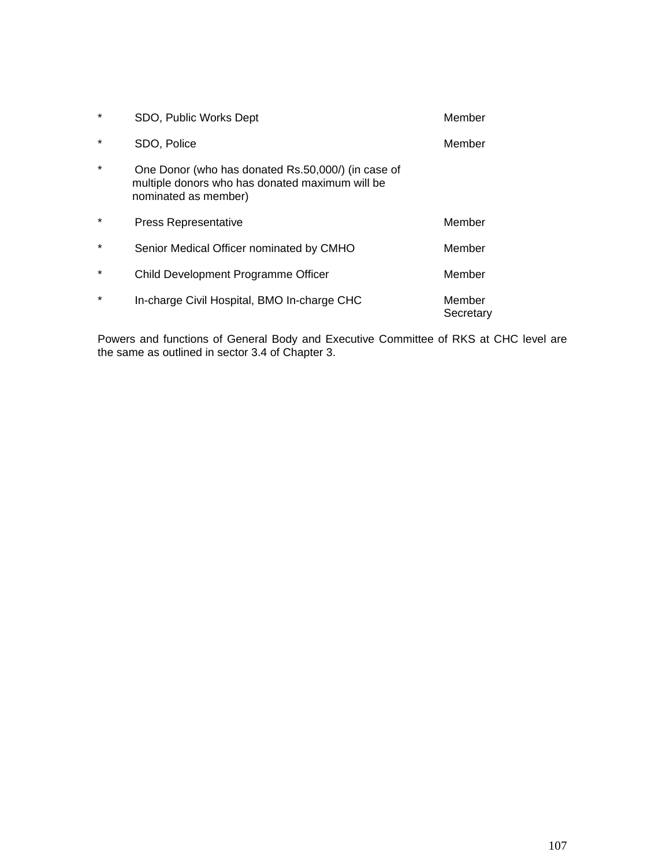| $\star$ | SDO, Public Works Dept                                                                                                        | Member              |
|---------|-------------------------------------------------------------------------------------------------------------------------------|---------------------|
| $\star$ | SDO, Police                                                                                                                   | Member              |
| $\star$ | One Donor (who has donated Rs.50,000/) (in case of<br>multiple donors who has donated maximum will be<br>nominated as member) |                     |
| $\star$ | <b>Press Representative</b>                                                                                                   | Member              |
| $\star$ | Senior Medical Officer nominated by CMHO                                                                                      | Member              |
| $\star$ | Child Development Programme Officer                                                                                           | Member              |
| $\star$ | In-charge Civil Hospital, BMO In-charge CHC                                                                                   | Member<br>Secretary |

Powers and functions of General Body and Executive Committee of RKS at CHC level are the same as outlined in sector 3.4 of Chapter 3.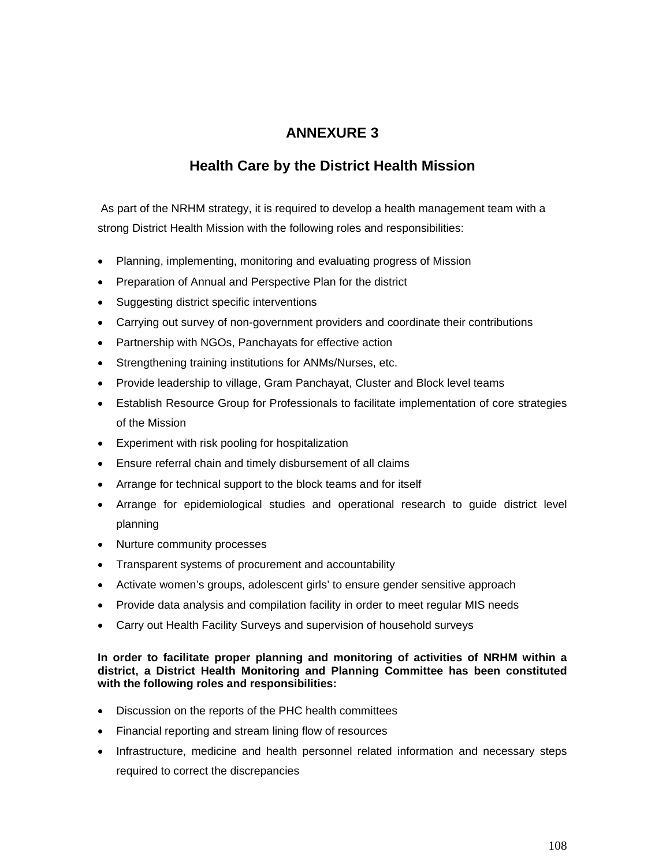# **ANNEXURE 3**

## **Health Care by the District Health Mission**

As part of the NRHM strategy, it is required to develop a health management team with a strong District Health Mission with the following roles and responsibilities:

- Planning, implementing, monitoring and evaluating progress of Mission
- Preparation of Annual and Perspective Plan for the district
- Suggesting district specific interventions
- Carrying out survey of non-government providers and coordinate their contributions
- Partnership with NGOs, Panchayats for effective action
- Strengthening training institutions for ANMs/Nurses, etc.
- Provide leadership to village, Gram Panchayat, Cluster and Block level teams
- Establish Resource Group for Professionals to facilitate implementation of core strategies of the Mission
- Experiment with risk pooling for hospitalization
- Ensure referral chain and timely disbursement of all claims
- Arrange for technical support to the block teams and for itself
- Arrange for epidemiological studies and operational research to guide district level planning
- Nurture community processes
- Transparent systems of procurement and accountability
- Activate women's groups, adolescent girls' to ensure gender sensitive approach
- Provide data analysis and compilation facility in order to meet regular MIS needs
- Carry out Health Facility Surveys and supervision of household surveys

#### **In order to facilitate proper planning and monitoring of activities of NRHM within a district, a District Health Monitoring and Planning Committee has been constituted with the following roles and responsibilities:**

- Discussion on the reports of the PHC health committees
- Financial reporting and stream lining flow of resources
- Infrastructure, medicine and health personnel related information and necessary steps required to correct the discrepancies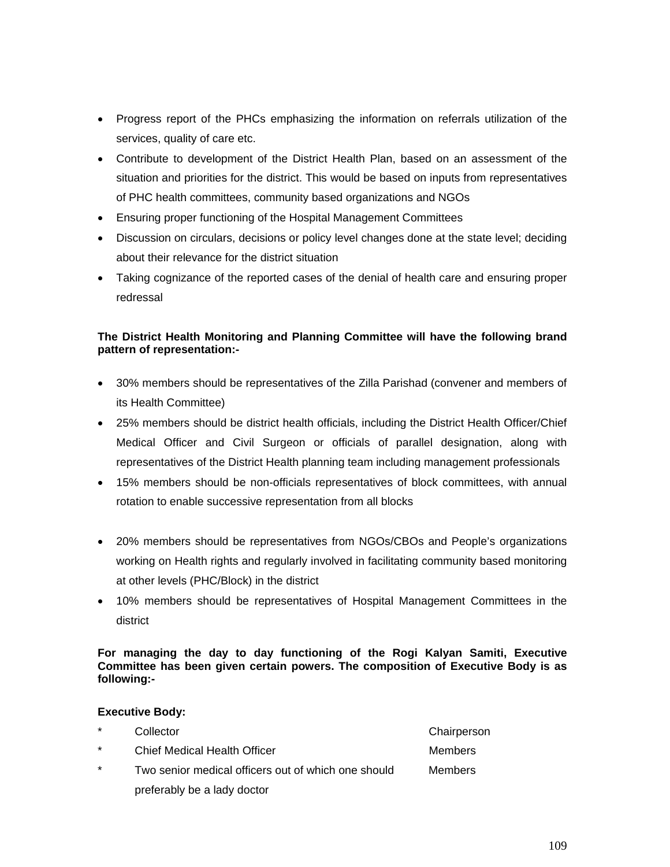- Progress report of the PHCs emphasizing the information on referrals utilization of the services, quality of care etc.
- Contribute to development of the District Health Plan, based on an assessment of the situation and priorities for the district. This would be based on inputs from representatives of PHC health committees, community based organizations and NGOs
- Ensuring proper functioning of the Hospital Management Committees
- Discussion on circulars, decisions or policy level changes done at the state level; deciding about their relevance for the district situation
- Taking cognizance of the reported cases of the denial of health care and ensuring proper redressal

#### **The District Health Monitoring and Planning Committee will have the following brand pattern of representation:-**

- 30% members should be representatives of the Zilla Parishad (convener and members of its Health Committee)
- 25% members should be district health officials, including the District Health Officer/Chief Medical Officer and Civil Surgeon or officials of parallel designation, along with representatives of the District Health planning team including management professionals
- 15% members should be non-officials representatives of block committees, with annual rotation to enable successive representation from all blocks
- 20% members should be representatives from NGOs/CBOs and People's organizations working on Health rights and regularly involved in facilitating community based monitoring at other levels (PHC/Block) in the district
- 10% members should be representatives of Hospital Management Committees in the district

**For managing the day to day functioning of the Rogi Kalyan Samiti, Executive Committee has been given certain powers. The composition of Executive Body is as following:-** 

#### **Executive Body:**

| $\star$ | Collector                                           | Chairperson |
|---------|-----------------------------------------------------|-------------|
| $\star$ | <b>Chief Medical Health Officer</b>                 | Members     |
| $\star$ | Two senior medical officers out of which one should | Members     |
|         | preferably be a lady doctor                         |             |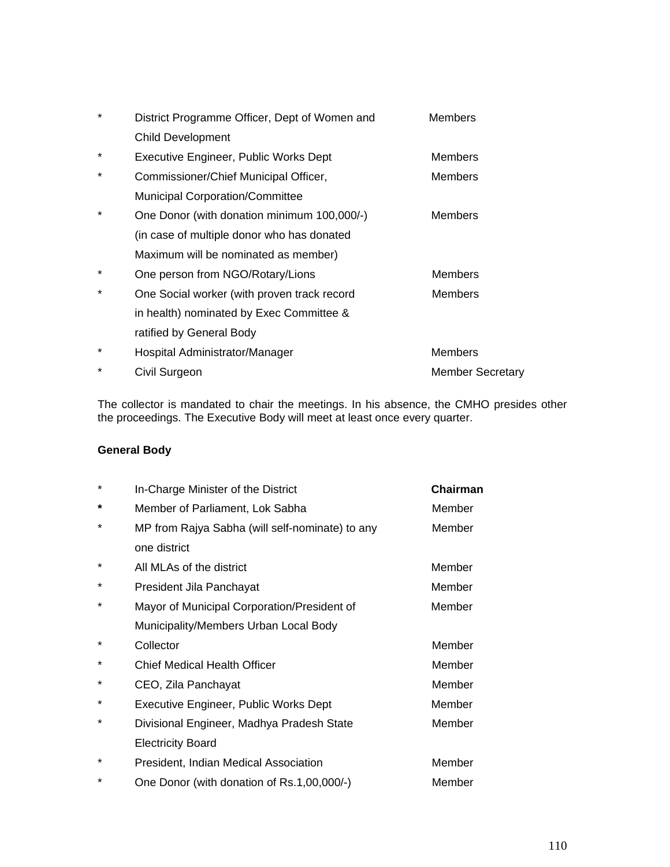| $^\star$ | District Programme Officer, Dept of Women and | <b>Members</b>          |
|----------|-----------------------------------------------|-------------------------|
|          | <b>Child Development</b>                      |                         |
| $\star$  | Executive Engineer, Public Works Dept         | <b>Members</b>          |
| $\star$  | Commissioner/Chief Municipal Officer,         | <b>Members</b>          |
|          | <b>Municipal Corporation/Committee</b>        |                         |
| $^\star$ | One Donor (with donation minimum 100,000/-)   | <b>Members</b>          |
|          | (in case of multiple donor who has donated    |                         |
|          | Maximum will be nominated as member)          |                         |
| $^\star$ | One person from NGO/Rotary/Lions              | <b>Members</b>          |
| $\star$  | One Social worker (with proven track record   | Members                 |
|          | in health) nominated by Exec Committee &      |                         |
|          | ratified by General Body                      |                         |
| $\star$  | Hospital Administrator/Manager                | <b>Members</b>          |
| $\star$  | Civil Surgeon                                 | <b>Member Secretary</b> |

The collector is mandated to chair the meetings. In his absence, the CMHO presides other the proceedings. The Executive Body will meet at least once every quarter.

## **General Body**

| $\star$  | In-Charge Minister of the District              | Chairman |
|----------|-------------------------------------------------|----------|
| *        | Member of Parliament, Lok Sabha                 | Member   |
| *        | MP from Rajya Sabha (will self-nominate) to any | Member   |
|          | one district                                    |          |
| $^\star$ | All MLAs of the district                        | Member   |
| *        | President Jila Panchayat                        | Member   |
| $^\star$ | Mayor of Municipal Corporation/President of     | Member   |
|          | Municipality/Members Urban Local Body           |          |
| $^\star$ | Collector                                       | Member   |
| $^\star$ | <b>Chief Medical Health Officer</b>             | Member   |
| *        | CEO, Zila Panchayat                             | Member   |
| *        | Executive Engineer, Public Works Dept           | Member   |
| $^\star$ | Divisional Engineer, Madhya Pradesh State       | Member   |
|          | <b>Electricity Board</b>                        |          |
| *        | President, Indian Medical Association           | Member   |
| *        | One Donor (with donation of Rs.1,00,000/-)      | Member   |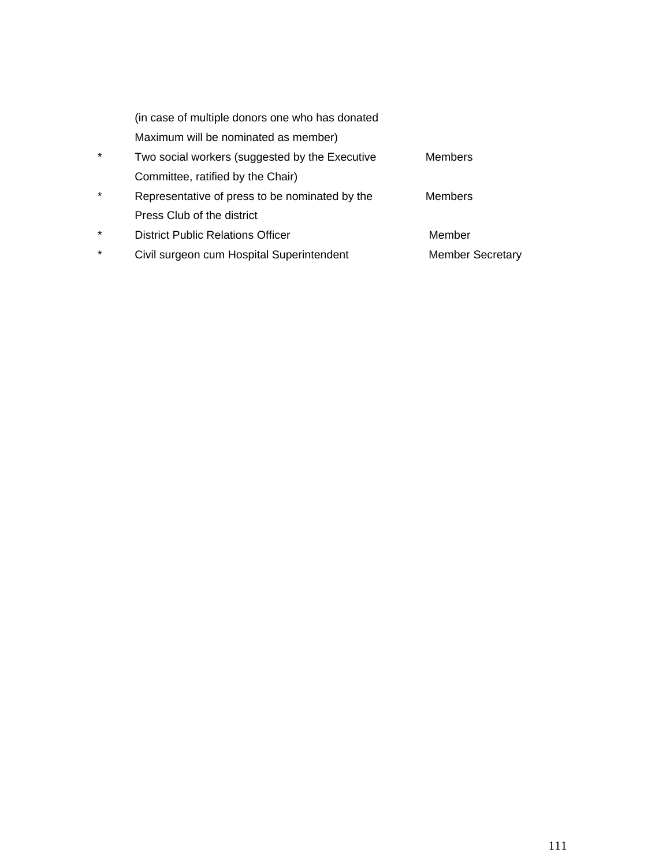|         | (in case of multiple donors one who has donated |                         |
|---------|-------------------------------------------------|-------------------------|
|         | Maximum will be nominated as member)            |                         |
| $\star$ | Two social workers (suggested by the Executive  | <b>Members</b>          |
|         | Committee, ratified by the Chair)               |                         |
| $\star$ | Representative of press to be nominated by the  | <b>Members</b>          |
|         | Press Club of the district                      |                         |
| $\star$ | <b>District Public Relations Officer</b>        | Member                  |
| $\star$ | Civil surgeon cum Hospital Superintendent       | <b>Member Secretary</b> |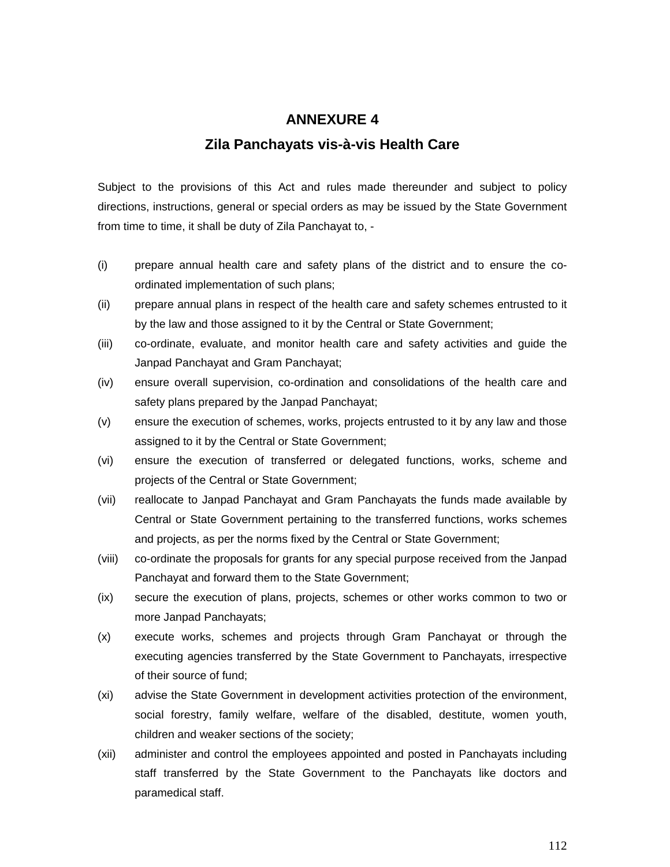# **ANNEXURE 4**

## **Zila Panchayats vis-à-vis Health Care**

Subject to the provisions of this Act and rules made thereunder and subject to policy directions, instructions, general or special orders as may be issued by the State Government from time to time, it shall be duty of Zila Panchayat to, -

- (i) prepare annual health care and safety plans of the district and to ensure the coordinated implementation of such plans;
- (ii) prepare annual plans in respect of the health care and safety schemes entrusted to it by the law and those assigned to it by the Central or State Government;
- (iii) co-ordinate, evaluate, and monitor health care and safety activities and guide the Janpad Panchayat and Gram Panchayat;
- (iv) ensure overall supervision, co-ordination and consolidations of the health care and safety plans prepared by the Janpad Panchayat;
- (v) ensure the execution of schemes, works, projects entrusted to it by any law and those assigned to it by the Central or State Government;
- (vi) ensure the execution of transferred or delegated functions, works, scheme and projects of the Central or State Government;
- (vii) reallocate to Janpad Panchayat and Gram Panchayats the funds made available by Central or State Government pertaining to the transferred functions, works schemes and projects, as per the norms fixed by the Central or State Government;
- (viii) co-ordinate the proposals for grants for any special purpose received from the Janpad Panchayat and forward them to the State Government;
- (ix) secure the execution of plans, projects, schemes or other works common to two or more Janpad Panchayats;
- (x) execute works, schemes and projects through Gram Panchayat or through the executing agencies transferred by the State Government to Panchayats, irrespective of their source of fund;
- (xi) advise the State Government in development activities protection of the environment, social forestry, family welfare, welfare of the disabled, destitute, women youth, children and weaker sections of the society;
- (xii) administer and control the employees appointed and posted in Panchayats including staff transferred by the State Government to the Panchayats like doctors and paramedical staff.